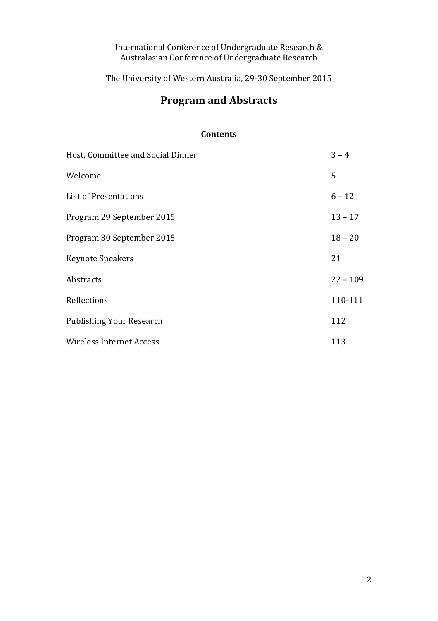# International Conference of Undergraduate Research & Australasian Conference of Undergraduate Research

The University of Western Australia, 29-30 September 2015

| <b>Contents</b>                   |            |  |
|-----------------------------------|------------|--|
| Host, Committee and Social Dinner | $3 - 4$    |  |
| Welcome                           | 5          |  |
| <b>List of Presentations</b>      | $6 - 12$   |  |
| Program 29 September 2015         | $13 - 17$  |  |
| Program 30 September 2015         | $18 - 20$  |  |
| <b>Keynote Speakers</b>           | 21         |  |
| Abstracts                         | $22 - 109$ |  |
| Reflections                       | 110-111    |  |
| <b>Publishing Your Research</b>   | 112        |  |
| <b>Wireless Internet Access</b>   | 113        |  |

# **Program and Abstracts**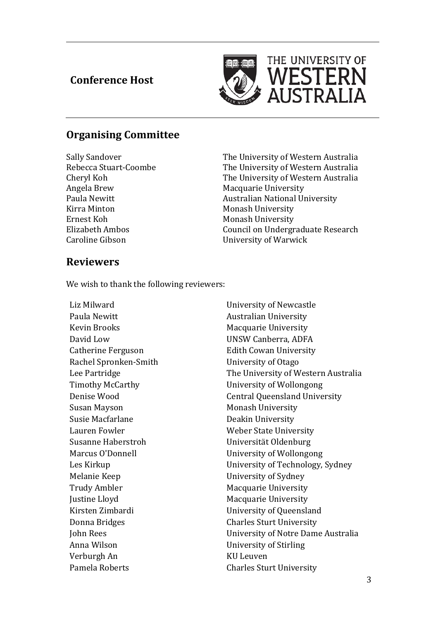# **Conference Host**

 $\overline{a}$ 



# **Organising Committee**

Angela Brew Macquarie University Kirra Minton Monash University Ernest Koh Monash University

Sally Sandover<br>
The University of Western Australia<br>
The University of Western Australia<br>
The University of Western Australia Rebecca Stuart-Coombe The University of Western Australia<br>Cheryl Koh The University of Western Australia Cheryl Koh The University of Western Australia<br>Angela Brew Macquarie University Paula Newitt Australian National University Elizabeth Ambos<br>
Council on Undergraduate Research<br>
Caroline Gibson<br>
Council on Undergraduate Research **University of Warwick** 

# **Reviewers**

We wish to thank the following reviewers:

Liz Milward University of Newcastle Paula Newitt Australian University Kevin Brooks Macquarie University David Low UNSW Canberra, ADFA Rachel Spronken-Smith University of Otago Susan Mayson Monash University Lauren Fowler Weber State University Melanie Keep University of Sydney Trudy Ambler Macquarie University Justine Lloyd **Macquarie University** Donna Bridges Charles Sturt University Verburgh An KU Leuven

**Edith Cowan University** Lee Partridge **The University of Western Australia**<br>Timothy McCarthy **The University of Wollongong** University of Wollongong Denise Wood **Central Queensland University** Deakin University Universität Oldenburg Marcus O'Donnell **Exercise Service Service Contract University of Wollongong** Les Kirkup University of Technology, Sydney Kirsten Zimbardi View University of Queensland John Rees University of Notre Dame Australia **University of Stirling** Pamela Roberts **Charles Sturt University**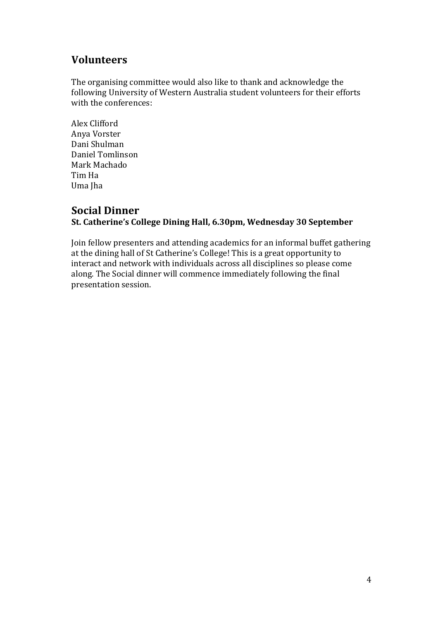# **Volunteers**

The organising committee would also like to thank and acknowledge the following University of Western Australia student volunteers for their efforts with the conferences:

Alex Clifford Anya Vorster Dani Shulman Daniel Tomlinson Mark Machado Tim Ha Uma Jha

# **Social Dinner**

# **St. Catherine's College Dining Hall, 6.30pm, Wednesday 30 September**

Join fellow presenters and attending academics for an informal buffet gathering at the dining hall of St Catherine's College! This is a great opportunity to interact and network with individuals across all disciplines so please come along. The Social dinner will commence immediately following the final presentation session.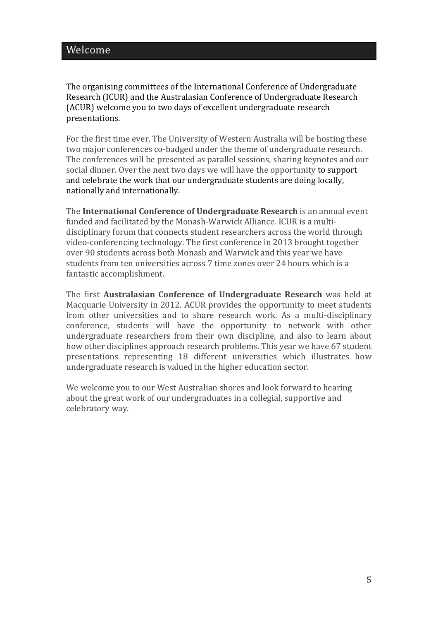The organising committees of the International Conference of Undergraduate Research (ICUR) and the Australasian Conference of Undergraduate Research (ACUR) welcome you to two days of excellent undergraduate research presentations.

For the first time ever, The University of Western Australia will be hosting these two major conferences co-badged under the theme of undergraduate research. The conferences will be presented as parallel sessions, sharing keynotes and our social dinner. Over the next two days we will have the opportunity to support and celebrate the work that our undergraduate students are doing locally, nationally and internationally.

The **International Conference of Undergraduate Research** is an annual event funded and facilitated by the Monash-Warwick Alliance. ICUR is a multidisciplinary forum that connects student researchers across the world through video-conferencing technology. The first conference in 2013 brought together over 90 students across both Monash and Warwick and this year we have students from ten universities across 7 time zones over 24 hours which is a fantastic accomplishment.

The first **Australasian Conference of Undergraduate Research** was held at Macquarie University in 2012. ACUR provides the opportunity to meet students from other universities and to share research work. As a multi-disciplinary conference, students will have the opportunity to network with other undergraduate researchers from their own discipline, and also to learn about how other disciplines approach research problems. This year we have 67 student presentations representing 18 different universities which illustrates how undergraduate research is valued in the higher education sector.

We welcome you to our West Australian shores and look forward to hearing about the great work of our undergraduates in a collegial, supportive and celebratory way.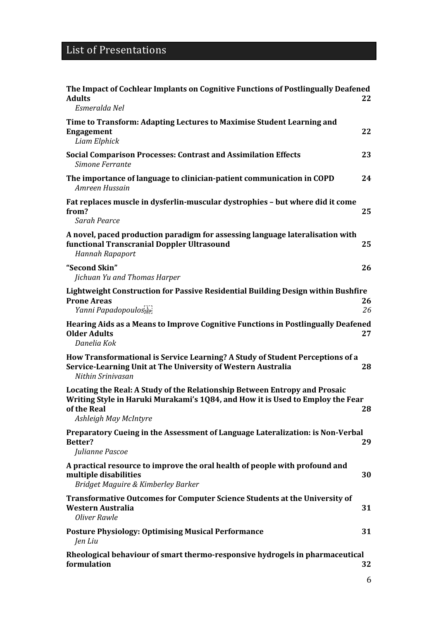| The Impact of Cochlear Implants on Cognitive Functions of Postlingually Deafened<br><b>Adults</b><br>Esmeralda Nel                                                                                   | 22       |
|------------------------------------------------------------------------------------------------------------------------------------------------------------------------------------------------------|----------|
| Time to Transform: Adapting Lectures to Maximise Student Learning and<br><b>Engagement</b><br>Liam Elphick                                                                                           | 22       |
| <b>Social Comparison Processes: Contrast and Assimilation Effects</b><br>Simone Ferrante                                                                                                             | 23       |
| The importance of language to clinician-patient communication in COPD<br>Amreen Hussain                                                                                                              | 24       |
| Fat replaces muscle in dysferlin-muscular dystrophies - but where did it come<br>from?<br>Sarah Pearce                                                                                               | 25       |
| A novel, paced production paradigm for assessing language lateralisation with<br>functional Transcranial Doppler Ultrasound<br><b>Hannah Rapaport</b>                                                | 25       |
| "Second Skin"<br>Jichuan Yu and Thomas Harper                                                                                                                                                        | 26       |
| Lightweight Construction for Passive Residential Building Design within Bushfire<br><b>Prone Areas</b><br>Yanni Papadopoulos <sub>seri</sub>                                                         | 26<br>26 |
| Hearing Aids as a Means to Improve Cognitive Functions in Postlingually Deafened<br><b>Older Adults</b><br>Danelia Kok                                                                               | 27       |
| How Transformational is Service Learning? A Study of Student Perceptions of a<br>Service-Learning Unit at The University of Western Australia<br>Nithin Srinivasan                                   | 28       |
| Locating the Real: A Study of the Relationship Between Entropy and Prosaic<br>Writing Style in Haruki Murakami's 1Q84, and How it is Used to Employ the Fear<br>of the Real<br>Ashleigh May McIntyre | 28       |
| Preparatory Cueing in the Assessment of Language Lateralization: is Non-Verbal<br>Better?<br>Julianne Pascoe                                                                                         | 29       |
| A practical resource to improve the oral health of people with profound and<br>multiple disabilities<br>Bridget Maguire & Kimberley Barker                                                           | 30       |
| <b>Transformative Outcomes for Computer Science Students at the University of</b><br><b>Western Australia</b><br><b>Oliver Rawle</b>                                                                 | 31       |
| <b>Posture Physiology: Optimising Musical Performance</b><br>Jen Liu                                                                                                                                 | 31       |
| Rheological behaviour of smart thermo-responsive hydrogels in pharmaceutical<br>formulation                                                                                                          | 32       |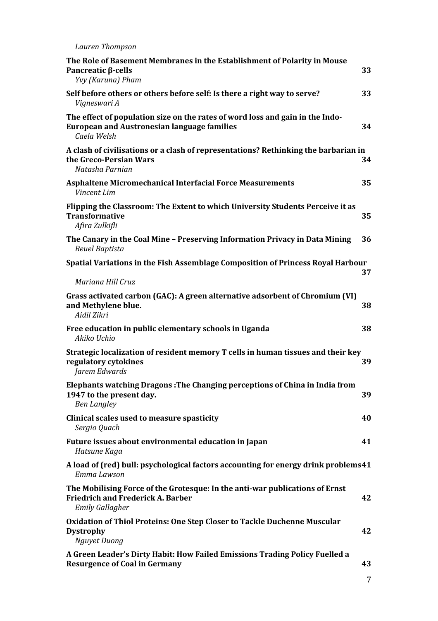*Lauren Thompson*

| Pancreatic $\beta$ -cells<br>Yvy (Karuna) Pham                                                                                                     | 33 |
|----------------------------------------------------------------------------------------------------------------------------------------------------|----|
| Self before others or others before self: Is there a right way to serve?<br>Vigneswari A                                                           | 33 |
| The effect of population size on the rates of word loss and gain in the Indo-<br><b>European and Austronesian language families</b><br>Caela Welsh | 34 |
| A clash of civilisations or a clash of representations? Rethinking the barbarian in<br>the Greco-Persian Wars<br>Natasha Parnian                   | 34 |
| <b>Asphaltene Micromechanical Interfacial Force Measurements</b><br>Vincent Lim                                                                    | 35 |
| Flipping the Classroom: The Extent to which University Students Perceive it as<br><b>Transformative</b><br>Afira Zulkifli                          | 35 |
| The Canary in the Coal Mine - Preserving Information Privacy in Data Mining<br>Reuel Baptista                                                      | 36 |
| Spatial Variations in the Fish Assemblage Composition of Princess Royal Harbour                                                                    | 37 |
| Mariana Hill Cruz                                                                                                                                  |    |
| Grass activated carbon (GAC): A green alternative adsorbent of Chromium (VI)<br>and Methylene blue.<br>Aidil Zikri                                 | 38 |
| Free education in public elementary schools in Uganda<br>Akiko Uchio                                                                               | 38 |
| Strategic localization of resident memory T cells in human tissues and their key<br>regulatory cytokines                                           |    |
| Jarem Edwards                                                                                                                                      | 39 |
| Elephants watching Dragons: The Changing perceptions of China in India from<br>1947 to the present day.<br><b>Ben Langley</b>                      | 39 |
| Clinical scales used to measure spasticity<br>Sergio Quach                                                                                         | 40 |
| Future issues about environmental education in Japan<br>Hatsune Kaga                                                                               | 41 |
| A load of (red) bull: psychological factors accounting for energy drink problems41<br>Emma Lawson                                                  |    |
| The Mobilising Force of the Grotesque: In the anti-war publications of Ernst<br><b>Friedrich and Frederick A. Barber</b><br><b>Emily Gallagher</b> | 42 |
| Oxidation of Thiol Proteins: One Step Closer to Tackle Duchenne Muscular<br><b>Dystrophy</b><br>Nguyet Duong                                       | 42 |

7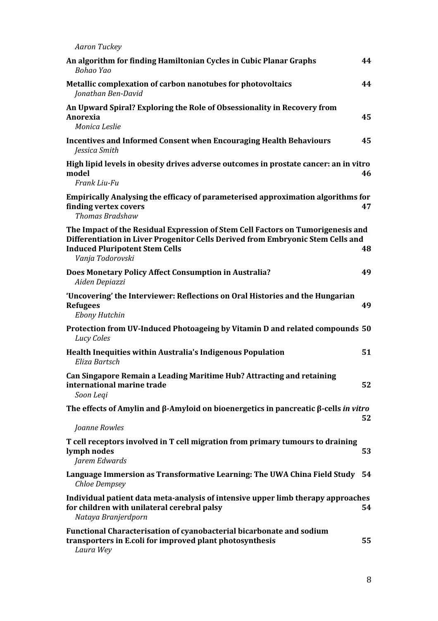| <b>Aaron Tuckey</b>                                                                                                                                                                                                             |    |
|---------------------------------------------------------------------------------------------------------------------------------------------------------------------------------------------------------------------------------|----|
| An algorithm for finding Hamiltonian Cycles in Cubic Planar Graphs<br>Bohao Yao                                                                                                                                                 | 44 |
| Metallic complexation of carbon nanotubes for photovoltaics<br>Jonathan Ben-David                                                                                                                                               | 44 |
| An Upward Spiral? Exploring the Role of Obsessionality in Recovery from<br>Anorexia<br>Monica Leslie                                                                                                                            | 45 |
| <b>Incentives and Informed Consent when Encouraging Health Behaviours</b><br>Jessica Smith                                                                                                                                      | 45 |
| High lipid levels in obesity drives adverse outcomes in prostate cancer: an in vitro<br>model<br>Frank Liu-Fu                                                                                                                   | 46 |
| <b>Empirically Analysing the efficacy of parameterised approximation algorithms for</b><br>finding vertex covers<br><b>Thomas Bradshaw</b>                                                                                      | 47 |
| The Impact of the Residual Expression of Stem Cell Factors on Tumorigenesis and<br>Differentiation in Liver Progenitor Cells Derived from Embryonic Stem Cells and<br><b>Induced Pluripotent Stem Cells</b><br>Vanja Todorovski | 48 |
| Does Monetary Policy Affect Consumption in Australia?<br>Aiden Depiazzi                                                                                                                                                         | 49 |
| 'Uncovering' the Interviewer: Reflections on Oral Histories and the Hungarian<br><b>Refugees</b><br><b>Ebony Hutchin</b>                                                                                                        | 49 |
| Protection from UV-Induced Photoageing by Vitamin D and related compounds 50<br>Lucy Coles                                                                                                                                      |    |
| Health Inequities within Australia's Indigenous Population<br>Eliza Bartsch                                                                                                                                                     | 51 |
| Can Singapore Remain a Leading Maritime Hub? Attracting and retaining<br>international marine trade<br>Soon Leqi                                                                                                                | 52 |
| The effects of Amylin and $\beta$ -Amyloid on bioenergetics in pancreatic $\beta$ -cells in vitro                                                                                                                               | 52 |
| Joanne Rowles                                                                                                                                                                                                                   |    |
| T cell receptors involved in T cell migration from primary tumours to draining<br>lymph nodes<br>Jarem Edwards                                                                                                                  | 53 |
| Language Immersion as Transformative Learning: The UWA China Field Study<br>Chloe Dempsey                                                                                                                                       | 54 |
| Individual patient data meta-analysis of intensive upper limb therapy approaches<br>for children with unilateral cerebral palsy<br>Nataya Branjerdporn                                                                          | 54 |
| Functional Characterisation of cyanobacterial bicarbonate and sodium<br>transporters in E.coli for improved plant photosynthesis<br>Laura Wey                                                                                   | 55 |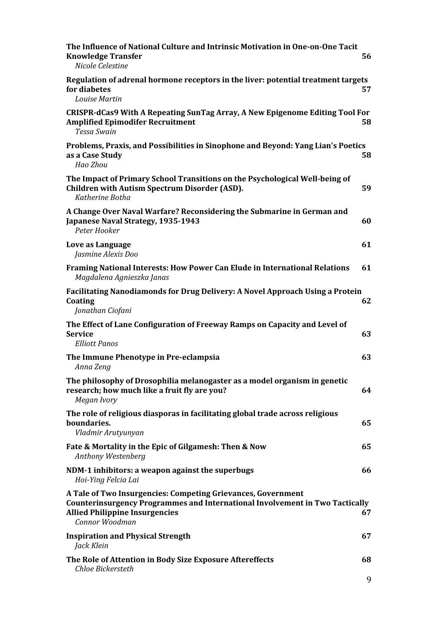| The Influence of National Culture and Intrinsic Motivation in One-on-One Tacit<br><b>Knowledge Transfer</b><br>Nicole Celestine                                                                                | 56      |
|----------------------------------------------------------------------------------------------------------------------------------------------------------------------------------------------------------------|---------|
| Regulation of adrenal hormone receptors in the liver: potential treatment targets<br>for diabetes<br><b>Louise Martin</b>                                                                                      | 57      |
| CRISPR-dCas9 With A Repeating SunTag Array, A New Epigenome Editing Tool For<br><b>Amplified Epimodifer Recruitment</b><br><b>Tessa Swain</b>                                                                  | 58      |
| Problems, Praxis, and Possibilities in Sinophone and Beyond: Yang Lian's Poetics<br>as a Case Study<br>Hao Zhou                                                                                                | 58      |
| The Impact of Primary School Transitions on the Psychological Well-being of<br><b>Children with Autism Spectrum Disorder (ASD).</b><br>Katherine Botha                                                         | 59      |
| A Change Over Naval Warfare? Reconsidering the Submarine in German and<br>Japanese Naval Strategy, 1935-1943<br>Peter Hooker                                                                                   | 60      |
| Love as Language<br>Jasmine Alexis Doo                                                                                                                                                                         | 61      |
| <b>Framing National Interests: How Power Can Elude in International Relations</b><br>Magdalena Agnieszka Janas                                                                                                 | 61      |
| Facilitating Nanodiamonds for Drug Delivery: A Novel Approach Using a Protein<br>Coating<br>Jonathan Ciofani                                                                                                   | 62      |
| The Effect of Lane Configuration of Freeway Ramps on Capacity and Level of<br><b>Service</b><br><b>Elliott Panos</b>                                                                                           | 63      |
| The Immune Phenotype in Pre-eclampsia<br>Anna Zeng                                                                                                                                                             | 63      |
| The philosophy of Drosophilia melanogaster as a model organism in genetic<br>research; how much like a fruit fly are you?<br>Megan Ivory                                                                       | 64      |
| The role of religious diasporas in facilitating global trade across religious<br>boundaries.<br>Vladmir Arutyunyan                                                                                             | 65      |
| Fate & Mortality in the Epic of Gilgamesh: Then & Now<br>Anthony Westenberg                                                                                                                                    | 65      |
| NDM-1 inhibitors: a weapon against the superbugs<br>Hoi-Ying Felcia Lai                                                                                                                                        | 66      |
| A Tale of Two Insurgencies: Competing Grievances, Government<br><b>Counterinsurgency Programmes and International Involvement in Two Tactically</b><br><b>Allied Philippine Insurgencies</b><br>Connor Woodman | 67      |
| <b>Inspiration and Physical Strength</b><br>Jack Klein                                                                                                                                                         | 67      |
| The Role of Attention in Body Size Exposure Aftereffects<br><b>Chloe Bickersteth</b>                                                                                                                           | 68<br>9 |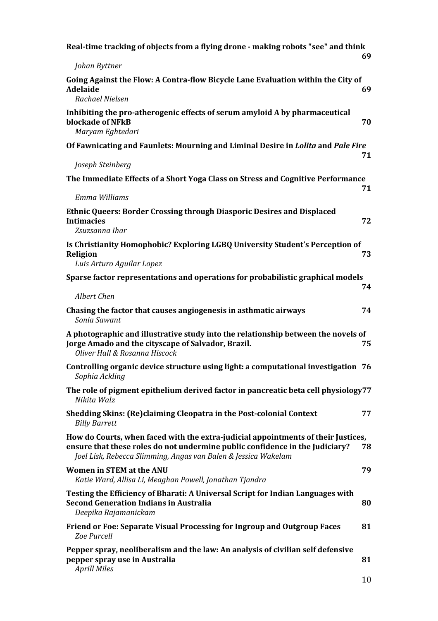| Real-time tracking of objects from a flying drone - making robots "see" and think                                                                                                                                                   | 69 |
|-------------------------------------------------------------------------------------------------------------------------------------------------------------------------------------------------------------------------------------|----|
| Johan Byttner                                                                                                                                                                                                                       |    |
| Going Against the Flow: A Contra-flow Bicycle Lane Evaluation within the City of<br>Adelaide<br>Rachael Nielsen                                                                                                                     | 69 |
| Inhibiting the pro-atherogenic effects of serum amyloid A by pharmaceutical<br>blockade of NFkB<br>Maryam Eghtedari                                                                                                                 | 70 |
| Of Fawnicating and Faunlets: Mourning and Liminal Desire in Lolita and Pale Fire                                                                                                                                                    | 71 |
| Joseph Steinberg                                                                                                                                                                                                                    |    |
| The Immediate Effects of a Short Yoga Class on Stress and Cognitive Performance                                                                                                                                                     | 71 |
| Emma Williams                                                                                                                                                                                                                       |    |
| <b>Ethnic Queers: Border Crossing through Diasporic Desires and Displaced</b><br><b>Intimacies</b><br>Zsuzsanna Ihar                                                                                                                | 72 |
| Is Christianity Homophobic? Exploring LGBQ University Student's Perception of<br>Religion<br>Luis Arturo Aguilar Lopez                                                                                                              | 73 |
| Sparse factor representations and operations for probabilistic graphical models                                                                                                                                                     |    |
|                                                                                                                                                                                                                                     | 74 |
| Albert Chen                                                                                                                                                                                                                         |    |
| Chasing the factor that causes angiogenesis in asthmatic airways<br>Sonia Sawant                                                                                                                                                    | 74 |
| A photographic and illustrative study into the relationship between the novels of<br>Jorge Amado and the cityscape of Salvador, Brazil.<br>Oliver Hall & Rosanna Hiscock                                                            | 75 |
| Controlling organic device structure using light: a computational investigation 76<br>Sophia Ackling                                                                                                                                |    |
| The role of pigment epithelium derived factor in pancreatic beta cell physiology77<br>Nikita Walz                                                                                                                                   |    |
| Shedding Skins: (Re)claiming Cleopatra in the Post-colonial Context<br><b>Billy Barrett</b>                                                                                                                                         | 77 |
| How do Courts, when faced with the extra-judicial appointments of their Justices,<br>ensure that these roles do not undermine public confidence in the Judiciary?<br>Joel Lisk, Rebecca Slimming, Angas van Balen & Jessica Wakelam | 78 |
| <b>Women in STEM at the ANU</b><br>Katie Ward, Allisa Li, Meaghan Powell, Jonathan Tjandra                                                                                                                                          | 79 |
| Testing the Efficiency of Bharati: A Universal Script for Indian Languages with<br><b>Second Generation Indians in Australia</b><br>Deepika Rajamanickam                                                                            | 80 |
| Friend or Foe: Separate Visual Processing for Ingroup and Outgroup Faces<br>Zoe Purcell                                                                                                                                             | 81 |
| Pepper spray, neoliberalism and the law: An analysis of civilian self defensive<br>pepper spray use in Australia<br><b>Aprill Miles</b>                                                                                             | 81 |
|                                                                                                                                                                                                                                     | 10 |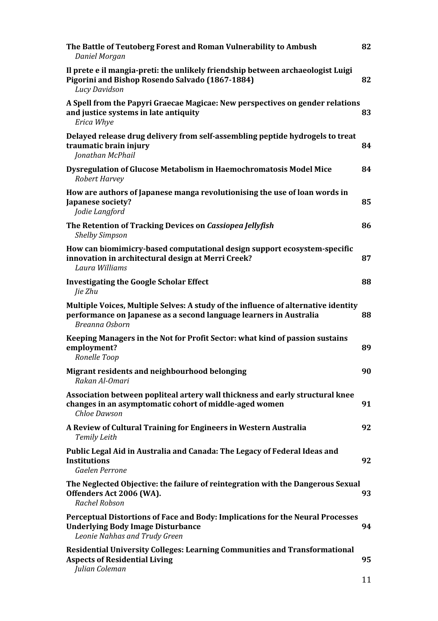| The Battle of Teutoberg Forest and Roman Vulnerability to Ambush<br>Daniel Morgan                                                                                          | 82 |
|----------------------------------------------------------------------------------------------------------------------------------------------------------------------------|----|
| Il prete e il mangia-preti: the unlikely friendship between archaeologist Luigi<br>Pigorini and Bishop Rosendo Salvado (1867-1884)<br>Lucy Davidson                        | 82 |
| A Spell from the Papyri Graecae Magicae: New perspectives on gender relations<br>and justice systems in late antiquity<br>Erica Whye                                       | 83 |
| Delayed release drug delivery from self-assembling peptide hydrogels to treat<br>traumatic brain injury<br>Jonathan McPhail                                                | 84 |
| Dysregulation of Glucose Metabolism in Haemochromatosis Model Mice<br>Robert Harvey                                                                                        | 84 |
| How are authors of Japanese manga revolutionising the use of loan words in<br>Japanese society?<br>Jodie Langford                                                          | 85 |
| The Retention of Tracking Devices on Cassiopea Jellyfish<br><b>Shelby Simpson</b>                                                                                          | 86 |
| How can biomimicry-based computational design support ecosystem-specific<br>innovation in architectural design at Merri Creek?<br>Laura Williams                           | 87 |
| <b>Investigating the Google Scholar Effect</b><br>Jie Zhu                                                                                                                  | 88 |
| Multiple Voices, Multiple Selves: A study of the influence of alternative identity<br>performance on Japanese as a second language learners in Australia<br>Breanna Osborn | 88 |
| Keeping Managers in the Not for Profit Sector: what kind of passion sustains<br>employment?<br>Ronelle Toop                                                                | 89 |
| Migrant residents and neighbourhood belonging<br>Rakan Al-Omari                                                                                                            | 90 |
| Association between popliteal artery wall thickness and early structural knee<br>changes in an asymptomatic cohort of middle-aged women<br>Chloe Dawson                    | 91 |
| A Review of Cultural Training for Engineers in Western Australia<br><b>Temily Leith</b>                                                                                    | 92 |
| Public Legal Aid in Australia and Canada: The Legacy of Federal Ideas and<br><b>Institutions</b><br><b>Gaelen Perrone</b>                                                  | 92 |
| The Neglected Objective: the failure of reintegration with the Dangerous Sexual<br>Offenders Act 2006 (WA).<br>Rachel Robson                                               | 93 |
| Perceptual Distortions of Face and Body: Implications for the Neural Processes<br><b>Underlying Body Image Disturbance</b><br>Leonie Nahhas and Trudy Green                | 94 |
| <b>Residential University Colleges: Learning Communities and Transformational</b><br><b>Aspects of Residential Living</b><br>Julian Coleman                                | 95 |
|                                                                                                                                                                            |    |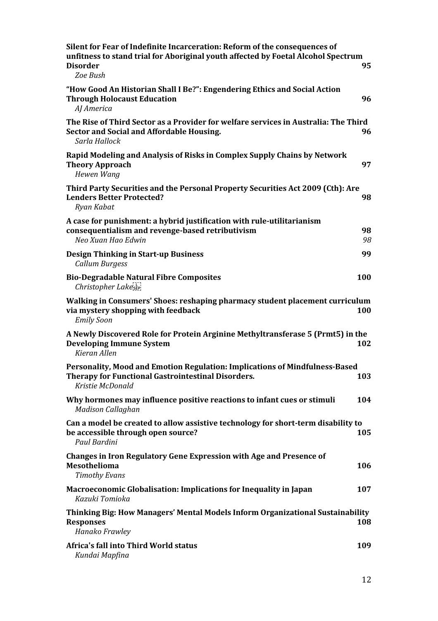| Silent for Fear of Indefinite Incarceration: Reform of the consequences of<br>unfitness to stand trial for Aboriginal youth affected by Foetal Alcohol Spectrum<br><b>Disorder</b><br>Zoe Bush | 95       |
|------------------------------------------------------------------------------------------------------------------------------------------------------------------------------------------------|----------|
| "How Good An Historian Shall I Be?": Engendering Ethics and Social Action<br><b>Through Holocaust Education</b><br>AJ America                                                                  | 96       |
| The Rise of Third Sector as a Provider for welfare services in Australia: The Third<br>Sector and Social and Affordable Housing.<br>Sarla Hallock                                              | 96       |
| Rapid Modeling and Analysis of Risks in Complex Supply Chains by Network<br><b>Theory Approach</b><br>Hewen Wang                                                                               | 97       |
| Third Party Securities and the Personal Property Securities Act 2009 (Cth): Are<br><b>Lenders Better Protected?</b><br>Ryan Kabat                                                              | 98       |
| A case for punishment: a hybrid justification with rule-utilitarianism<br>consequentialism and revenge-based retributivism<br>Neo Xuan Hao Edwin                                               | 98<br>98 |
| <b>Design Thinking in Start-up Business</b><br>Callum Burgess                                                                                                                                  | 99       |
| <b>Bio-Degradable Natural Fibre Composites</b><br>Christopher Lakeser                                                                                                                          | 100      |
| Walking in Consumers' Shoes: reshaping pharmacy student placement curriculum<br>via mystery shopping with feedback<br><b>Emily Soon</b>                                                        | 100      |
| A Newly Discovered Role for Protein Arginine Methyltransferase 5 (Prmt5) in the<br><b>Developing Immune System</b><br>Kieran Allen                                                             | 102      |
| Personality, Mood and Emotion Regulation: Implications of Mindfulness-Based<br><b>Therapy for Functional Gastrointestinal Disorders.</b><br>Kristie McDonald                                   | 103      |
| Why hormones may influence positive reactions to infant cues or stimuli<br><b>Madison Callaghan</b>                                                                                            | 104      |
| Can a model be created to allow assistive technology for short-term disability to<br>be accessible through open source?<br>Paul Bardini                                                        | 105      |
| <b>Changes in Iron Regulatory Gene Expression with Age and Presence of</b><br>Mesothelioma<br><b>Timothy Evans</b>                                                                             | 106      |
| <b>Macroeconomic Globalisation: Implications for Inequality in Japan</b><br>Kazuki Tomioka                                                                                                     | 107      |
| Thinking Big: How Managers' Mental Models Inform Organizational Sustainability<br><b>Responses</b><br>Hanako Frawley                                                                           | 108      |
| Africa's fall into Third World status<br>Kundai Mapfina                                                                                                                                        | 109      |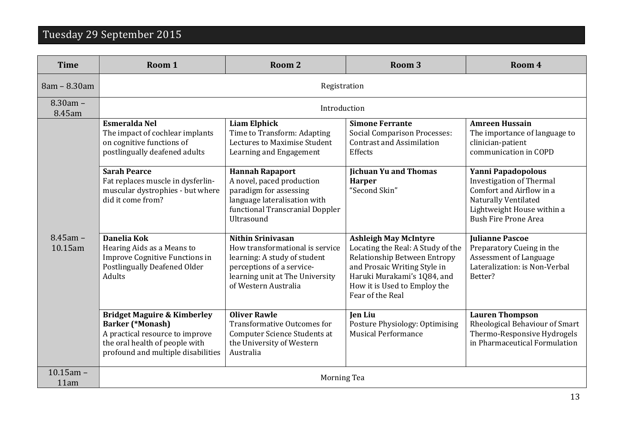# Tuesday 29 September 2015

| <b>Time</b>            | Room 1                                                                                                                                                                                                                | Room <sub>2</sub>                                                                                                                                                                              | Room <sub>3</sub>                                                                                                                                                                                                    | Room 4                                                                                                                                                                                    |
|------------------------|-----------------------------------------------------------------------------------------------------------------------------------------------------------------------------------------------------------------------|------------------------------------------------------------------------------------------------------------------------------------------------------------------------------------------------|----------------------------------------------------------------------------------------------------------------------------------------------------------------------------------------------------------------------|-------------------------------------------------------------------------------------------------------------------------------------------------------------------------------------------|
| 8am - 8.30am           | Registration                                                                                                                                                                                                          |                                                                                                                                                                                                |                                                                                                                                                                                                                      |                                                                                                                                                                                           |
| $8.30am -$<br>8.45am   | Introduction                                                                                                                                                                                                          |                                                                                                                                                                                                |                                                                                                                                                                                                                      |                                                                                                                                                                                           |
|                        | <b>Esmeralda Nel</b><br>The impact of cochlear implants<br>on cognitive functions of<br>postlingually deafened adults<br><b>Sarah Pearce</b><br>Fat replaces muscle in dysferlin-<br>muscular dystrophies - but where | <b>Liam Elphick</b><br>Time to Transform: Adapting<br>Lectures to Maximise Student<br>Learning and Engagement<br><b>Hannah Rapaport</b><br>A novel, paced production<br>paradigm for assessing | <b>Simone Ferrante</b><br><b>Social Comparison Processes:</b><br><b>Contrast and Assimilation</b><br>Effects<br><b>Jichuan Yu and Thomas</b><br><b>Harper</b><br>"Second Skin"                                       | <b>Amreen Hussain</b><br>The importance of language to<br>clinician-patient<br>communication in COPD<br>Yanni Papadopolous<br><b>Investigation of Thermal</b><br>Comfort and Airflow in a |
|                        | did it come from?                                                                                                                                                                                                     | language lateralisation with<br>functional Transcranial Doppler<br>Ultrasound                                                                                                                  |                                                                                                                                                                                                                      | Naturally Ventilated<br>Lightweight House within a<br><b>Bush Fire Prone Area</b>                                                                                                         |
| $8.45$ am -<br>10.15am | Danelia Kok<br>Hearing Aids as a Means to<br>Improve Cognitive Functions in<br><b>Postlingually Deafened Older</b><br>Adults                                                                                          | <b>Nithin Srinivasan</b><br>How transformational is service<br>learning: A study of student<br>perceptions of a service-<br>learning unit at The University<br>of Western Australia            | <b>Ashleigh May McIntyre</b><br>Locating the Real: A Study of the<br>Relationship Between Entropy<br>and Prosaic Writing Style in<br>Haruki Murakami's 1Q84, and<br>How it is Used to Employ the<br>Fear of the Real | <b>Julianne Pascoe</b><br>Preparatory Cueing in the<br>Assessment of Language<br>Lateralization: is Non-Verbal<br>Better?                                                                 |
|                        | <b>Bridget Maguire &amp; Kimberley</b><br><b>Barker (*Monash)</b><br>A practical resource to improve<br>the oral health of people with<br>profound and multiple disabilities                                          | <b>Oliver Rawle</b><br><b>Transformative Outcomes for</b><br>Computer Science Students at<br>the University of Western<br>Australia                                                            | <b>Jen Liu</b><br>Posture Physiology: Optimising<br><b>Musical Performance</b>                                                                                                                                       | <b>Lauren Thompson</b><br>Rheological Behaviour of Smart<br>Thermo-Responsive Hydrogels<br>in Pharmaceutical Formulation                                                                  |
| $10.15$ am -<br>11am   | Morning Tea                                                                                                                                                                                                           |                                                                                                                                                                                                |                                                                                                                                                                                                                      |                                                                                                                                                                                           |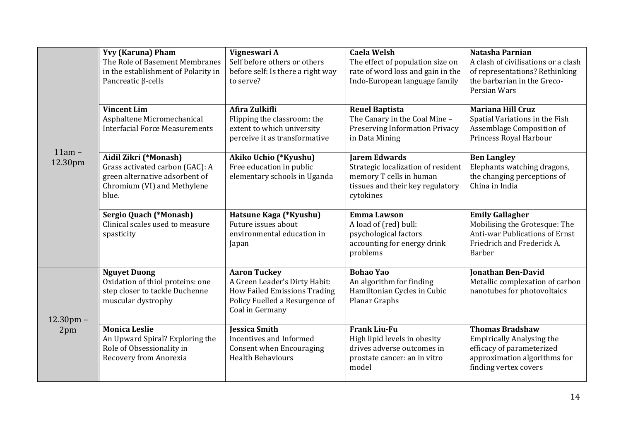| $11am -$<br>12.30pm | <b>Yvy (Karuna) Pham</b><br>The Role of Basement Membranes<br>in the establishment of Polarity in<br>Pancreatic β-cells<br><b>Vincent Lim</b><br>Asphaltene Micromechanical<br><b>Interfacial Force Measurements</b> | Vigneswari A<br>Self before others or others<br>before self: Is there a right way<br>to serve?<br>Afira Zulkifli<br>Flipping the classroom: the<br>extent to which university<br>perceive it as transformative | <b>Caela Welsh</b><br>The effect of population size on<br>rate of word loss and gain in the<br>Indo-European language family<br><b>Reuel Baptista</b><br>The Canary in the Coal Mine -<br><b>Preserving Information Privacy</b><br>in Data Mining | Natasha Parnian<br>A clash of civilisations or a clash<br>of representations? Rethinking<br>the barbarian in the Greco-<br>Persian Wars<br><b>Mariana Hill Cruz</b><br>Spatial Variations in the Fish<br>Assemblage Composition of<br>Princess Royal Harbour |
|---------------------|----------------------------------------------------------------------------------------------------------------------------------------------------------------------------------------------------------------------|----------------------------------------------------------------------------------------------------------------------------------------------------------------------------------------------------------------|---------------------------------------------------------------------------------------------------------------------------------------------------------------------------------------------------------------------------------------------------|--------------------------------------------------------------------------------------------------------------------------------------------------------------------------------------------------------------------------------------------------------------|
|                     | Aidil Zikri (*Monash)<br>Grass activated carbon (GAC): A<br>green alternative adsorbent of<br>Chromium (VI) and Methylene<br>blue.                                                                                   | Akiko Uchio (*Kyushu)<br>Free education in public<br>elementary schools in Uganda                                                                                                                              | <b>Jarem Edwards</b><br>Strategic localization of resident<br>memory T cells in human<br>tissues and their key regulatory<br>cytokines                                                                                                            | <b>Ben Langley</b><br>Elephants watching dragons,<br>the changing perceptions of<br>China in India                                                                                                                                                           |
|                     | <b>Sergio Quach (*Monash)</b><br>Clinical scales used to measure<br>spasticity                                                                                                                                       | Hatsune Kaga (*Kyushu)<br>Future issues about<br>environmental education in<br>Japan                                                                                                                           | <b>Emma Lawson</b><br>A load of (red) bull:<br>psychological factors<br>accounting for energy drink<br>problems                                                                                                                                   | <b>Emily Gallagher</b><br>Mobilising the Grotesque: The<br><b>Anti-war Publications of Ernst</b><br>Friedrich and Frederick A.<br><b>Barber</b>                                                                                                              |
| $12.30$ pm -<br>2pm | <b>Nguyet Duong</b><br>Oxidation of thiol proteins: one<br>step closer to tackle Duchenne<br>muscular dystrophy                                                                                                      | <b>Aaron Tuckey</b><br>A Green Leader's Dirty Habit:<br><b>How Failed Emissions Trading</b><br>Policy Fuelled a Resurgence of<br>Coal in Germany                                                               | <b>Bohao Yao</b><br>An algorithm for finding<br>Hamiltonian Cycles in Cubic<br>Planar Graphs                                                                                                                                                      | <b>Jonathan Ben-David</b><br>Metallic complexation of carbon<br>nanotubes for photovoltaics                                                                                                                                                                  |
|                     | <b>Monica Leslie</b><br>An Upward Spiral? Exploring the<br>Role of Obsessionality in<br>Recovery from Anorexia                                                                                                       | <b>Jessica Smith</b><br>Incentives and Informed<br><b>Consent when Encouraging</b><br><b>Health Behaviours</b>                                                                                                 | <b>Frank Liu-Fu</b><br>High lipid levels in obesity<br>drives adverse outcomes in<br>prostate cancer: an in vitro<br>model                                                                                                                        | <b>Thomas Bradshaw</b><br><b>Empirically Analysing the</b><br>efficacy of parameterized<br>approximation algorithms for<br>finding vertex covers                                                                                                             |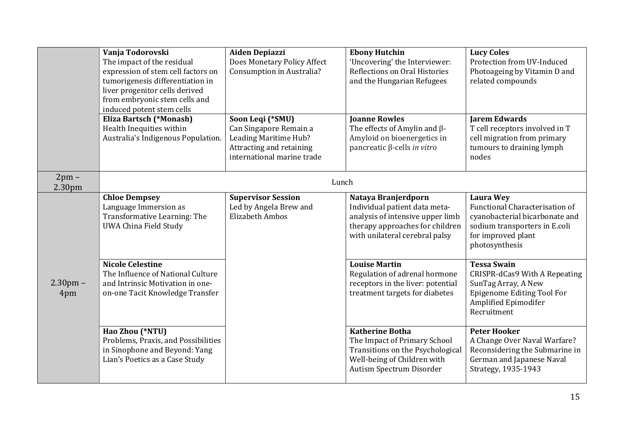|                    | Vanja Todorovski<br>The impact of the residual<br>expression of stem cell factors on<br>tumorigenesis differentiation in<br>liver progenitor cells derived<br>from embryonic stem cells and<br>induced potent stem cells | <b>Aiden Depiazzi</b><br>Does Monetary Policy Affect<br>Consumption in Australia?                                             | <b>Ebony Hutchin</b><br>'Uncovering' the Interviewer:<br>Reflections on Oral Histories<br>and the Hungarian Refugees                                          | <b>Lucy Coles</b><br>Protection from UV-Induced<br>Photoageing by Vitamin D and<br>related compounds                                                                 |
|--------------------|--------------------------------------------------------------------------------------------------------------------------------------------------------------------------------------------------------------------------|-------------------------------------------------------------------------------------------------------------------------------|---------------------------------------------------------------------------------------------------------------------------------------------------------------|----------------------------------------------------------------------------------------------------------------------------------------------------------------------|
|                    | <b>Eliza Bartsch (*Monash)</b><br>Health Inequities within<br>Australia's Indigenous Population.                                                                                                                         | Soon Leqi (*SMU)<br>Can Singapore Remain a<br>Leading Maritime Hub?<br>Attracting and retaining<br>international marine trade | <b>Joanne Rowles</b><br>The effects of Amylin and $\beta$ -<br>Amyloid on bioenergetics in<br>pancreatic $\beta$ -cells in vitro                              | <b>Jarem Edwards</b><br>T cell receptors involved in T<br>cell migration from primary<br>tumours to draining lymph<br>nodes                                          |
| $2pm -$<br>2.30pm  |                                                                                                                                                                                                                          | Lunch                                                                                                                         |                                                                                                                                                               |                                                                                                                                                                      |
|                    | <b>Chloe Dempsey</b><br>Language Immersion as<br>Transformative Learning: The<br><b>UWA China Field Study</b>                                                                                                            | <b>Supervisor Session</b><br>Led by Angela Brew and<br><b>Elizabeth Ambos</b>                                                 | Nataya Branjerdporn<br>Individual patient data meta-<br>analysis of intensive upper limb<br>therapy approaches for children<br>with unilateral cerebral palsy | <b>Laura Wey</b><br><b>Functional Characterisation of</b><br>cyanobacterial bicarbonate and<br>sodium transporters in E.coli<br>for improved plant<br>photosynthesis |
| $2.30$ pm –<br>4pm | <b>Nicole Celestine</b><br>The Influence of National Culture<br>and Intrinsic Motivation in one-<br>on-one Tacit Knowledge Transfer                                                                                      |                                                                                                                               | <b>Louise Martin</b><br>Regulation of adrenal hormone<br>receptors in the liver: potential<br>treatment targets for diabetes                                  | <b>Tessa Swain</b><br>CRISPR-dCas9 With A Repeating<br>SunTag Array, A New<br><b>Epigenome Editing Tool For</b><br>Amplified Epimodifer<br>Recruitment               |
|                    | Hao Zhou (*NTU)<br>Problems, Praxis, and Possibilities<br>in Sinophone and Beyond: Yang<br>Lian's Poetics as a Case Study                                                                                                |                                                                                                                               | <b>Katherine Botha</b><br>The Impact of Primary School<br>Transitions on the Psychological<br>Well-being of Children with<br>Autism Spectrum Disorder         | <b>Peter Hooker</b><br>A Change Over Naval Warfare?<br>Reconsidering the Submarine in<br>German and Japanese Naval<br>Strategy, 1935-1943                            |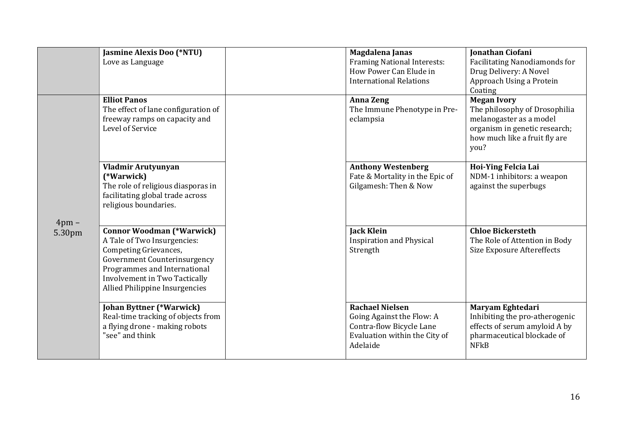|                      | <b>Jasmine Alexis Doo (*NTU)</b><br>Love as Language                                                                                                                                                                               |  | Magdalena Janas<br>Framing National Interests:<br>How Power Can Elude in<br><b>International Relations</b>                   | <b>Jonathan Ciofani</b><br>Facilitating Nanodiamonds for<br>Drug Delivery: A Novel<br>Approach Using a Protein<br>Coating                                |
|----------------------|------------------------------------------------------------------------------------------------------------------------------------------------------------------------------------------------------------------------------------|--|------------------------------------------------------------------------------------------------------------------------------|----------------------------------------------------------------------------------------------------------------------------------------------------------|
| $4$ pm $-$<br>5.30pm | <b>Elliot Panos</b><br>The effect of lane configuration of<br>freeway ramps on capacity and<br>Level of Service                                                                                                                    |  | <b>Anna Zeng</b><br>The Immune Phenotype in Pre-<br>eclampsia                                                                | <b>Megan Ivory</b><br>The philosophy of Drosophilia<br>melanogaster as a model<br>organism in genetic research;<br>how much like a fruit fly are<br>you? |
|                      | Vladmir Arutyunyan<br>(*Warwick)<br>The role of religious diasporas in<br>facilitating global trade across<br>religious boundaries.                                                                                                |  | <b>Anthony Westenberg</b><br>Fate & Mortality in the Epic of<br>Gilgamesh: Then & Now                                        | Hoi-Ying Felcia Lai<br>NDM-1 inhibitors: a weapon<br>against the superbugs                                                                               |
|                      | <b>Connor Woodman (*Warwick)</b><br>A Tale of Two Insurgencies:<br>Competing Grievances,<br><b>Government Counterinsurgency</b><br>Programmes and International<br>Involvement in Two Tactically<br>Allied Philippine Insurgencies |  | <b>Jack Klein</b><br><b>Inspiration and Physical</b><br>Strength                                                             | <b>Chloe Bickersteth</b><br>The Role of Attention in Body<br><b>Size Exposure Aftereffects</b>                                                           |
|                      | <b>Johan Byttner (*Warwick)</b><br>Real-time tracking of objects from<br>a flying drone - making robots<br>"see" and think                                                                                                         |  | <b>Rachael Nielsen</b><br>Going Against the Flow: A<br>Contra-flow Bicycle Lane<br>Evaluation within the City of<br>Adelaide | Maryam Eghtedari<br>Inhibiting the pro-atherogenic<br>effects of serum amyloid A by<br>pharmaceutical blockade of<br><b>NFkB</b>                         |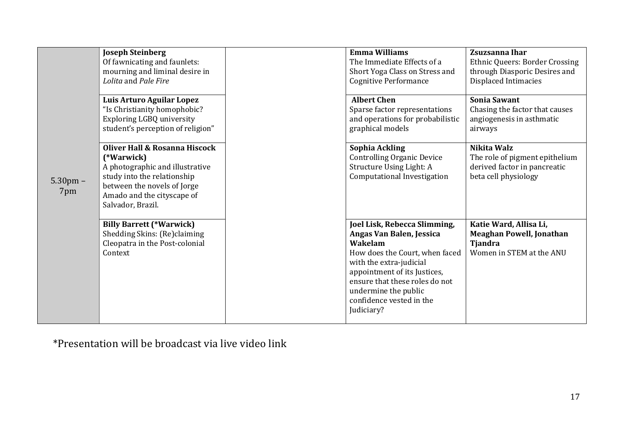| $5.30$ pm $-$<br>7pm | <b>Joseph Steinberg</b><br>Of fawnicating and faunlets:<br>mourning and liminal desire in<br>Lolita and Pale Fire<br>Luis Arturo Aguilar Lopez<br>"Is Christianity homophobic? |  | <b>Emma Williams</b><br>The Immediate Effects of a<br>Short Yoga Class on Stress and<br><b>Cognitive Performance</b><br><b>Albert Chen</b><br>Sparse factor representations                                                                                          | Zsuzsanna Ihar<br><b>Ethnic Queers: Border Crossing</b><br>through Diasporic Desires and<br>Displaced Intimacies<br><b>Sonia Sawant</b><br>Chasing the factor that causes |
|----------------------|--------------------------------------------------------------------------------------------------------------------------------------------------------------------------------|--|----------------------------------------------------------------------------------------------------------------------------------------------------------------------------------------------------------------------------------------------------------------------|---------------------------------------------------------------------------------------------------------------------------------------------------------------------------|
|                      | <b>Exploring LGBQ university</b><br>student's perception of religion"<br>Oliver Hall & Rosanna Hiscock                                                                         |  | and operations for probabilistic<br>graphical models<br>Sophia Ackling                                                                                                                                                                                               | angiogenesis in asthmatic<br>airways<br>Nikita Walz                                                                                                                       |
|                      | (*Warwick)<br>A photographic and illustrative<br>study into the relationship<br>between the novels of Jorge<br>Amado and the cityscape of<br>Salvador, Brazil.                 |  | <b>Controlling Organic Device</b><br>Structure Using Light: A<br>Computational Investigation                                                                                                                                                                         | The role of pigment epithelium<br>derived factor in pancreatic<br>beta cell physiology                                                                                    |
|                      | <b>Billy Barrett (*Warwick)</b><br>Shedding Skins: (Re)claiming<br>Cleopatra in the Post-colonial<br>Context                                                                   |  | Joel Lisk, Rebecca Slimming,<br>Angas Van Balen, Jessica<br>Wakelam<br>How does the Court, when faced<br>with the extra-judicial<br>appointment of its Justices,<br>ensure that these roles do not<br>undermine the public<br>confidence vested in the<br>Judiciary? | Katie Ward, Allisa Li,<br><b>Meaghan Powell, Jonathan</b><br><b>Tjandra</b><br>Women in STEM at the ANU                                                                   |

\*Presentation will be broadcast via live video link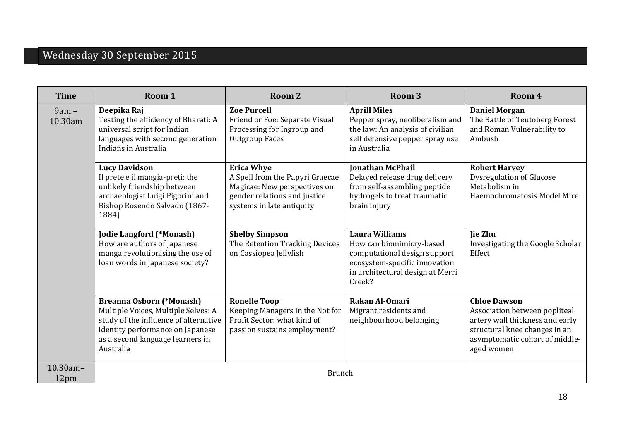# Wednesday 30 September 2015

| <b>Time</b>        | Room 1                                                                                                                                                                                               | Room 2                                                                                                                                            | Room <sub>3</sub>                                                                                                                                                | Room 4                                                                                                                                                                   |
|--------------------|------------------------------------------------------------------------------------------------------------------------------------------------------------------------------------------------------|---------------------------------------------------------------------------------------------------------------------------------------------------|------------------------------------------------------------------------------------------------------------------------------------------------------------------|--------------------------------------------------------------------------------------------------------------------------------------------------------------------------|
| $9am -$<br>10.30am | Deepika Raj<br>Testing the efficiency of Bharati: A<br>universal script for Indian<br>languages with second generation<br>Indians in Australia                                                       | <b>Zoe Purcell</b><br>Friend or Foe: Separate Visual<br>Processing for Ingroup and<br>Outgroup Faces                                              | <b>Aprill Miles</b><br>Pepper spray, neoliberalism and<br>the law: An analysis of civilian<br>self defensive pepper spray use<br>in Australia                    | <b>Daniel Morgan</b><br>The Battle of Teutoberg Forest<br>and Roman Vulnerability to<br>Ambush                                                                           |
|                    | <b>Lucy Davidson</b><br>Il prete e il mangia-preti: the<br>unlikely friendship between<br>archaeologist Luigi Pigorini and<br>Bishop Rosendo Salvado (1867-<br>1884)                                 | <b>Erica Whye</b><br>A Spell from the Papyri Graecae<br>Magicae: New perspectives on<br>gender relations and justice<br>systems in late antiquity | <b>Ionathan McPhail</b><br>Delayed release drug delivery<br>from self-assembling peptide<br>hydrogels to treat traumatic<br>brain injury                         | <b>Robert Harvey</b><br><b>Dysregulation of Glucose</b><br>Metabolism in<br>Haemochromatosis Model Mice                                                                  |
|                    | <b>Jodie Langford (*Monash)</b><br>How are authors of Japanese<br>manga revolutionising the use of<br>loan words in Japanese society?                                                                | <b>Shelby Simpson</b><br>The Retention Tracking Devices<br>on Cassiopea Jellyfish                                                                 | <b>Laura Williams</b><br>How can biomimicry-based<br>computational design support<br>ecosystem-specific innovation<br>in architectural design at Merri<br>Creek? | <b>Jie Zhu</b><br>Investigating the Google Scholar<br>Effect                                                                                                             |
|                    | <b>Breanna Osborn (*Monash)</b><br>Multiple Voices, Multiple Selves: A<br>study of the influence of alternative<br>identity performance on Japanese<br>as a second language learners in<br>Australia | <b>Ronelle Toop</b><br>Keeping Managers in the Not for<br>Profit Sector: what kind of<br>passion sustains employment?                             | Rakan Al-Omari<br>Migrant residents and<br>neighbourhood belonging                                                                                               | <b>Chloe Dawson</b><br>Association between popliteal<br>artery wall thickness and early<br>structural knee changes in an<br>asymptomatic cohort of middle-<br>aged women |
| 10.30am-<br>12pm   | <b>Brunch</b>                                                                                                                                                                                        |                                                                                                                                                   |                                                                                                                                                                  |                                                                                                                                                                          |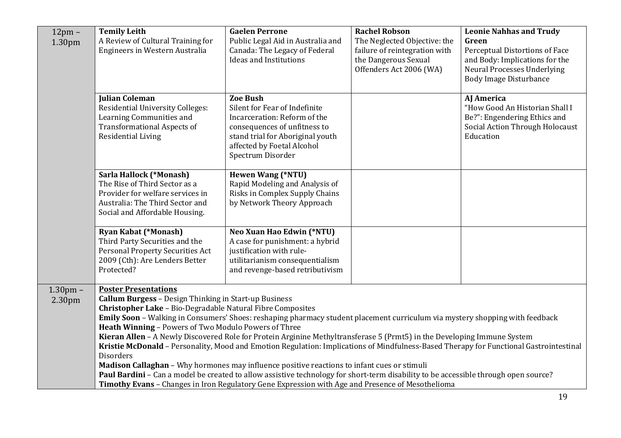| $12pm -$<br>1.30 <sub>pm</sub> | <b>Temily Leith</b><br>A Review of Cultural Training for<br>Engineers in Western Australia                                                                                                                                                                                                                                                                                                                                                                                                                                                                                                                                                                                                                                                                                                                                                                                                                                                                                           | <b>Gaelen Perrone</b><br>Public Legal Aid in Australia and<br>Canada: The Legacy of Federal<br><b>Ideas and Institutions</b>                                                                            | <b>Rachel Robson</b><br>The Neglected Objective: the<br>failure of reintegration with<br>the Dangerous Sexual<br>Offenders Act 2006 (WA) | <b>Leonie Nahhas and Trudy</b><br>Green<br>Perceptual Distortions of Face<br>and Body: Implications for the<br><b>Neural Processes Underlying</b><br><b>Body Image Disturbance</b> |
|--------------------------------|--------------------------------------------------------------------------------------------------------------------------------------------------------------------------------------------------------------------------------------------------------------------------------------------------------------------------------------------------------------------------------------------------------------------------------------------------------------------------------------------------------------------------------------------------------------------------------------------------------------------------------------------------------------------------------------------------------------------------------------------------------------------------------------------------------------------------------------------------------------------------------------------------------------------------------------------------------------------------------------|---------------------------------------------------------------------------------------------------------------------------------------------------------------------------------------------------------|------------------------------------------------------------------------------------------------------------------------------------------|------------------------------------------------------------------------------------------------------------------------------------------------------------------------------------|
|                                | <b>Julian Coleman</b><br><b>Residential University Colleges:</b><br>Learning Communities and<br><b>Transformational Aspects of</b><br><b>Residential Living</b>                                                                                                                                                                                                                                                                                                                                                                                                                                                                                                                                                                                                                                                                                                                                                                                                                      | <b>Zoe Bush</b><br>Silent for Fear of Indefinite<br>Incarceration: Reform of the<br>consequences of unfitness to<br>stand trial for Aboriginal youth<br>affected by Foetal Alcohol<br>Spectrum Disorder |                                                                                                                                          | <b>AJ America</b><br>"How Good An Historian Shall I<br>Be?": Engendering Ethics and<br>Social Action Through Holocaust<br>Education                                                |
|                                | Sarla Hallock (*Monash)<br>The Rise of Third Sector as a<br>Provider for welfare services in<br>Australia: The Third Sector and<br>Social and Affordable Housing.                                                                                                                                                                                                                                                                                                                                                                                                                                                                                                                                                                                                                                                                                                                                                                                                                    | <b>Hewen Wang (*NTU)</b><br>Rapid Modeling and Analysis of<br>Risks in Complex Supply Chains<br>by Network Theory Approach                                                                              |                                                                                                                                          |                                                                                                                                                                                    |
|                                | <b>Ryan Kabat (*Monash)</b><br>Third Party Securities and the<br>Personal Property Securities Act<br>2009 (Cth): Are Lenders Better<br>Protected?                                                                                                                                                                                                                                                                                                                                                                                                                                                                                                                                                                                                                                                                                                                                                                                                                                    | Neo Xuan Hao Edwin (*NTU)<br>A case for punishment: a hybrid<br>justification with rule-<br>utilitarianism consequentialism<br>and revenge-based retributivism                                          |                                                                                                                                          |                                                                                                                                                                                    |
| $1.30pm$ -<br>2.30pm           | <b>Poster Presentations</b><br><b>Callum Burgess - Design Thinking in Start-up Business</b><br>Christopher Lake - Bio-Degradable Natural Fibre Composites<br>Emily Soon - Walking in Consumers' Shoes: reshaping pharmacy student placement curriculum via mystery shopping with feedback<br>Heath Winning - Powers of Two Modulo Powers of Three<br>Kieran Allen - A Newly Discovered Role for Protein Arginine Methyltransferase 5 (Prmt5) in the Developing Immune System<br>Kristie McDonald - Personality, Mood and Emotion Regulation: Implications of Mindfulness-Based Therapy for Functional Gastrointestinal<br><b>Disorders</b><br>Madison Callaghan - Why hormones may influence positive reactions to infant cues or stimuli<br>Paul Bardini - Can a model be created to allow assistive technology for short-term disability to be accessible through open source?<br>Timothy Evans - Changes in Iron Regulatory Gene Expression with Age and Presence of Mesothelioma |                                                                                                                                                                                                         |                                                                                                                                          |                                                                                                                                                                                    |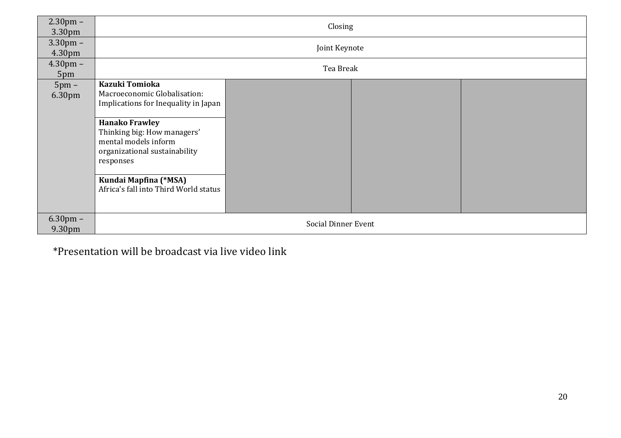| $2.30 \text{pm} -$<br>3.30pm | Closing                                                                                                                                                                                                                                                                                |  |  |  |
|------------------------------|----------------------------------------------------------------------------------------------------------------------------------------------------------------------------------------------------------------------------------------------------------------------------------------|--|--|--|
| $3.30 \text{pm} -$<br>4.30pm | Joint Keynote                                                                                                                                                                                                                                                                          |  |  |  |
| $4.30 \text{pm} -$<br>5pm    | Tea Break                                                                                                                                                                                                                                                                              |  |  |  |
| $5pm -$<br>6.30pm            | Kazuki Tomioka<br>Macroeconomic Globalisation:<br>Implications for Inequality in Japan<br><b>Hanako Frawley</b><br>Thinking big: How managers'<br>mental models inform<br>organizational sustainability<br>responses<br>Kundai Mapfina (*MSA)<br>Africa's fall into Third World status |  |  |  |
| $6.30 \text{pm}$ –<br>9.30pm | <b>Social Dinner Event</b>                                                                                                                                                                                                                                                             |  |  |  |

\*Presentation will be broadcast via live video link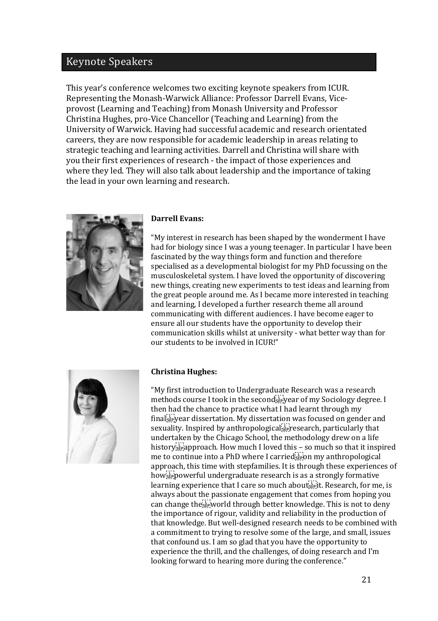# Keynote Speakers

This year's conference welcomes two exciting keynote speakers from ICUR. Representing the Monash-Warwick Alliance: Professor Darrell Evans, Viceprovost (Learning and Teaching) from Monash University and Professor Christina Hughes, pro-Vice Chancellor (Teaching and Learning) from the University of Warwick. Having had successful academic and research orientated careers, they are now responsible for academic leadership in areas relating to strategic teaching and learning activities. Darrell and Christina will share with you their first experiences of research - the impact of those experiences and where they led. They will also talk about leadership and the importance of taking the lead in your own learning and research.



#### **Darrell Evans:**

"My interest in research has been shaped by the wonderment I have had for biology since I was a young teenager. In particular I have been fascinated by the way things form and function and therefore specialised as a developmental biologist for my PhD focussing on the musculoskeletal system. I have loved the opportunity of discovering new things, creating new experiments to test ideas and learning from the great people around me. As I became more interested in teaching and learning, I developed a further research theme all around communicating with different audiences. I have become eager to ensure all our students have the opportunity to develop their communication skills whilst at university - what better way than for our students to be involved in ICUR!"



#### **Christina Hughes:**

"My first introduction to Undergraduate Research was a research methods course I took in the seconds region of my Sociology degree. I then had the chance to practice what I had learnt through my final september dissertation. My dissertation was focused on gender and sexuality. Inspired by anthropological  $\mathbb{E}[\mathbb{F}]$  research, particularly that undertaken by the Chicago School, the methodology drew on a life history<sup>s</sup><sub>E</sub> approach. How much I loved this - so much so that it inspired me to continue into a PhD where I carried  $\overline{\mathbf{F}_{\mathbf{F}}^{[1]}$  on my anthropological approach, this time with stepfamilies. It is through these experiences of how<sub>se</sub> powerful undergraduate research is as a strongly formative learning experience that I care so much about  $\mathbb{E}^{\mathbb{H}}$  it. Research, for me, is always about the passionate engagement that comes from hoping you can change the  $\sum_{s \in \mathcal{S}}^{\{1, \ldots, k\}}$  world through better knowledge. This is not to deny the importance of rigour, validity and reliability in the production of that knowledge. But well-designed research needs to be combined with a commitment to trying to resolve some of the large, and small, issues that confound us. I am so glad that you have the opportunity to experience the thrill, and the challenges, of doing research and I'm looking forward to hearing more during the conference."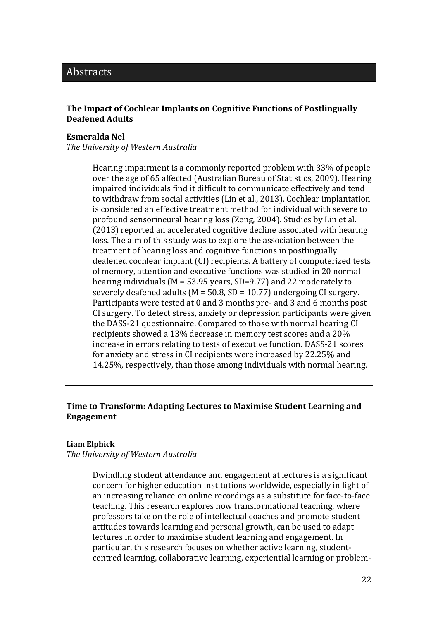# Abstracts

# **The Impact of Cochlear Implants on Cognitive Functions of Postlingually Deafened Adults**

## **Esmeralda Nel**

*The University of Western Australia*

Hearing impairment is a commonly reported problem with 33% of people over the age of 65 affected (Australian Bureau of Statistics, 2009). Hearing impaired individuals find it difficult to communicate effectively and tend to withdraw from social activities (Lin et al., 2013). Cochlear implantation is considered an effective treatment method for individual with severe to profound sensorineural hearing loss (Zeng, 2004). Studies by Lin et al. (2013) reported an accelerated cognitive decline associated with hearing loss. The aim of this study was to explore the association between the treatment of hearing loss and cognitive functions in postlingually deafened cochlear implant (CI) recipients. A battery of computerized tests of memory, attention and executive functions was studied in 20 normal hearing individuals (M = 53.95 years, SD=9.77) and 22 moderately to severely deafened adults ( $M = 50.8$ ,  $SD = 10.77$ ) undergoing CI surgery. Participants were tested at 0 and 3 months pre- and 3 and 6 months post CI surgery. To detect stress, anxiety or depression participants were given the DASS-21 questionnaire. Compared to those with normal hearing CI recipients showed a 13% decrease in memory test scores and a 20% increase in errors relating to tests of executive function. DASS-21 scores for anxiety and stress in CI recipients were increased by 22.25% and 14.25%, respectively, than those among individuals with normal hearing.

# **Time to Transform: Adapting Lectures to Maximise Student Learning and Engagement**

#### **Liam Elphick**

*The University of Western Australia*

Dwindling student attendance and engagement at lectures is a significant concern for higher education institutions worldwide, especially in light of an increasing reliance on online recordings as a substitute for face-to-face teaching. This research explores how transformational teaching, where professors take on the role of intellectual coaches and promote student attitudes towards learning and personal growth, can be used to adapt lectures in order to maximise student learning and engagement. In particular, this research focuses on whether active learning, studentcentred learning, collaborative learning, experiential learning or problem-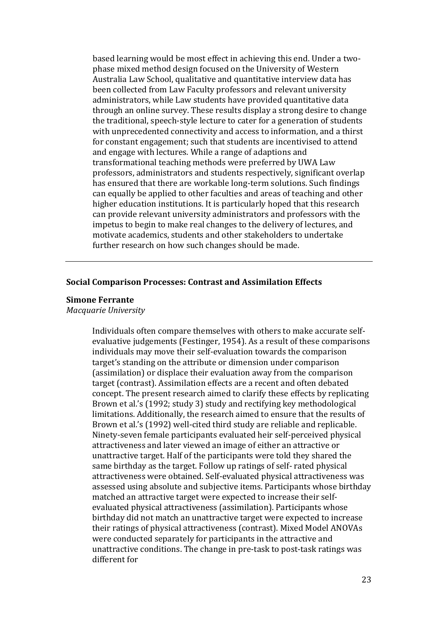based learning would be most effect in achieving this end. Under a twophase mixed method design focused on the University of Western Australia Law School, qualitative and quantitative interview data has been collected from Law Faculty professors and relevant university administrators, while Law students have provided quantitative data through an online survey. These results display a strong desire to change the traditional, speech-style lecture to cater for a generation of students with unprecedented connectivity and access to information, and a thirst for constant engagement; such that students are incentivised to attend and engage with lectures. While a range of adaptions and transformational teaching methods were preferred by UWA Law professors, administrators and students respectively, significant overlap has ensured that there are workable long-term solutions. Such findings can equally be applied to other faculties and areas of teaching and other higher education institutions. It is particularly hoped that this research can provide relevant university administrators and professors with the impetus to begin to make real changes to the delivery of lectures, and motivate academics, students and other stakeholders to undertake further research on how such changes should be made.

# **Social Comparison Processes: Contrast and Assimilation Effects**

#### **Simone Ferrante**

*Macquarie University*

Individuals often compare themselves with others to make accurate selfevaluative judgements (Festinger, 1954). As a result of these comparisons individuals may move their self-evaluation towards the comparison target's standing on the attribute or dimension under comparison (assimilation) or displace their evaluation away from the comparison target (contrast). Assimilation effects are a recent and often debated concept. The present research aimed to clarify these effects by replicating Brown et al.'s (1992; study 3) study and rectifying key methodological limitations. Additionally, the research aimed to ensure that the results of Brown et al.'s (1992) well-cited third study are reliable and replicable. Ninety-seven female participants evaluated heir self-perceived physical attractiveness and later viewed an image of either an attractive or unattractive target. Half of the participants were told they shared the same birthday as the target. Follow up ratings of self- rated physical attractiveness were obtained. Self-evaluated physical attractiveness was assessed using absolute and subjective items. Participants whose birthday matched an attractive target were expected to increase their selfevaluated physical attractiveness (assimilation). Participants whose birthday did not match an unattractive target were expected to increase their ratings of physical attractiveness (contrast). Mixed Model ANOVAs were conducted separately for participants in the attractive and unattractive conditions. The change in pre-task to post-task ratings was different for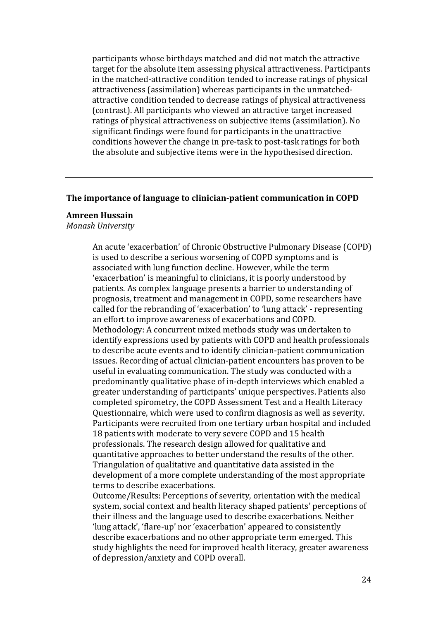participants whose birthdays matched and did not match the attractive target for the absolute item assessing physical attractiveness. Participants in the matched-attractive condition tended to increase ratings of physical attractiveness (assimilation) whereas participants in the unmatchedattractive condition tended to decrease ratings of physical attractiveness (contrast). All participants who viewed an attractive target increased ratings of physical attractiveness on subjective items (assimilation). No significant findings were found for participants in the unattractive conditions however the change in pre-task to post-task ratings for both the absolute and subjective items were in the hypothesised direction.

#### **The importance of language to clinician-patient communication in COPD**

#### **Amreen Hussain**

*Monash University*

An acute 'exacerbation' of Chronic Obstructive Pulmonary Disease (COPD) is used to describe a serious worsening of COPD symptoms and is associated with lung function decline. However, while the term 'exacerbation' is meaningful to clinicians, it is poorly understood by patients. As complex language presents a barrier to understanding of prognosis, treatment and management in COPD, some researchers have called for the rebranding of 'exacerbation' to 'lung attack' - representing an effort to improve awareness of exacerbations and COPD. Methodology: A concurrent mixed methods study was undertaken to identify expressions used by patients with COPD and health professionals to describe acute events and to identify clinician-patient communication issues. Recording of actual clinician-patient encounters has proven to be useful in evaluating communication. The study was conducted with a predominantly qualitative phase of in-depth interviews which enabled a greater understanding of participants' unique perspectives. Patients also completed spirometry, the COPD Assessment Test and a Health Literacy Questionnaire, which were used to confirm diagnosis as well as severity. Participants were recruited from one tertiary urban hospital and included 18 patients with moderate to very severe COPD and 15 health professionals. The research design allowed for qualitative and quantitative approaches to better understand the results of the other. Triangulation of qualitative and quantitative data assisted in the development of a more complete understanding of the most appropriate terms to describe exacerbations.

Outcome/Results: Perceptions of severity, orientation with the medical system, social context and health literacy shaped patients' perceptions of their illness and the language used to describe exacerbations. Neither 'lung attack', 'flare-up' nor 'exacerbation' appeared to consistently describe exacerbations and no other appropriate term emerged. This study highlights the need for improved health literacy, greater awareness of depression/anxiety and COPD overall.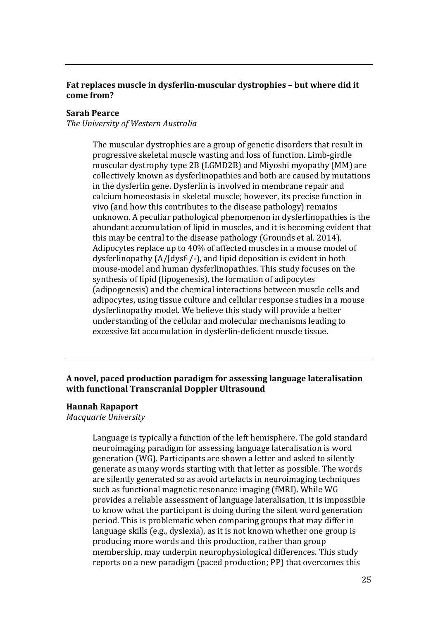# **Fat replaces muscle in dysferlin-muscular dystrophies – but where did it come from?**

# **Sarah Pearce**

*The University of Western Australia*

The muscular dystrophies are a group of genetic disorders that result in progressive skeletal muscle wasting and loss of function. Limb-girdle muscular dystrophy type 2B (LGMD2B) and Miyoshi myopathy (MM) are collectively known as dysferlinopathies and both are caused by mutations in the dysferlin gene. Dysferlin is involved in membrane repair and calcium homeostasis in skeletal muscle; however, its precise function in vivo (and how this contributes to the disease pathology) remains unknown. A peculiar pathological phenomenon in dysferlinopathies is the abundant accumulation of lipid in muscles, and it is becoming evident that this may be central to the disease pathology (Grounds et al. 2014). Adipocytes replace up to 40% of affected muscles in a mouse model of dysferlinopathy (A/Jdysf-/-), and lipid deposition is evident in both mouse-model and human dysferlinopathies. This study focuses on the synthesis of lipid (lipogenesis), the formation of adipocytes (adipogenesis) and the chemical interactions between muscle cells and adipocytes, using tissue culture and cellular response studies in a mouse dysferlinopathy model. We believe this study will provide a better understanding of the cellular and molecular mechanisms leading to excessive fat accumulation in dysferlin-deficient muscle tissue.

# **A novel, paced production paradigm for assessing language lateralisation with functional Transcranial Doppler Ultrasound**

## **Hannah Rapaport**

*Macquarie University*

Language is typically a function of the left hemisphere. The gold standard neuroimaging paradigm for assessing language lateralisation is word generation (WG). Participants are shown a letter and asked to silently generate as many words starting with that letter as possible. The words are silently generated so as avoid artefacts in neuroimaging techniques such as functional magnetic resonance imaging (fMRI). While WG provides a reliable assessment of language lateralisation, it is impossible to know what the participant is doing during the silent word generation period. This is problematic when comparing groups that may differ in language skills (e.g., dyslexia), as it is not known whether one group is producing more words and this production, rather than group membership, may underpin neurophysiological differences. This study reports on a new paradigm (paced production; PP) that overcomes this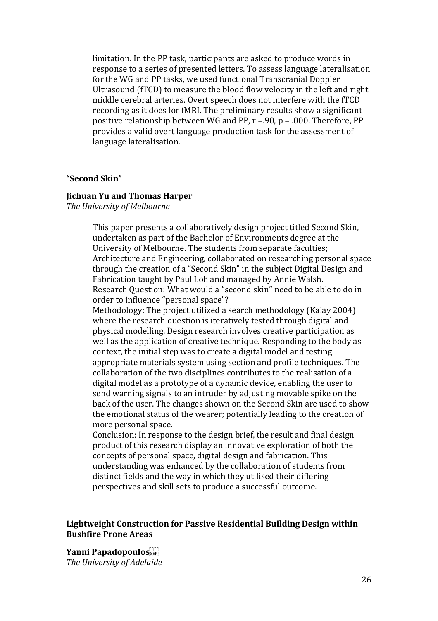limitation. In the PP task, participants are asked to produce words in response to a series of presented letters. To assess language lateralisation for the WG and PP tasks, we used functional Transcranial Doppler Ultrasound (fTCD) to measure the blood flow velocity in the left and right middle cerebral arteries. Overt speech does not interfere with the fTCD recording as it does for fMRI. The preliminary results show a significant positive relationship between WG and PP, r =.90, p = .000. Therefore, PP provides a valid overt language production task for the assessment of language lateralisation.

## **"Second Skin"**

#### **Jichuan Yu and Thomas Harper**

*The University of Melbourne*

This paper presents a collaboratively design project titled Second Skin, undertaken as part of the Bachelor of Environments degree at the University of Melbourne. The students from separate faculties; Architecture and Engineering, collaborated on researching personal space through the creation of a "Second Skin" in the subject Digital Design and Fabrication taught by Paul Loh and managed by Annie Walsh. Research Question: What would a "second skin" need to be able to do in order to influence "personal space"?

Methodology: The project utilized a search methodology (Kalay 2004) where the research question is iteratively tested through digital and physical modelling. Design research involves creative participation as well as the application of creative technique. Responding to the body as context, the initial step was to create a digital model and testing appropriate materials system using section and profile techniques. The collaboration of the two disciplines contributes to the realisation of a digital model as a prototype of a dynamic device, enabling the user to send warning signals to an intruder by adjusting movable spike on the back of the user. The changes shown on the Second Skin are used to show the emotional status of the wearer; potentially leading to the creation of more personal space.

Conclusion: In response to the design brief, the result and final design product of this research display an innovative exploration of both the concepts of personal space, digital design and fabrication. This understanding was enhanced by the collaboration of students from distinct fields and the way in which they utilised their differing perspectives and skill sets to produce a successful outcome.

# **Lightweight Construction for Passive Residential Building Design within Bushfire Prone Areas**

**Yanni Papadopoulos**  *The University of Adelaide*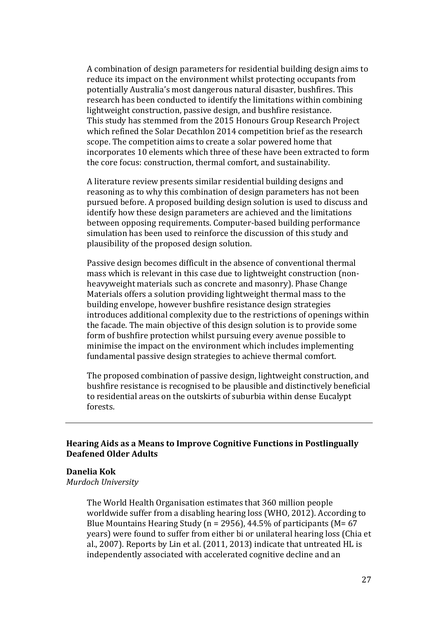A combination of design parameters for residential building design aims to reduce its impact on the environment whilst protecting occupants from potentially Australia's most dangerous natural disaster, bushfires. This research has been conducted to identify the limitations within combining lightweight construction, passive design, and bushfire resistance. This study has stemmed from the 2015 Honours Group Research Project which refined the Solar Decathlon 2014 competition brief as the research scope. The competition aims to create a solar powered home that incorporates 10 elements which three of these have been extracted to form the core focus: construction, thermal comfort, and sustainability.

A literature review presents similar residential building designs and reasoning as to why this combination of design parameters has not been pursued before. A proposed building design solution is used to discuss and identify how these design parameters are achieved and the limitations between opposing requirements. Computer-based building performance simulation has been used to reinforce the discussion of this study and plausibility of the proposed design solution.

Passive design becomes difficult in the absence of conventional thermal mass which is relevant in this case due to lightweight construction (nonheavyweight materials such as concrete and masonry). Phase Change Materials offers a solution providing lightweight thermal mass to the building envelope, however bushfire resistance design strategies introduces additional complexity due to the restrictions of openings within the facade. The main objective of this design solution is to provide some form of bushfire protection whilst pursuing every avenue possible to minimise the impact on the environment which includes implementing fundamental passive design strategies to achieve thermal comfort.

The proposed combination of passive design, lightweight construction, and bushfire resistance is recognised to be plausible and distinctively beneficial to residential areas on the outskirts of suburbia within dense Eucalypt forests.

# **Hearing Aids as a Means to Improve Cognitive Functions in Postlingually Deafened Older Adults**

## **Danelia Kok**

*Murdoch University*

The World Health Organisation estimates that 360 million people worldwide suffer from a disabling hearing loss (WHO, 2012). According to Blue Mountains Hearing Study ( $n = 2956$ ), 44.5% of participants ( $M = 67$ years) were found to suffer from either bi or unilateral hearing loss (Chia et al., 2007). Reports by Lin et al. (2011, 2013) indicate that untreated HL is independently associated with accelerated cognitive decline and an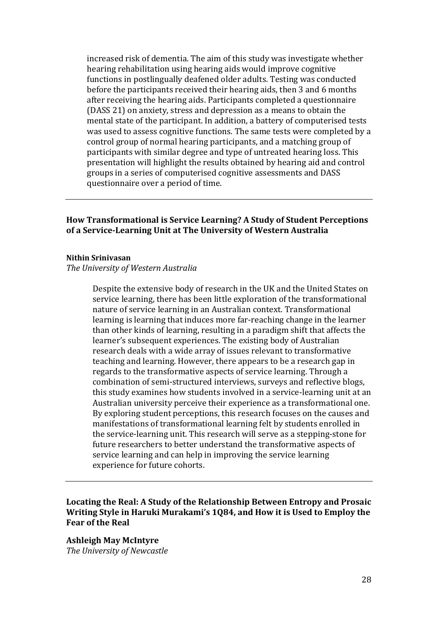increased risk of dementia. The aim of this study was investigate whether hearing rehabilitation using hearing aids would improve cognitive functions in postlingually deafened older adults. Testing was conducted before the participants received their hearing aids, then 3 and 6 months after receiving the hearing aids. Participants completed a questionnaire (DASS 21) on anxiety, stress and depression as a means to obtain the mental state of the participant. In addition, a battery of computerised tests was used to assess cognitive functions. The same tests were completed by a control group of normal hearing participants, and a matching group of participants with similar degree and type of untreated hearing loss. This presentation will highlight the results obtained by hearing aid and control groups in a series of computerised cognitive assessments and DASS questionnaire over a period of time.

# **How Transformational is Service Learning? A Study of Student Perceptions of a Service-Learning Unit at The University of Western Australia**

#### **Nithin Srinivasan**

#### *The University of Western Australia*

Despite the extensive body of research in the UK and the United States on service learning, there has been little exploration of the transformational nature of service learning in an Australian context. Transformational learning is learning that induces more far-reaching change in the learner than other kinds of learning, resulting in a paradigm shift that affects the learner's subsequent experiences. The existing body of Australian research deals with a wide array of issues relevant to transformative teaching and learning. However, there appears to be a research gap in regards to the transformative aspects of service learning. Through a combination of semi-structured interviews, surveys and reflective blogs, this study examines how students involved in a service-learning unit at an Australian university perceive their experience as a transformational one. By exploring student perceptions, this research focuses on the causes and manifestations of transformational learning felt by students enrolled in the service-learning unit. This research will serve as a stepping-stone for future researchers to better understand the transformative aspects of service learning and can help in improving the service learning experience for future cohorts.

# **Locating the Real: A Study of the Relationship Between Entropy and Prosaic Writing Style in Haruki Murakami's 1Q84, and How it is Used to Employ the Fear of the Real**

**Ashleigh May McIntyre** *The University of Newcastle*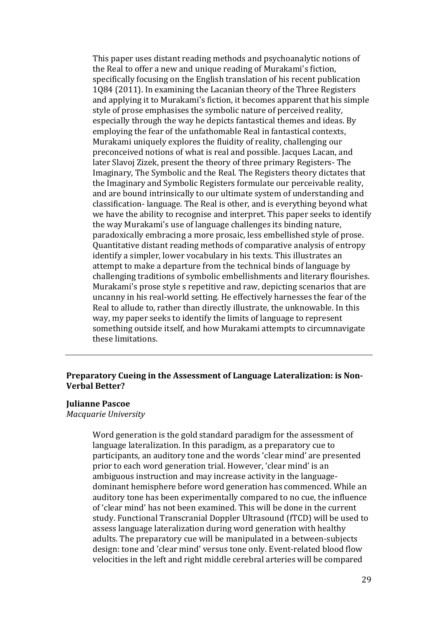This paper uses distant reading methods and psychoanalytic notions of the Real to offer a new and unique reading of Murakami's fiction, specifically focusing on the English translation of his recent publication 1Q84 (2011). In examining the Lacanian theory of the Three Registers and applying it to Murakami's fiction, it becomes apparent that his simple style of prose emphasises the symbolic nature of perceived reality, especially through the way he depicts fantastical themes and ideas. By employing the fear of the unfathomable Real in fantastical contexts, Murakami uniquely explores the fluidity of reality, challenging our preconceived notions of what is real and possible. Jacques Lacan, and later Slavoj Zizek, present the theory of three primary Registers- The Imaginary, The Symbolic and the Real. The Registers theory dictates that the Imaginary and Symbolic Registers formulate our perceivable reality, and are bound intrinsically to our ultimate system of understanding and classification- language. The Real is other, and is everything beyond what we have the ability to recognise and interpret. This paper seeks to identify the way Murakami's use of language challenges its binding nature, paradoxically embracing a more prosaic, less embellished style of prose. Quantitative distant reading methods of comparative analysis of entropy identify a simpler, lower vocabulary in his texts. This illustrates an attempt to make a departure from the technical binds of language by challenging traditions of symbolic embellishments and literary flourishes. Murakami's prose style s repetitive and raw, depicting scenarios that are uncanny in his real-world setting. He effectively harnesses the fear of the Real to allude to, rather than directly illustrate, the unknowable. In this way, my paper seeks to identify the limits of language to represent something outside itself, and how Murakami attempts to circumnavigate these limitations.

# **Preparatory Cueing in the Assessment of Language Lateralization: is Non-Verbal Better?**

#### **Julianne Pascoe**

*Macquarie University*

Word generation is the gold standard paradigm for the assessment of language lateralization. In this paradigm, as a preparatory cue to participants, an auditory tone and the words 'clear mind' are presented prior to each word generation trial. However, 'clear mind' is an ambiguous instruction and may increase activity in the languagedominant hemisphere before word generation has commenced. While an auditory tone has been experimentally compared to no cue, the influence of 'clear mind' has not been examined. This will be done in the current study. Functional Transcranial Doppler Ultrasound (fTCD) will be used to assess language lateralization during word generation with healthy adults. The preparatory cue will be manipulated in a between-subjects design: tone and 'clear mind' versus tone only. Event-related blood flow velocities in the left and right middle cerebral arteries will be compared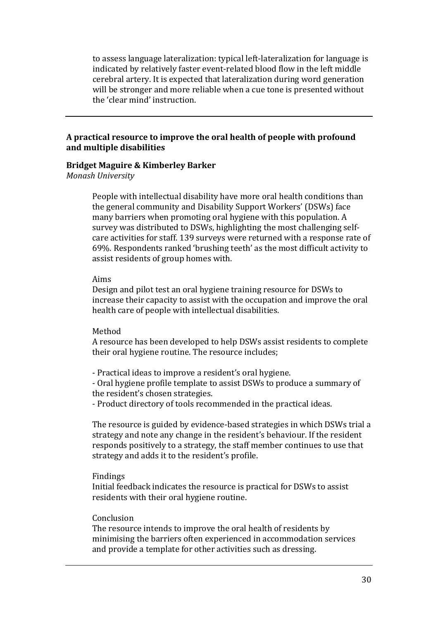to assess language lateralization: typical left-lateralization for language is indicated by relatively faster event-related blood flow in the left middle cerebral artery. It is expected that lateralization during word generation will be stronger and more reliable when a cue tone is presented without the 'clear mind' instruction.

# **A practical resource to improve the oral health of people with profound and multiple disabilities**

# **Bridget Maguire & Kimberley Barker**

*Monash University*

People with intellectual disability have more oral health conditions than the general community and Disability Support Workers' (DSWs) face many barriers when promoting oral hygiene with this population. A survey was distributed to DSWs, highlighting the most challenging selfcare activities for staff. 139 surveys were returned with a response rate of 69%. Respondents ranked 'brushing teeth' as the most difficult activity to assist residents of group homes with.

## Aims

Design and pilot test an oral hygiene training resource for DSWs to increase their capacity to assist with the occupation and improve the oral health care of people with intellectual disabilities.

## Method

A resource has been developed to help DSWs assist residents to complete their oral hygiene routine. The resource includes;

- Practical ideas to improve a resident's oral hygiene.

- Oral hygiene profile template to assist DSWs to produce a summary of the resident's chosen strategies.

- Product directory of tools recommended in the practical ideas.

The resource is guided by evidence-based strategies in which DSWs trial a strategy and note any change in the resident's behaviour. If the resident responds positively to a strategy, the staff member continues to use that strategy and adds it to the resident's profile.

## Findings

Initial feedback indicates the resource is practical for DSWs to assist residents with their oral hygiene routine.

## Conclusion

The resource intends to improve the oral health of residents by minimising the barriers often experienced in accommodation services and provide a template for other activities such as dressing.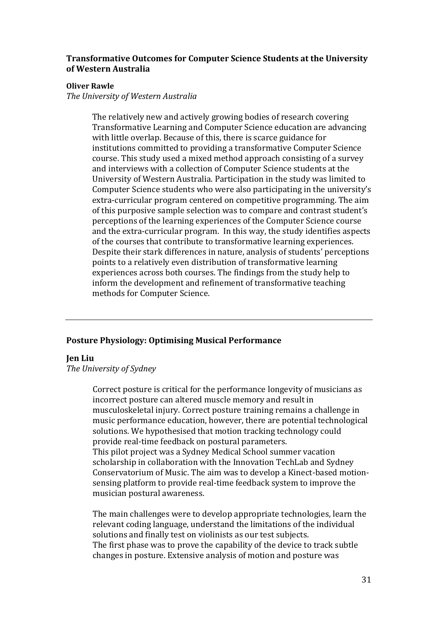# **Transformative Outcomes for Computer Science Students at the University of Western Australia**

## **Oliver Rawle**

*The University of Western Australia*

The relatively new and actively growing bodies of research covering Transformative Learning and Computer Science education are advancing with little overlap. Because of this, there is scarce guidance for institutions committed to providing a transformative Computer Science course. This study used a mixed method approach consisting of a survey and interviews with a collection of Computer Science students at the University of Western Australia. Participation in the study was limited to Computer Science students who were also participating in the university's extra-curricular program centered on competitive programming. The aim of this purposive sample selection was to compare and contrast student's perceptions of the learning experiences of the Computer Science course and the extra-curricular program. In this way, the study identifies aspects of the courses that contribute to transformative learning experiences. Despite their stark differences in nature, analysis of students' perceptions points to a relatively even distribution of transformative learning experiences across both courses. The findings from the study help to inform the development and refinement of transformative teaching methods for Computer Science.

# **Posture Physiology: Optimising Musical Performance**

## **Jen Liu**

*The University of Sydney*

Correct posture is critical for the performance longevity of musicians as incorrect posture can altered muscle memory and result in musculoskeletal injury. Correct posture training remains a challenge in music performance education, however, there are potential technological solutions. We hypothesised that motion tracking technology could provide real-time feedback on postural parameters. This pilot project was a Sydney Medical School summer vacation scholarship in collaboration with the Innovation TechLab and Sydney Conservatorium of Music. The aim was to develop a Kinect-based motionsensing platform to provide real-time feedback system to improve the musician postural awareness.

The main challenges were to develop appropriate technologies, learn the relevant coding language, understand the limitations of the individual solutions and finally test on violinists as our test subjects. The first phase was to prove the capability of the device to track subtle changes in posture. Extensive analysis of motion and posture was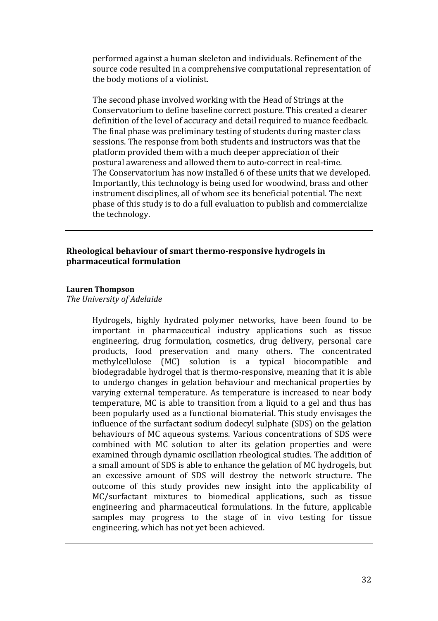performed against a human skeleton and individuals. Refinement of the source code resulted in a comprehensive computational representation of the body motions of a violinist.

The second phase involved working with the Head of Strings at the Conservatorium to define baseline correct posture. This created a clearer definition of the level of accuracy and detail required to nuance feedback. The final phase was preliminary testing of students during master class sessions. The response from both students and instructors was that the platform provided them with a much deeper appreciation of their postural awareness and allowed them to auto-correct in real-time. The Conservatorium has now installed 6 of these units that we developed. Importantly, this technology is being used for woodwind, brass and other instrument disciplines, all of whom see its beneficial potential. The next phase of this study is to do a full evaluation to publish and commercialize the technology.

# **Rheological behaviour of smart thermo-responsive hydrogels in pharmaceutical formulation**

#### **Lauren Thompson**

*The University of Adelaide*

Hydrogels, highly hydrated polymer networks, have been found to be important in pharmaceutical industry applications such as tissue engineering, drug formulation, cosmetics, drug delivery, personal care products, food preservation and many others. The concentrated methylcellulose (MC) solution is a typical biocompatible and biodegradable hydrogel that is thermo-responsive, meaning that it is able to undergo changes in gelation behaviour and mechanical properties by varying external temperature. As temperature is increased to near body temperature, MC is able to transition from a liquid to a gel and thus has been popularly used as a functional biomaterial. This study envisages the influence of the surfactant sodium dodecyl sulphate (SDS) on the gelation behaviours of MC aqueous systems. Various concentrations of SDS were combined with MC solution to alter its gelation properties and were examined through dynamic oscillation rheological studies. The addition of a small amount of SDS is able to enhance the gelation of MC hydrogels, but an excessive amount of SDS will destroy the network structure. The outcome of this study provides new insight into the applicability of MC/surfactant mixtures to biomedical applications, such as tissue engineering and pharmaceutical formulations. In the future, applicable samples may progress to the stage of in vivo testing for tissue engineering, which has not yet been achieved.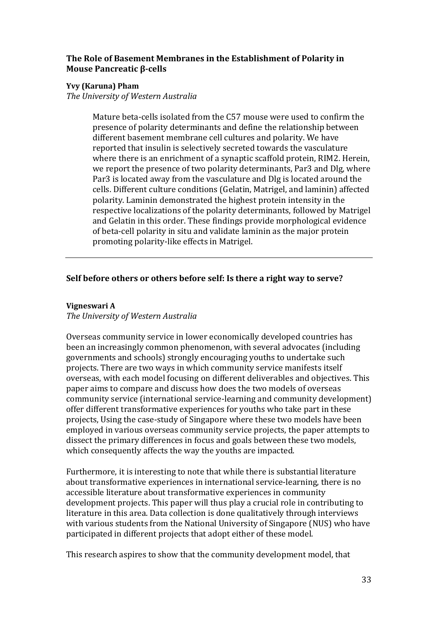# **The Role of Basement Membranes in the Establishment of Polarity in Mouse Pancreatic β-cells**

# **Yvy (Karuna) Pham**

*The University of Western Australia*

Mature beta-cells isolated from the C57 mouse were used to confirm the presence of polarity determinants and define the relationship between different basement membrane cell cultures and polarity. We have reported that insulin is selectively secreted towards the vasculature where there is an enrichment of a synaptic scaffold protein, RIM2. Herein, we report the presence of two polarity determinants, Par3 and Dlg, where Par3 is located away from the vasculature and Dlg is located around the cells. Different culture conditions (Gelatin, Matrigel, and laminin) affected polarity. Laminin demonstrated the highest protein intensity in the respective localizations of the polarity determinants, followed by Matrigel and Gelatin in this order. These findings provide morphological evidence of beta-cell polarity in situ and validate laminin as the major protein promoting polarity-like effects in Matrigel.

# **Self before others or others before self: Is there a right way to serve?**

# **Vigneswari A**

*The University of Western Australia*

Overseas community service in lower economically developed countries has been an increasingly common phenomenon, with several advocates (including governments and schools) strongly encouraging youths to undertake such projects. There are two ways in which community service manifests itself overseas, with each model focusing on different deliverables and objectives. This paper aims to compare and discuss how does the two models of overseas community service (international service-learning and community development) offer different transformative experiences for youths who take part in these projects, Using the case-study of Singapore where these two models have been employed in various overseas community service projects, the paper attempts to dissect the primary differences in focus and goals between these two models, which consequently affects the way the youths are impacted.

Furthermore, it is interesting to note that while there is substantial literature about transformative experiences in international service-learning, there is no accessible literature about transformative experiences in community development projects. This paper will thus play a crucial role in contributing to literature in this area. Data collection is done qualitatively through interviews with various students from the National University of Singapore (NUS) who have participated in different projects that adopt either of these model.

This research aspires to show that the community development model, that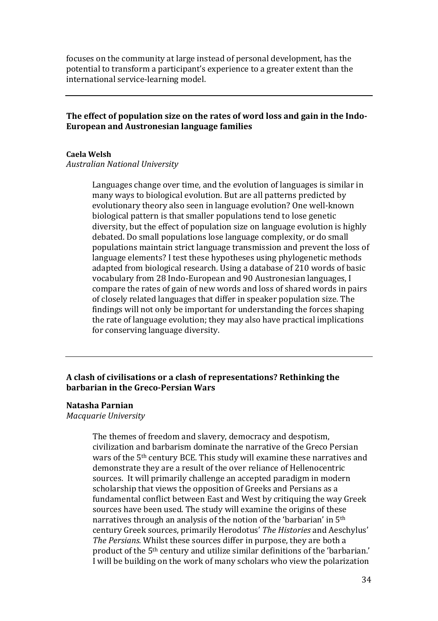focuses on the community at large instead of personal development, has the potential to transform a participant's experience to a greater extent than the international service-learning model.

# **The effect of population size on the rates of word loss and gain in the Indo-European and Austronesian language families**

#### **Caela Welsh**

#### *Australian National University*

Languages change over time, and the evolution of languages is similar in many ways to biological evolution. But are all patterns predicted by evolutionary theory also seen in language evolution? One well-known biological pattern is that smaller populations tend to lose genetic diversity, but the effect of population size on language evolution is highly debated. Do small populations lose language complexity, or do small populations maintain strict language transmission and prevent the loss of language elements? I test these hypotheses using phylogenetic methods adapted from biological research. Using a database of 210 words of basic vocabulary from 28 Indo-European and 90 Austronesian languages, I compare the rates of gain of new words and loss of shared words in pairs of closely related languages that differ in speaker population size. The findings will not only be important for understanding the forces shaping the rate of language evolution; they may also have practical implications for conserving language diversity.

# **A clash of civilisations or a clash of representations? Rethinking the barbarian in the Greco-Persian Wars**

#### **Natasha Parnian**

*Macquarie University*

The themes of freedom and slavery, democracy and despotism, civilization and barbarism dominate the narrative of the Greco Persian wars of the 5th century BCE. This study will examine these narratives and demonstrate they are a result of the over reliance of Hellenocentric sources. It will primarily challenge an accepted paradigm in modern scholarship that views the opposition of Greeks and Persians as a fundamental conflict between East and West by critiquing the way Greek sources have been used. The study will examine the origins of these narratives through an analysis of the notion of the 'barbarian' in 5th century Greek sources, primarily Herodotus' *The Histories* and Aeschylus' *The Persians.* Whilst these sources differ in purpose, they are both a product of the 5th century and utilize similar definitions of the 'barbarian.' I will be building on the work of many scholars who view the polarization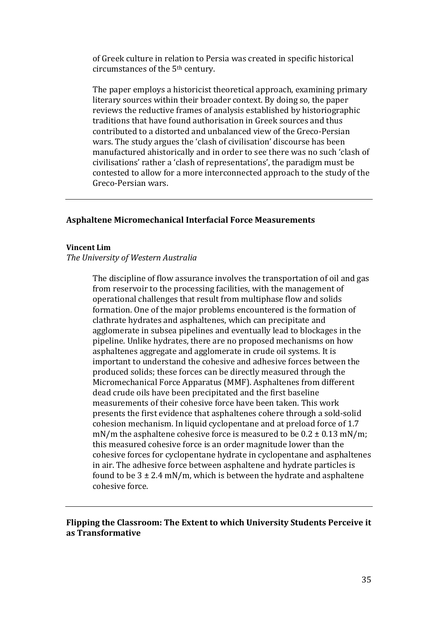of Greek culture in relation to Persia was created in specific historical circumstances of the 5th century.

The paper employs a historicist theoretical approach, examining primary literary sources within their broader context. By doing so, the paper reviews the reductive frames of analysis established by historiographic traditions that have found authorisation in Greek sources and thus contributed to a distorted and unbalanced view of the Greco-Persian wars. The study argues the 'clash of civilisation' discourse has been manufactured ahistorically and in order to see there was no such 'clash of civilisations' rather a 'clash of representations', the paradigm must be contested to allow for a more interconnected approach to the study of the Greco-Persian wars.

#### **Asphaltene Micromechanical Interfacial Force Measurements**

#### **Vincent Lim**

#### *The University of Western Australia*

The discipline of flow assurance involves the transportation of oil and gas from reservoir to the processing facilities, with the management of operational challenges that result from multiphase flow and solids formation. One of the major problems encountered is the formation of clathrate hydrates and asphaltenes, which can precipitate and agglomerate in subsea pipelines and eventually lead to blockages in the pipeline. Unlike hydrates, there are no proposed mechanisms on how asphaltenes aggregate and agglomerate in crude oil systems. It is important to understand the cohesive and adhesive forces between the produced solids; these forces can be directly measured through the Micromechanical Force Apparatus (MMF). Asphaltenes from different dead crude oils have been precipitated and the first baseline measurements of their cohesive force have been taken. This work presents the first evidence that asphaltenes cohere through a sold-solid cohesion mechanism. In liquid cyclopentane and at preload force of 1.7 mN/m the asphaltene cohesive force is measured to be  $0.2 \pm 0.13$  mN/m; this measured cohesive force is an order magnitude lower than the cohesive forces for cyclopentane hydrate in cyclopentane and asphaltenes in air. The adhesive force between asphaltene and hydrate particles is found to be  $3 \pm 2.4$  mN/m, which is between the hydrate and asphaltene cohesive force.

# **Flipping the Classroom: The Extent to which University Students Perceive it as Transformative**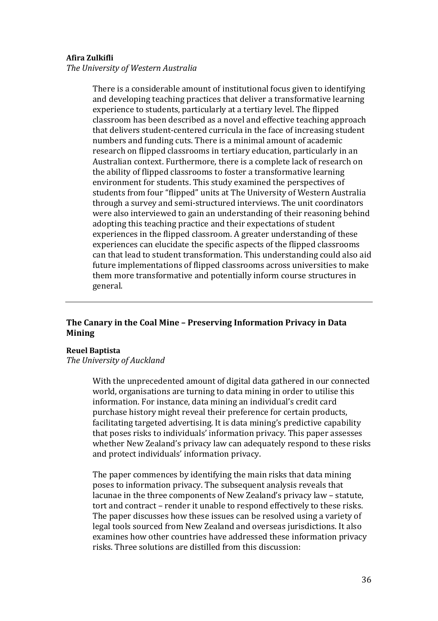#### **Afira Zulkifli**

*The University of Western Australia*

There is a considerable amount of institutional focus given to identifying and developing teaching practices that deliver a transformative learning experience to students, particularly at a tertiary level. The flipped classroom has been described as a novel and effective teaching approach that delivers student-centered curricula in the face of increasing student numbers and funding cuts. There is a minimal amount of academic research on flipped classrooms in tertiary education, particularly in an Australian context. Furthermore, there is a complete lack of research on the ability of flipped classrooms to foster a transformative learning environment for students. This study examined the perspectives of students from four "flipped" units at The University of Western Australia through a survey and semi-structured interviews. The unit coordinators were also interviewed to gain an understanding of their reasoning behind adopting this teaching practice and their expectations of student experiences in the flipped classroom. A greater understanding of these experiences can elucidate the specific aspects of the flipped classrooms can that lead to student transformation. This understanding could also aid future implementations of flipped classrooms across universities to make them more transformative and potentially inform course structures in general.

# **The Canary in the Coal Mine – Preserving Information Privacy in Data Mining**

#### **Reuel Baptista**

*The University of Auckland*

With the unprecedented amount of digital data gathered in our connected world, organisations are turning to data mining in order to utilise this information. For instance, data mining an individual's credit card purchase history might reveal their preference for certain products, facilitating targeted advertising. It is data mining's predictive capability that poses risks to individuals' information privacy. This paper assesses whether New Zealand's privacy law can adequately respond to these risks and protect individuals' information privacy.

The paper commences by identifying the main risks that data mining poses to information privacy. The subsequent analysis reveals that lacunae in the three components of New Zealand's privacy law – statute, tort and contract – render it unable to respond effectively to these risks. The paper discusses how these issues can be resolved using a variety of legal tools sourced from New Zealand and overseas jurisdictions. It also examines how other countries have addressed these information privacy risks. Three solutions are distilled from this discussion: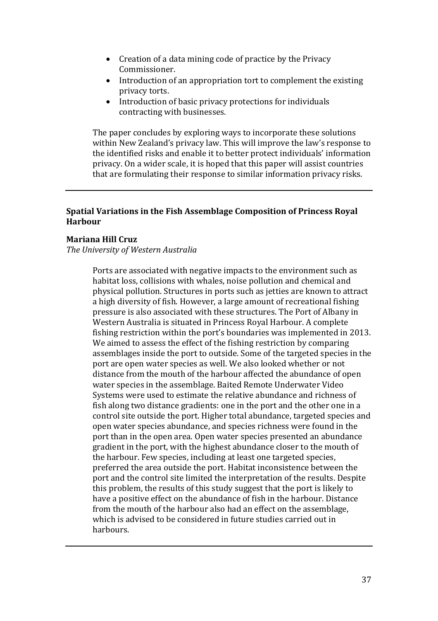- Creation of a data mining code of practice by the Privacy Commissioner.
- Introduction of an appropriation tort to complement the existing privacy torts.
- Introduction of basic privacy protections for individuals contracting with businesses.

The paper concludes by exploring ways to incorporate these solutions within New Zealand's privacy law. This will improve the law's response to the identified risks and enable it to better protect individuals' information privacy. On a wider scale, it is hoped that this paper will assist countries that are formulating their response to similar information privacy risks.

# **Spatial Variations in the Fish Assemblage Composition of Princess Royal Harbour**

# **Mariana Hill Cruz**

*The University of Western Australia*

Ports are associated with negative impacts to the environment such as habitat loss, collisions with whales, noise pollution and chemical and physical pollution. Structures in ports such as jetties are known to attract a high diversity of fish. However, a large amount of recreational fishing pressure is also associated with these structures. The Port of Albany in Western Australia is situated in Princess Royal Harbour. A complete fishing restriction within the port's boundaries was implemented in 2013. We aimed to assess the effect of the fishing restriction by comparing assemblages inside the port to outside. Some of the targeted species in the port are open water species as well. We also looked whether or not distance from the mouth of the harbour affected the abundance of open water species in the assemblage. Baited Remote Underwater Video Systems were used to estimate the relative abundance and richness of fish along two distance gradients: one in the port and the other one in a control site outside the port. Higher total abundance, targeted species and open water species abundance, and species richness were found in the port than in the open area. Open water species presented an abundance gradient in the port, with the highest abundance closer to the mouth of the harbour. Few species, including at least one targeted species, preferred the area outside the port. Habitat inconsistence between the port and the control site limited the interpretation of the results. Despite this problem, the results of this study suggest that the port is likely to have a positive effect on the abundance of fish in the harbour. Distance from the mouth of the harbour also had an effect on the assemblage, which is advised to be considered in future studies carried out in harbours.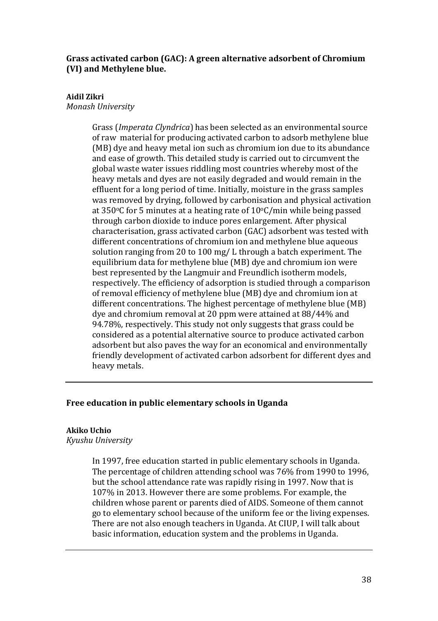# **Grass activated carbon (GAC): A green alternative adsorbent of Chromium (VI) and Methylene blue.**

# **Aidil Zikri**

*Monash University*

Grass (*Imperata Clyndrica*) has been selected as an environmental source of raw material for producing activated carbon to adsorb methylene blue (MB) dye and heavy metal ion such as chromium ion due to its abundance and ease of growth. This detailed study is carried out to circumvent the global waste water issues riddling most countries whereby most of the heavy metals and dyes are not easily degraded and would remain in the effluent for a long period of time. Initially, moisture in the grass samples was removed by drying, followed by carbonisation and physical activation at 350 $\degree$ C for 5 minutes at a heating rate of 10 $\degree$ C/min while being passed through carbon dioxide to induce pores enlargement. After physical characterisation, grass activated carbon (GAC) adsorbent was tested with different concentrations of chromium ion and methylene blue aqueous solution ranging from 20 to 100 mg/ L through a batch experiment. The equilibrium data for methylene blue (MB) dye and chromium ion were best represented by the Langmuir and Freundlich isotherm models, respectively. The efficiency of adsorption is studied through a comparison of removal efficiency of methylene blue (MB) dye and chromium ion at different concentrations. The highest percentage of methylene blue (MB) dye and chromium removal at 20 ppm were attained at 88/44% and 94.78%, respectively. This study not only suggests that grass could be considered as a potential alternative source to produce activated carbon adsorbent but also paves the way for an economical and environmentally friendly development of activated carbon adsorbent for different dyes and heavy metals.

# **Free education in public elementary schools in Uganda**

## **Akiko Uchio**

*Kyushu University* 

In 1997, free education started in public elementary schools in Uganda. The percentage of children attending school was 76% from 1990 to 1996, but the school attendance rate was rapidly rising in 1997. Now that is 107% in 2013. However there are some problems. For example, the children whose parent or parents died of AIDS. Someone of them cannot go to elementary school because of the uniform fee or the living expenses. There are not also enough teachers in Uganda. At CIUP, I will talk about basic information, education system and the problems in Uganda.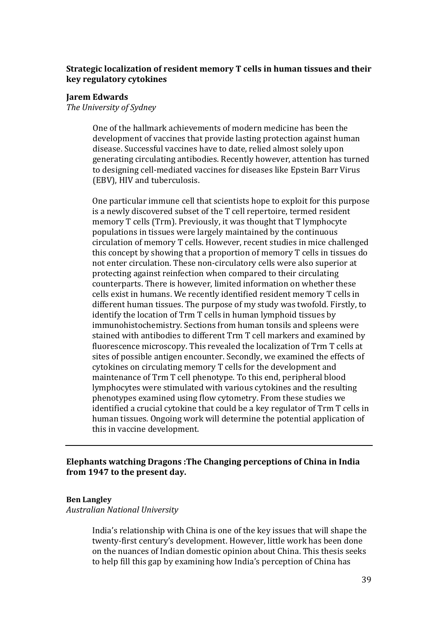# **Strategic localization of resident memory T cells in human tissues and their key regulatory cytokines**

## **Jarem Edwards**

*The University of Sydney*

One of the hallmark achievements of modern medicine has been the development of vaccines that provide lasting protection against human disease. Successful vaccines have to date, relied almost solely upon generating circulating antibodies. Recently however, attention has turned to designing cell-mediated vaccines for diseases like Epstein Barr Virus (EBV), HIV and tuberculosis.

One particular immune cell that scientists hope to exploit for this purpose is a newly discovered subset of the T cell repertoire, termed resident memory T cells (Trm). Previously, it was thought that T lymphocyte populations in tissues were largely maintained by the continuous circulation of memory T cells. However, recent studies in mice challenged this concept by showing that a proportion of memory T cells in tissues do not enter circulation. These non-circulatory cells were also superior at protecting against reinfection when compared to their circulating counterparts. There is however, limited information on whether these cells exist in humans. We recently identified resident memory T cells in different human tissues. The purpose of my study was twofold. Firstly, to identify the location of Trm T cells in human lymphoid tissues by immunohistochemistry. Sections from human tonsils and spleens were stained with antibodies to different Trm T cell markers and examined by fluorescence microscopy. This revealed the localization of Trm T cells at sites of possible antigen encounter. Secondly, we examined the effects of cytokines on circulating memory T cells for the development and maintenance of Trm T cell phenotype. To this end, peripheral blood lymphocytes were stimulated with various cytokines and the resulting phenotypes examined using flow cytometry. From these studies we identified a crucial cytokine that could be a key regulator of Trm T cells in human tissues. Ongoing work will determine the potential application of this in vaccine development.

# **Elephants watching Dragons :The Changing perceptions of China in India from 1947 to the present day.**

## **Ben Langley**

*Australian National University*

India's relationship with China is one of the key issues that will shape the twenty-first century's development. However, little work has been done on the nuances of Indian domestic opinion about China. This thesis seeks to help fill this gap by examining how India's perception of China has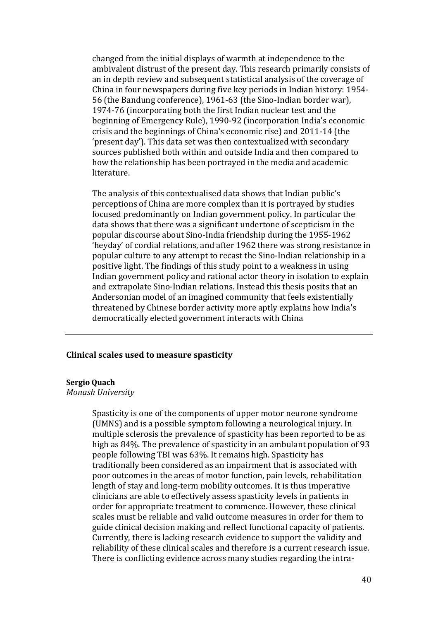changed from the initial displays of warmth at independence to the ambivalent distrust of the present day. This research primarily consists of an in depth review and subsequent statistical analysis of the coverage of China in four newspapers during five key periods in Indian history: 1954- 56 (the Bandung conference), 1961-63 (the Sino-Indian border war), 1974-76 (incorporating both the first Indian nuclear test and the beginning of Emergency Rule), 1990-92 (incorporation India's economic crisis and the beginnings of China's economic rise) and 2011-14 (the 'present day'). This data set was then contextualized with secondary sources published both within and outside India and then compared to how the relationship has been portrayed in the media and academic literature.

The analysis of this contextualised data shows that Indian public's perceptions of China are more complex than it is portrayed by studies focused predominantly on Indian government policy. In particular the data shows that there was a significant undertone of scepticism in the popular discourse about Sino-India friendship during the 1955-1962 'heyday' of cordial relations, and after 1962 there was strong resistance in popular culture to any attempt to recast the Sino-Indian relationship in a positive light. The findings of this study point to a weakness in using Indian government policy and rational actor theory in isolation to explain and extrapolate Sino-Indian relations. Instead this thesis posits that an Andersonian model of an imagined community that feels existentially threatened by Chinese border activity more aptly explains how India's democratically elected government interacts with China

## **Clinical scales used to measure spasticity**

#### **Sergio Quach**

## *Monash University*

Spasticity is one of the components of upper motor neurone syndrome (UMNS) and is a possible symptom following a neurological injury. In multiple sclerosis the prevalence of spasticity has been reported to be as high as 84%. The prevalence of spasticity in an ambulant population of 93 people following TBI was 63%. It remains high. Spasticity has traditionally been considered as an impairment that is associated with poor outcomes in the areas of motor function, pain levels, rehabilitation length of stay and long-term mobility outcomes. It is thus imperative clinicians are able to effectively assess spasticity levels in patients in order for appropriate treatment to commence. However, these clinical scales must be reliable and valid outcome measures in order for them to guide clinical decision making and reflect functional capacity of patients. Currently, there is lacking research evidence to support the validity and reliability of these clinical scales and therefore is a current research issue. There is conflicting evidence across many studies regarding the intra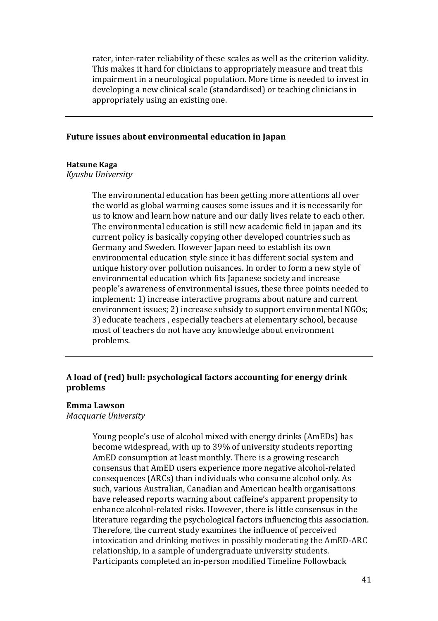rater, inter-rater reliability of these scales as well as the criterion validity. This makes it hard for clinicians to appropriately measure and treat this impairment in a neurological population. More time is needed to invest in developing a new clinical scale (standardised) or teaching clinicians in appropriately using an existing one.

## **Future issues about environmental education in Japan**

### **Hatsune Kaga**

*Kyushu University*

The environmental education has been getting more attentions all over the world as global warming causes some issues and it is necessarily for us to know and learn how nature and our daily lives relate to each other. The environmental education is still new academic field in japan and its current policy is basically copying other developed countries such as Germany and Sweden. However Japan need to establish its own environmental education style since it has different social system and unique history over pollution nuisances. In order to form a new style of environmental education which fits Japanese society and increase people's awareness of environmental issues, these three points needed to implement: 1) increase interactive programs about nature and current environment issues; 2) increase subsidy to support environmental NGOs; 3) educate teachers , especially teachers at elementary school, because most of teachers do not have any knowledge about environment problems.

# **A load of (red) bull: psychological factors accounting for energy drink problems**

### **Emma Lawson**

*Macquarie University*

Young people's use of alcohol mixed with energy drinks (AmEDs) has become widespread, with up to 39% of university students reporting AmED consumption at least monthly. There is a growing research consensus that AmED users experience more negative alcohol-related consequences (ARCs) than individuals who consume alcohol only. As such, various Australian, Canadian and American health organisations have released reports warning about caffeine's apparent propensity to enhance alcohol-related risks. However, there is little consensus in the literature regarding the psychological factors influencing this association. Therefore, the current study examines the influence of perceived intoxication and drinking motives in possibly moderating the AmED-ARC relationship, in a sample of undergraduate university students. Participants completed an in-person modified Timeline Followback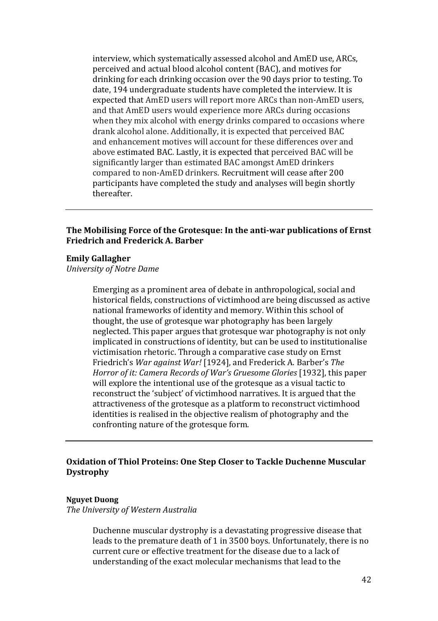interview, which systematically assessed alcohol and AmED use, ARCs, perceived and actual blood alcohol content (BAC), and motives for drinking for each drinking occasion over the 90 days prior to testing. To date, 194 undergraduate students have completed the interview. It is expected that AmED users will report more ARCs than non-AmED users, and that AmED users would experience more ARCs during occasions when they mix alcohol with energy drinks compared to occasions where drank alcohol alone. Additionally, it is expected that perceived BAC and enhancement motives will account for these differences over and above estimated BAC. Lastly, it is expected that perceived BAC will be significantly larger than estimated BAC amongst AmED drinkers compared to non-AmED drinkers. Recruitment will cease after 200 participants have completed the study and analyses will begin shortly thereafter.

# **The Mobilising Force of the Grotesque: In the anti-war publications of Ernst Friedrich and Frederick A. Barber**

#### **Emily Gallagher**

*University of Notre Dame*

Emerging as a prominent area of debate in anthropological, social and historical fields, constructions of victimhood are being discussed as active national frameworks of identity and memory. Within this school of thought, the use of grotesque war photography has been largely neglected. This paper argues that grotesque war photography is not only implicated in constructions of identity, but can be used to institutionalise victimisation rhetoric. Through a comparative case study on Ernst Friedrich's *War against War!* [1924], and Frederick A. Barber's *The Horror of it: Camera Records of War's Gruesome Glories* [1932], this paper will explore the intentional use of the grotesque as a visual tactic to reconstruct the 'subject' of victimhood narratives. It is argued that the attractiveness of the grotesque as a platform to reconstruct victimhood identities is realised in the objective realism of photography and the confronting nature of the grotesque form.

# **Oxidation of Thiol Proteins: One Step Closer to Tackle Duchenne Muscular Dystrophy**

### **Nguyet Duong**

*The University of Western Australia*

Duchenne muscular dystrophy is a devastating progressive disease that leads to the premature death of 1 in 3500 boys. Unfortunately, there is no current cure or effective treatment for the disease due to a lack of understanding of the exact molecular mechanisms that lead to the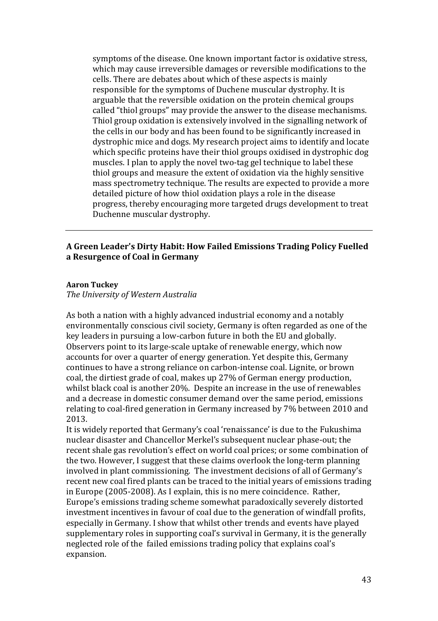symptoms of the disease. One known important factor is oxidative stress, which may cause irreversible damages or reversible modifications to the cells. There are debates about which of these aspects is mainly responsible for the symptoms of Duchene muscular dystrophy. It is arguable that the reversible oxidation on the protein chemical groups called "thiol groups" may provide the answer to the disease mechanisms. Thiol group oxidation is extensively involved in the signalling network of the cells in our body and has been found to be significantly increased in dystrophic mice and dogs. My research project aims to identify and locate which specific proteins have their thiol groups oxidised in dystrophic dog muscles. I plan to apply the novel two-tag gel technique to label these thiol groups and measure the extent of oxidation via the highly sensitive mass spectrometry technique. The results are expected to provide a more detailed picture of how thiol oxidation plays a role in the disease progress, thereby encouraging more targeted drugs development to treat Duchenne muscular dystrophy.

# **A Green Leader's Dirty Habit: How Failed Emissions Trading Policy Fuelled a Resurgence of Coal in Germany**

## **Aaron Tuckey**

*The University of Western Australia*

As both a nation with a highly advanced industrial economy and a notably environmentally conscious civil society, Germany is often regarded as one of the key leaders in pursuing a low-carbon future in both the EU and globally. Observers point to its large-scale uptake of renewable energy, which now accounts for over a quarter of energy generation. Yet despite this, Germany continues to have a strong reliance on carbon-intense coal. Lignite, or brown coal, the dirtiest grade of coal, makes up 27% of German energy production, whilst black coal is another 20%. Despite an increase in the use of renewables and a decrease in domestic consumer demand over the same period, emissions relating to coal-fired generation in Germany increased by 7% between 2010 and 2013.

It is widely reported that Germany's coal 'renaissance' is due to the Fukushima nuclear disaster and Chancellor Merkel's subsequent nuclear phase-out; the recent shale gas revolution's effect on world coal prices; or some combination of the two. However, I suggest that these claims overlook the long-term planning involved in plant commissioning. The investment decisions of all of Germany's recent new coal fired plants can be traced to the initial years of emissions trading in Europe (2005-2008). As I explain, this is no mere coincidence. Rather, Europe's emissions trading scheme somewhat paradoxically severely distorted investment incentives in favour of coal due to the generation of windfall profits, especially in Germany. I show that whilst other trends and events have played supplementary roles in supporting coal's survival in Germany, it is the generally neglected role of the failed emissions trading policy that explains coal's expansion.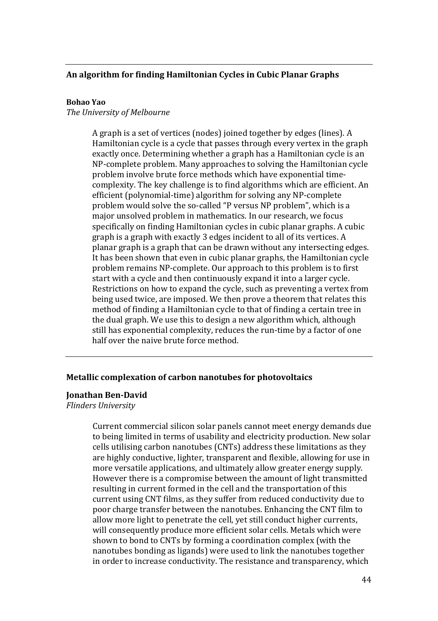# **An algorithm for finding Hamiltonian Cycles in Cubic Planar Graphs**

### **Bohao Yao**

*The University of Melbourne*

A graph is a set of vertices (nodes) joined together by edges (lines). A Hamiltonian cycle is a cycle that passes through every vertex in the graph exactly once. Determining whether a graph has a Hamiltonian cycle is an NP-complete problem. Many approaches to solving the Hamiltonian cycle problem involve brute force methods which have exponential timecomplexity. The key challenge is to find algorithms which are efficient. An efficient (polynomial-time) algorithm for solving any NP-complete problem would solve the so-called "P versus NP problem", which is a major unsolved problem in mathematics. In our research, we focus specifically on finding Hamiltonian cycles in cubic planar graphs. A cubic graph is a graph with exactly 3 edges incident to all of its vertices. A planar graph is a graph that can be drawn without any intersecting edges. It has been shown that even in cubic planar graphs, the Hamiltonian cycle problem remains NP-complete. Our approach to this problem is to first start with a cycle and then continuously expand it into a larger cycle. Restrictions on how to expand the cycle, such as preventing a vertex from being used twice, are imposed. We then prove a theorem that relates this method of finding a Hamiltonian cycle to that of finding a certain tree in the dual graph. We use this to design a new algorithm which, although still has exponential complexity, reduces the run-time by a factor of one half over the naive brute force method.

## **Metallic complexation of carbon nanotubes for photovoltaics**

#### **Jonathan Ben-David**

*Flinders University*

Current commercial silicon solar panels cannot meet energy demands due to being limited in terms of usability and electricity production. New solar cells utilising carbon nanotubes (CNTs) address these limitations as they are highly conductive, lighter, transparent and flexible, allowing for use in more versatile applications, and ultimately allow greater energy supply. However there is a compromise between the amount of light transmitted resulting in current formed in the cell and the transportation of this current using CNT films, as they suffer from reduced conductivity due to poor charge transfer between the nanotubes. Enhancing the CNT film to allow more light to penetrate the cell, yet still conduct higher currents, will consequently produce more efficient solar cells. Metals which were shown to bond to CNTs by forming a coordination complex (with the nanotubes bonding as ligands) were used to link the nanotubes together in order to increase conductivity. The resistance and transparency, which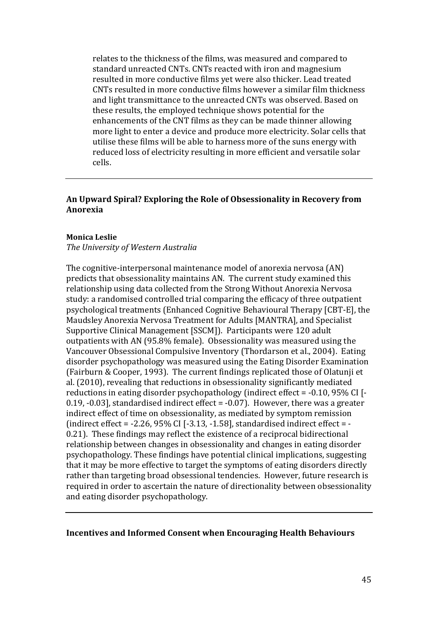relates to the thickness of the films, was measured and compared to standard unreacted CNTs. CNTs reacted with iron and magnesium resulted in more conductive films yet were also thicker. Lead treated CNTs resulted in more conductive films however a similar film thickness and light transmittance to the unreacted CNTs was observed. Based on these results, the employed technique shows potential for the enhancements of the CNT films as they can be made thinner allowing more light to enter a device and produce more electricity. Solar cells that utilise these films will be able to harness more of the suns energy with reduced loss of electricity resulting in more efficient and versatile solar cells.

# **An Upward Spiral? Exploring the Role of Obsessionality in Recovery from Anorexia**

### **Monica Leslie**

*The University of Western Australia*

The cognitive-interpersonal maintenance model of anorexia nervosa (AN) predicts that obsessionality maintains AN. The current study examined this relationship using data collected from the Strong Without Anorexia Nervosa study: a randomised controlled trial comparing the efficacy of three outpatient psychological treatments (Enhanced Cognitive Behavioural Therapy [CBT-E], the Maudsley Anorexia Nervosa Treatment for Adults [MANTRA], and Specialist Supportive Clinical Management [SSCM]). Participants were 120 adult outpatients with AN (95.8% female). Obsessionality was measured using the Vancouver Obsessional Compulsive Inventory (Thordarson et al., 2004). Eating disorder psychopathology was measured using the Eating Disorder Examination (Fairburn & Cooper, 1993). The current findings replicated those of Olatunji et al. (2010), revealing that reductions in obsessionality significantly mediated reductions in eating disorder psychopathology (indirect effect = -0.10, 95% CI [- 0.19, -0.03], standardised indirect effect = -0.07). However, there was a greater indirect effect of time on obsessionality, as mediated by symptom remission (indirect effect =  $-2.26$ , 95% CI [ $-3.13$ ,  $-1.58$ ], standardised indirect effect =  $-$ 0.21). These findings may reflect the existence of a reciprocal bidirectional relationship between changes in obsessionality and changes in eating disorder psychopathology. These findings have potential clinical implications, suggesting that it may be more effective to target the symptoms of eating disorders directly rather than targeting broad obsessional tendencies. However, future research is required in order to ascertain the nature of directionality between obsessionality and eating disorder psychopathology.

### **Incentives and Informed Consent when Encouraging Health Behaviours**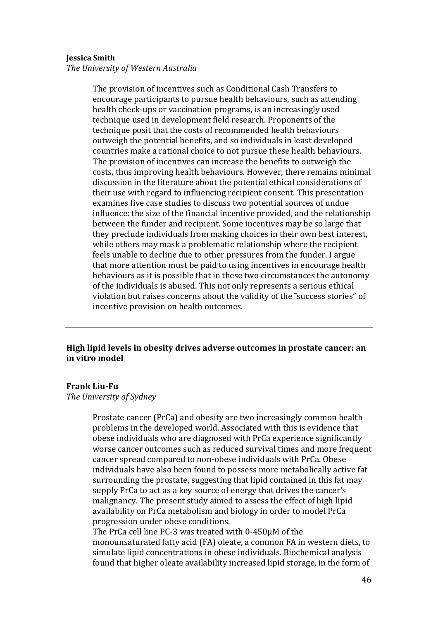#### **Jessica Smith**

*The University of Western Australia*

The provision of incentives such as Conditional Cash Transfers to encourage participants to pursue health behaviours, such as attending health check-ups or vaccination programs, is an increasingly used technique used in development field research. Proponents of the technique posit that the costs of recommended health behaviours outweigh the potential benefits, and so individuals in least developed countries make a rational choice to not pursue these health behaviours. The provision of incentives can increase the benefits to outweigh the costs, thus improving health behaviours. However, there remains minimal discussion in the literature about the potential ethical considerations of their use with regard to influencing recipient consent. This presentation examines five case studies to discuss two potential sources of undue influence: the size of the financial incentive provided, and the relationship between the funder and recipient. Some incentives may be so large that they preclude individuals from making choices in their own best interest, while others may mask a problematic relationship where the recipient feels unable to decline due to other pressures from the funder. I argue that more attention must be paid to using incentives in encourage health behaviours as it is possible that in these two circumstances the autonomy of the individuals is abused. This not only represents a serious ethical violation but raises concerns about the validity of the ˜success stories" of incentive provision on health outcomes.

## **High lipid levels in obesity drives adverse outcomes in prostate cancer: an in vitro model**

### **Frank Liu-Fu**

*The University of Sydney*

Prostate cancer (PrCa) and obesity are two increasingly common health problems in the developed world. Associated with this is evidence that obese individuals who are diagnosed with PrCa experience significantly worse cancer outcomes such as reduced survival times and more frequent cancer spread compared to non-obese individuals with PrCa. Obese individuals have also been found to possess more metabolically active fat surrounding the prostate, suggesting that lipid contained in this fat may supply PrCa to act as a key source of energy that drives the cancer's malignancy. The present study aimed to assess the effect of high lipid availability on PrCa metabolism and biology in order to model PrCa progression under obese conditions.

The PrCa cell line PC-3 was treated with 0-450μM of the monounsaturated fatty acid (FA) oleate, a common FA in western diets, to simulate lipid concentrations in obese individuals. Biochemical analysis found that higher oleate availability increased lipid storage, in the form of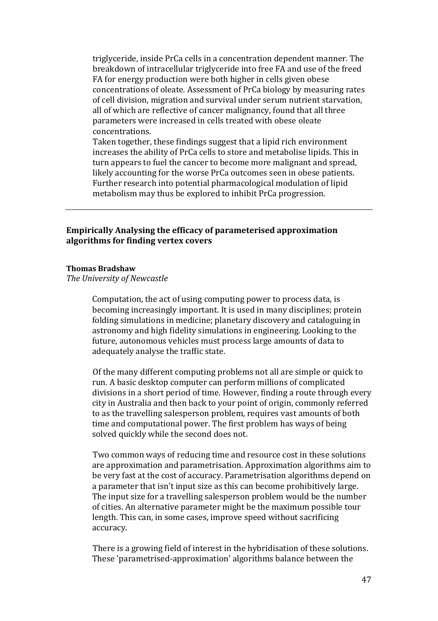triglyceride, inside PrCa cells in a concentration dependent manner. The breakdown of intracellular triglyceride into free FA and use of the freed FA for energy production were both higher in cells given obese concentrations of oleate. Assessment of PrCa biology by measuring rates of cell division, migration and survival under serum nutrient starvation, all of which are reflective of cancer malignancy, found that all three parameters were increased in cells treated with obese oleate concentrations.

Taken together, these findings suggest that a lipid rich environment increases the ability of PrCa cells to store and metabolise lipids. This in turn appears to fuel the cancer to become more malignant and spread, likely accounting for the worse PrCa outcomes seen in obese patients. Further research into potential pharmacological modulation of lipid metabolism may thus be explored to inhibit PrCa progression.

# **Empirically Analysing the efficacy of parameterised approximation algorithms for finding vertex covers**

### **Thomas Bradshaw**

*The University of Newcastle*

Computation, the act of using computing power to process data, is becoming increasingly important. It is used in many disciplines; protein folding simulations in medicine; planetary discovery and cataloguing in astronomy and high fidelity simulations in engineering. Looking to the future, autonomous vehicles must process large amounts of data to adequately analyse the traffic state.

Of the many different computing problems not all are simple or quick to run. A basic desktop computer can perform millions of complicated divisions in a short period of time. However, finding a route through every city in Australia and then back to your point of origin, commonly referred to as the travelling salesperson problem, requires vast amounts of both time and computational power. The first problem has ways of being solved quickly while the second does not.

Two common ways of reducing time and resource cost in these solutions are approximation and parametrisation. Approximation algorithms aim to be very fast at the cost of accuracy. Parametrisation algorithms depend on a parameter that isn't input size as this can become prohibitively large. The input size for a travelling salesperson problem would be the number of cities. An alternative parameter might be the maximum possible tour length. This can, in some cases, improve speed without sacrificing accuracy.

There is a growing field of interest in the hybridisation of these solutions. These 'parametrised-approximation' algorithms balance between the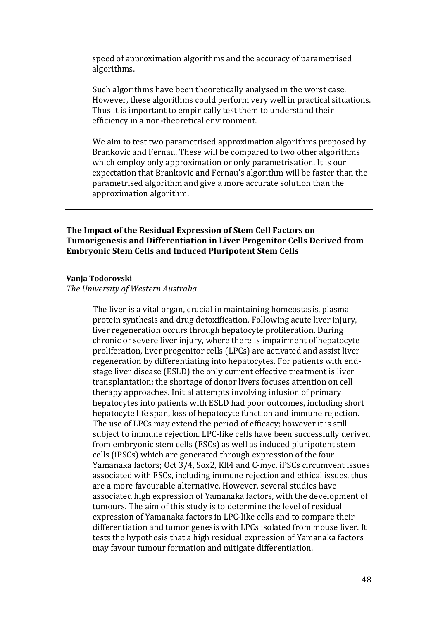speed of approximation algorithms and the accuracy of parametrised algorithms.

Such algorithms have been theoretically analysed in the worst case. However, these algorithms could perform very well in practical situations. Thus it is important to empirically test them to understand their efficiency in a non-theoretical environment.

We aim to test two parametrised approximation algorithms proposed by Brankovic and Fernau. These will be compared to two other algorithms which employ only approximation or only parametrisation. It is our expectation that Brankovic and Fernau's algorithm will be faster than the parametrised algorithm and give a more accurate solution than the approximation algorithm.

## **The Impact of the Residual Expression of Stem Cell Factors on Tumorigenesis and Differentiation in Liver Progenitor Cells Derived from Embryonic Stem Cells and Induced Pluripotent Stem Cells**

#### **Vanja Todorovski**

*The University of Western Australia*

The liver is a vital organ, crucial in maintaining homeostasis, plasma protein synthesis and drug detoxification. Following acute liver injury, liver regeneration occurs through hepatocyte proliferation. During chronic or severe liver injury, where there is impairment of hepatocyte proliferation, liver progenitor cells (LPCs) are activated and assist liver regeneration by differentiating into hepatocytes. For patients with endstage liver disease (ESLD) the only current effective treatment is liver transplantation; the shortage of donor livers focuses attention on cell therapy approaches. Initial attempts involving infusion of primary hepatocytes into patients with ESLD had poor outcomes, including short hepatocyte life span, loss of hepatocyte function and immune rejection. The use of LPCs may extend the period of efficacy; however it is still subject to immune rejection. LPC-like cells have been successfully derived from embryonic stem cells (ESCs) as well as induced pluripotent stem cells (iPSCs) which are generated through expression of the four Yamanaka factors; Oct 3/4, Sox2, Klf4 and C-myc. iPSCs circumvent issues associated with ESCs, including immune rejection and ethical issues, thus are a more favourable alternative. However, several studies have associated high expression of Yamanaka factors, with the development of tumours. The aim of this study is to determine the level of residual expression of Yamanaka factors in LPC-like cells and to compare their differentiation and tumorigenesis with LPCs isolated from mouse liver. It tests the hypothesis that a high residual expression of Yamanaka factors may favour tumour formation and mitigate differentiation.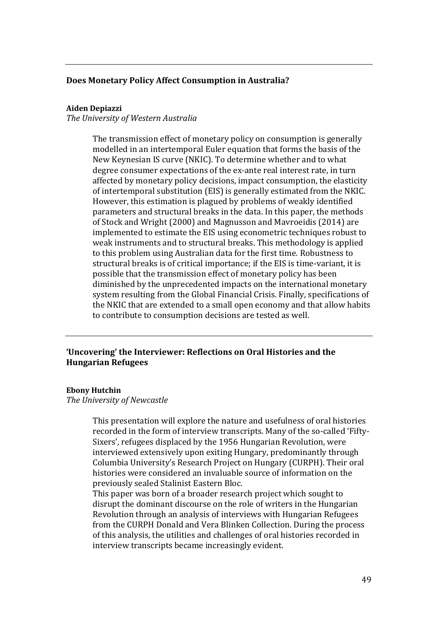## **Does Monetary Policy Affect Consumption in Australia?**

## **Aiden Depiazzi**

*The University of Western Australia*

The transmission effect of monetary policy on consumption is generally modelled in an intertemporal Euler equation that forms the basis of the New Keynesian IS curve (NKIC). To determine whether and to what degree consumer expectations of the ex-ante real interest rate, in turn affected by monetary policy decisions, impact consumption, the elasticity of intertemporal substitution (EIS) is generally estimated from the NKIC. However, this estimation is plagued by problems of weakly identified parameters and structural breaks in the data. In this paper, the methods of Stock and Wright (2000) and Magnusson and Mavroeidis (2014) are implemented to estimate the EIS using econometric techniques robust to weak instruments and to structural breaks. This methodology is applied to this problem using Australian data for the first time. Robustness to structural breaks is of critical importance; if the EIS is time-variant, it is possible that the transmission effect of monetary policy has been diminished by the unprecedented impacts on the international monetary system resulting from the Global Financial Crisis. Finally, specifications of the NKIC that are extended to a small open economy and that allow habits to contribute to consumption decisions are tested as well.

## **'Uncovering' the Interviewer: Reflections on Oral Histories and the Hungarian Refugees**

#### **Ebony Hutchin**

*The University of Newcastle*

This presentation will explore the nature and usefulness of oral histories recorded in the form of interview transcripts. Many of the so-called 'Fifty-Sixers', refugees displaced by the 1956 Hungarian Revolution, were interviewed extensively upon exiting Hungary, predominantly through Columbia University's Research Project on Hungary (CURPH). Their oral histories were considered an invaluable source of information on the previously sealed Stalinist Eastern Bloc.

This paper was born of a broader research project which sought to disrupt the dominant discourse on the role of writers in the Hungarian Revolution through an analysis of interviews with Hungarian Refugees from the CURPH Donald and Vera Blinken Collection. During the process of this analysis, the utilities and challenges of oral histories recorded in interview transcripts became increasingly evident.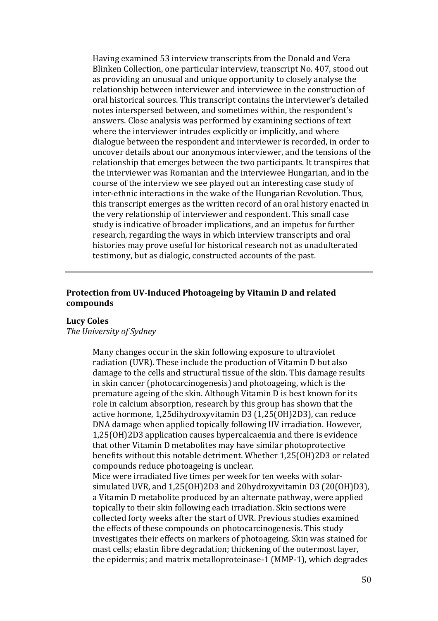Having examined 53 interview transcripts from the Donald and Vera Blinken Collection, one particular interview, transcript No. 407, stood out as providing an unusual and unique opportunity to closely analyse the relationship between interviewer and interviewee in the construction of oral historical sources. This transcript contains the interviewer's detailed notes interspersed between, and sometimes within, the respondent's answers. Close analysis was performed by examining sections of text where the interviewer intrudes explicitly or implicitly, and where dialogue between the respondent and interviewer is recorded, in order to uncover details about our anonymous interviewer, and the tensions of the relationship that emerges between the two participants. It transpires that the interviewer was Romanian and the interviewee Hungarian, and in the course of the interview we see played out an interesting case study of inter-ethnic interactions in the wake of the Hungarian Revolution. Thus, this transcript emerges as the written record of an oral history enacted in the very relationship of interviewer and respondent. This small case study is indicative of broader implications, and an impetus for further research, regarding the ways in which interview transcripts and oral histories may prove useful for historical research not as unadulterated testimony, but as dialogic, constructed accounts of the past.

## **Protection from UV-Induced Photoageing by Vitamin D and related compounds**

### **Lucy Coles**

## *The University of Sydney*

Many changes occur in the skin following exposure to ultraviolet radiation (UVR). These include the production of Vitamin D but also damage to the cells and structural tissue of the skin. This damage results in skin cancer (photocarcinogenesis) and photoageing, which is the premature ageing of the skin. Although Vitamin D is best known for its role in calcium absorption, research by this group has shown that the active hormone, 1,25dihydroxyvitamin D3 (1,25(OH)2D3), can reduce DNA damage when applied topically following UV irradiation. However, 1,25(OH)2D3 application causes hypercalcaemia and there is evidence that other Vitamin D metabolites may have similar photoprotective benefits without this notable detriment. Whether 1,25(OH)2D3 or related compounds reduce photoageing is unclear.

Mice were irradiated five times per week for ten weeks with solarsimulated UVR, and 1,25(OH)2D3 and 20hydroxyvitamin D3 (20(OH)D3), a Vitamin D metabolite produced by an alternate pathway, were applied topically to their skin following each irradiation. Skin sections were collected forty weeks after the start of UVR. Previous studies examined the effects of these compounds on photocarcinogenesis. This study investigates their effects on markers of photoageing. Skin was stained for mast cells; elastin fibre degradation; thickening of the outermost layer, the epidermis; and matrix metalloproteinase-1 (MMP-1), which degrades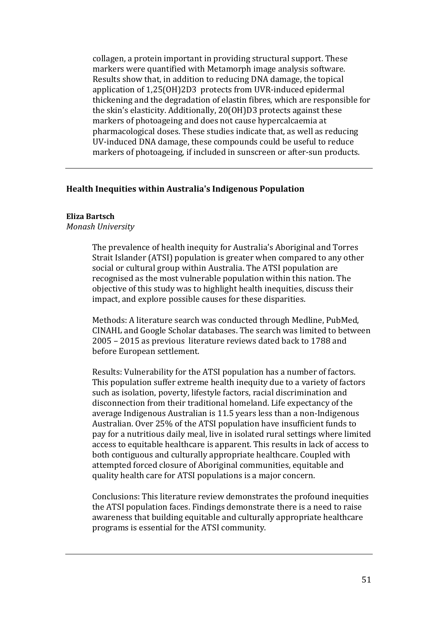collagen, a protein important in providing structural support. These markers were quantified with Metamorph image analysis software. Results show that, in addition to reducing DNA damage, the topical application of 1,25(OH)2D3 protects from UVR-induced epidermal thickening and the degradation of elastin fibres, which are responsible for the skin's elasticity. Additionally, 20(OH)D3 protects against these markers of photoageing and does not cause hypercalcaemia at pharmacological doses. These studies indicate that, as well as reducing UV-induced DNA damage, these compounds could be useful to reduce markers of photoageing, if included in sunscreen or after-sun products.

## **Health Inequities within Australia's Indigenous Population**

## **Eliza Bartsch**

*Monash University*

The prevalence of health inequity for Australia's Aboriginal and Torres Strait Islander (ATSI) population is greater when compared to any other social or cultural group within Australia. The ATSI population are recognised as the most vulnerable population within this nation. The objective of this study was to highlight health inequities, discuss their impact, and explore possible causes for these disparities.

Methods: A literature search was conducted through Medline, PubMed, CINAHL and Google Scholar databases. The search was limited to between 2005 – 2015 as previous literature reviews dated back to 1788 and before European settlement.

Results: Vulnerability for the ATSI population has a number of factors. This population suffer extreme health inequity due to a variety of factors such as isolation, poverty, lifestyle factors, racial discrimination and disconnection from their traditional homeland. Life expectancy of the average Indigenous Australian is 11.5 years less than a non-Indigenous Australian. Over 25% of the ATSI population have insufficient funds to pay for a nutritious daily meal, live in isolated rural settings where limited access to equitable healthcare is apparent. This results in lack of access to both contiguous and culturally appropriate healthcare. Coupled with attempted forced closure of Aboriginal communities, equitable and quality health care for ATSI populations is a major concern.

Conclusions: This literature review demonstrates the profound inequities the ATSI population faces. Findings demonstrate there is a need to raise awareness that building equitable and culturally appropriate healthcare programs is essential for the ATSI community.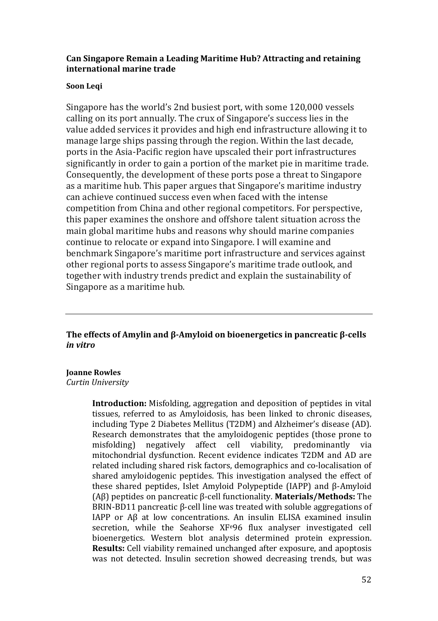# **Can Singapore Remain a Leading Maritime Hub? Attracting and retaining international marine trade**

# **Soon Leqi**

Singapore has the world's 2nd busiest port, with some 120,000 vessels calling on its port annually. The crux of Singapore's success lies in the value added services it provides and high end infrastructure allowing it to manage large ships passing through the region. Within the last decade, ports in the Asia-Pacific region have upscaled their port infrastructures significantly in order to gain a portion of the market pie in maritime trade. Consequently, the development of these ports pose a threat to Singapore as a maritime hub. This paper argues that Singapore's maritime industry can achieve continued success even when faced with the intense competition from China and other regional competitors. For perspective, this paper examines the onshore and offshore talent situation across the main global maritime hubs and reasons why should marine companies continue to relocate or expand into Singapore. I will examine and benchmark Singapore's maritime port infrastructure and services against other regional ports to assess Singapore's maritime trade outlook, and together with industry trends predict and explain the sustainability of Singapore as a maritime hub.

**The effects of Amylin and β-Amyloid on bioenergetics in pancreatic β-cells**  *in vitro*

# **Joanne Rowles**

## *Curtin University*

**Introduction:** Misfolding, aggregation and deposition of peptides in vital tissues, referred to as Amyloidosis, has been linked to chronic diseases, including Type 2 Diabetes Mellitus (T2DM) and Alzheimer's disease (AD). Research demonstrates that the amyloidogenic peptides (those prone to misfolding) negatively affect cell viability, predominantly via negatively affect cell viability, predominantly via mitochondrial dysfunction. Recent evidence indicates T2DM and AD are related including shared risk factors, demographics and co-localisation of shared amyloidogenic peptides. This investigation analysed the effect of these shared peptides, Islet Amyloid Polypeptide (IAPP) and β-Amyloid (Aβ) peptides on pancreatic β-cell functionality. **Materials/Methods:** The BRIN-BD11 pancreatic β-cell line was treated with soluble aggregations of IAPP or Aβ at low concentrations. An insulin ELISA examined insulin secretion, while the Seahorse XF<sup>e96</sup> flux analyser investigated cell bioenergetics. Western blot analysis determined protein expression. **Results:** Cell viability remained unchanged after exposure, and apoptosis was not detected. Insulin secretion showed decreasing trends, but was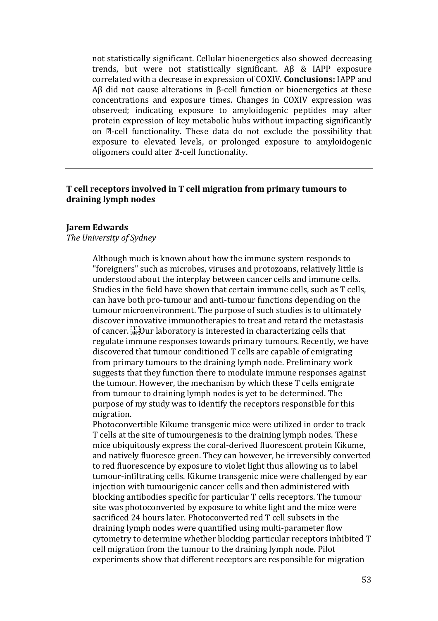not statistically significant. Cellular bioenergetics also showed decreasing trends, but were not statistically significant. Aβ & IAPP exposure correlated with a decrease in expression of COXIV. **Conclusions:** IAPP and Aβ did not cause alterations in β-cell function or bioenergetics at these concentrations and exposure times. Changes in COXIV expression was observed; indicating exposure to amyloidogenic peptides may alter protein expression of key metabolic hubs without impacting significantly on  $\mathbb{Z}$ -cell functionality. These data do not exclude the possibility that exposure to elevated levels, or prolonged exposure to amyloidogenic oligomers could alter  $\mathbb{Z}$ -cell functionality.

# **T cell receptors involved in T cell migration from primary tumours to draining lymph nodes**

## **Jarem Edwards**

## *The University of Sydney*

Although much is known about how the immune system responds to "foreigners" such as microbes, viruses and protozoans, relatively little is understood about the interplay between cancer cells and immune cells. Studies in the field have shown that certain immune cells, such as T cells, can have both pro-tumour and anti-tumour functions depending on the tumour microenvironment. The purpose of such studies is to ultimately discover innovative immunotherapies to treat and retard the metastasis of cancer.  $\sum_{s \in \mathcal{S}} Q(s)$  laboratory is interested in characterizing cells that regulate immune responses towards primary tumours. Recently, we have discovered that tumour conditioned T cells are capable of emigrating from primary tumours to the draining lymph node. Preliminary work suggests that they function there to modulate immune responses against the tumour. However, the mechanism by which these T cells emigrate from tumour to draining lymph nodes is yet to be determined. The purpose of my study was to identify the receptors responsible for this migration.

Photoconvertible Kikume transgenic mice were utilized in order to track T cells at the site of tumourgenesis to the draining lymph nodes. These mice ubiquitously express the coral-derived fluorescent protein Kikume, and natively fluoresce green. They can however, be irreversibly converted to red fluorescence by exposure to violet light thus allowing us to label tumour-infiltrating cells. Kikume transgenic mice were challenged by ear injection with tumourigenic cancer cells and then administered with blocking antibodies specific for particular T cells receptors. The tumour site was photoconverted by exposure to white light and the mice were sacrificed 24 hours later. Photoconverted red T cell subsets in the draining lymph nodes were quantified using multi-parameter flow cytometry to determine whether blocking particular receptors inhibited T cell migration from the tumour to the draining lymph node. Pilot experiments show that different receptors are responsible for migration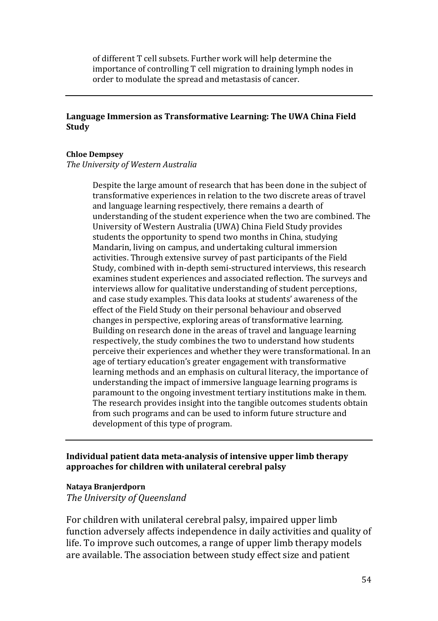of different T cell subsets. Further work will help determine the importance of controlling T cell migration to draining lymph nodes in order to modulate the spread and metastasis of cancer.

# **Language Immersion as Transformative Learning: The UWA China Field Study**

## **Chloe Dempsey**

*The University of Western Australia*

Despite the large amount of research that has been done in the subject of transformative experiences in relation to the two discrete areas of travel and language learning respectively, there remains a dearth of understanding of the student experience when the two are combined. The University of Western Australia (UWA) China Field Study provides students the opportunity to spend two months in China, studying Mandarin, living on campus, and undertaking cultural immersion activities. Through extensive survey of past participants of the Field Study, combined with in-depth semi-structured interviews, this research examines student experiences and associated reflection. The surveys and interviews allow for qualitative understanding of student perceptions, and case study examples. This data looks at students' awareness of the effect of the Field Study on their personal behaviour and observed changes in perspective, exploring areas of transformative learning. Building on research done in the areas of travel and language learning respectively, the study combines the two to understand how students perceive their experiences and whether they were transformational. In an age of tertiary education's greater engagement with transformative learning methods and an emphasis on cultural literacy, the importance of understanding the impact of immersive language learning programs is paramount to the ongoing investment tertiary institutions make in them. The research provides insight into the tangible outcomes students obtain from such programs and can be used to inform future structure and development of this type of program.

# **Individual patient data meta-analysis of intensive upper limb therapy approaches for children with unilateral cerebral palsy**

### **Nataya Branjerdporn**

*The University of Queensland*

For children with unilateral cerebral palsy, impaired upper limb function adversely affects independence in daily activities and quality of life. To improve such outcomes, a range of upper limb therapy models are available. The association between study effect size and patient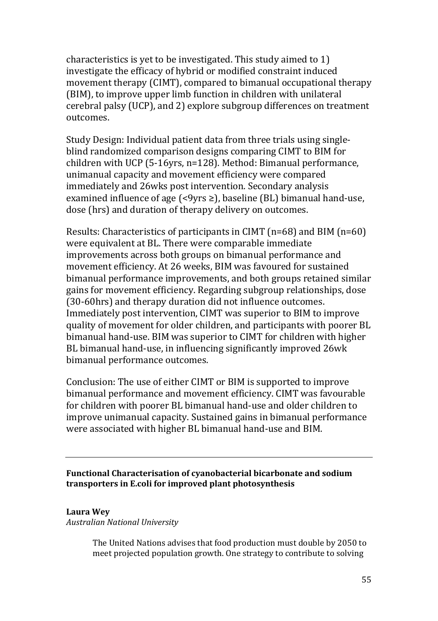characteristics is yet to be investigated. This study aimed to 1) investigate the efficacy of hybrid or modified constraint induced movement therapy (CIMT), compared to bimanual occupational therapy (BIM), to improve upper limb function in children with unilateral cerebral palsy (UCP), and 2) explore subgroup differences on treatment outcomes.

Study Design: Individual patient data from three trials using singleblind randomized comparison designs comparing CIMT to BIM for children with UCP (5-16yrs, n=128). Method: Bimanual performance, unimanual capacity and movement efficiency were compared immediately and 26wks post intervention. Secondary analysis examined influence of age  $\leq$ 9yrs  $\geq$ ), baseline (BL) bimanual hand-use, dose (hrs) and duration of therapy delivery on outcomes.

Results: Characteristics of participants in CIMT (n=68) and BIM (n=60) were equivalent at BL. There were comparable immediate improvements across both groups on bimanual performance and movement efficiency. At 26 weeks, BIM was favoured for sustained bimanual performance improvements, and both groups retained similar gains for movement efficiency. Regarding subgroup relationships, dose (30-60hrs) and therapy duration did not influence outcomes. Immediately post intervention, CIMT was superior to BIM to improve quality of movement for older children, and participants with poorer BL bimanual hand-use. BIM was superior to CIMT for children with higher BL bimanual hand-use, in influencing significantly improved 26wk bimanual performance outcomes.

Conclusion: The use of either CIMT or BIM is supported to improve bimanual performance and movement efficiency. CIMT was favourable for children with poorer BL bimanual hand-use and older children to improve unimanual capacity. Sustained gains in bimanual performance were associated with higher BL bimanual hand-use and BIM.

**Functional Characterisation of cyanobacterial bicarbonate and sodium transporters in E.coli for improved plant photosynthesis**

# **Laura Wey**

*Australian National University* 

The United Nations advises that food production must double by 2050 to meet projected population growth. One strategy to contribute to solving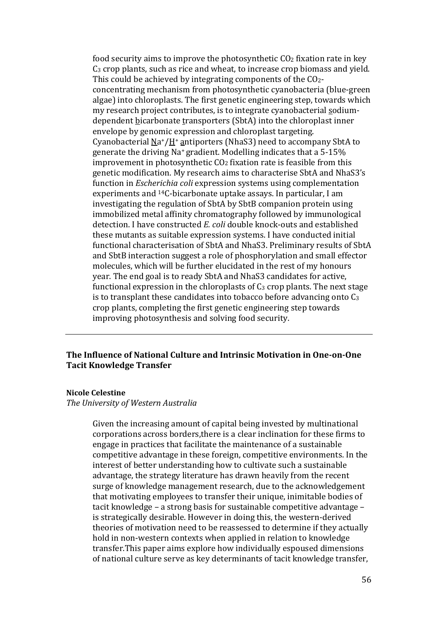food security aims to improve the photosynthetic  $CO<sub>2</sub>$  fixation rate in key C3 crop plants, such as rice and wheat, to increase crop biomass and yield. This could be achieved by integrating components of the CO2 concentrating mechanism from photosynthetic cyanobacteria (blue-green algae) into chloroplasts. The first genetic engineering step, towards which my research project contributes, is to integrate cyanobacterial sodiumdependent bicarbonate transporters (SbtA) into the chloroplast inner envelope by genomic expression and chloroplast targeting. Cyanobacterial Na+/H+ antiporters (NhaS3) need to accompany SbtA to generate the driving Na+ gradient. Modelling indicates that a 5-15% improvement in photosynthetic CO2 fixation rate is feasible from this genetic modification. My research aims to characterise SbtA and NhaS3's function in *Escherichia coli* expression systems using complementation experiments and 14C-bicarbonate uptake assays. In particular, I am investigating the regulation of SbtA by SbtB companion protein using immobilized metal affinity chromatography followed by immunological detection. I have constructed *E. coli* double knock-outs and established these mutants as suitable expression systems. I have conducted initial functional characterisation of SbtA and NhaS3. Preliminary results of SbtA and SbtB interaction suggest a role of phosphorylation and small effector molecules, which will be further elucidated in the rest of my honours year. The end goal is to ready SbtA and NhaS3 candidates for active, functional expression in the chloroplasts of  $C_3$  crop plants. The next stage is to transplant these candidates into tobacco before advancing onto  $C_3$ crop plants, completing the first genetic engineering step towards improving photosynthesis and solving food security.

# **The Influence of National Culture and Intrinsic Motivation in One-on-One Tacit Knowledge Transfer**

### **Nicole Celestine**

*The University of Western Australia*

Given the increasing amount of capital being invested by multinational corporations across borders,there is a clear inclination for these firms to engage in practices that facilitate the maintenance of a sustainable competitive advantage in these foreign, competitive environments. In the interest of better understanding how to cultivate such a sustainable advantage, the strategy literature has drawn heavily from the recent surge of knowledge management research, due to the acknowledgement that motivating employees to transfer their unique, inimitable bodies of tacit knowledge – a strong basis for sustainable competitive advantage – is strategically desirable. However in doing this, the western-derived theories of motivation need to be reassessed to determine if they actually hold in non-western contexts when applied in relation to knowledge transfer.This paper aims explore how individually espoused dimensions of national culture serve as key determinants of tacit knowledge transfer,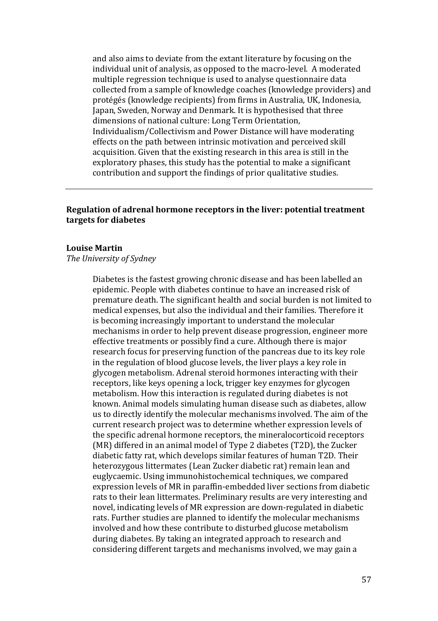and also aims to deviate from the extant literature by focusing on the individual unit of analysis, as opposed to the macro-level. A moderated multiple regression technique is used to analyse questionnaire data collected from a sample of knowledge coaches (knowledge providers) and protégés (knowledge recipients) from firms in Australia, UK, Indonesia, Japan, Sweden, Norway and Denmark. It is hypothesised that three dimensions of national culture: Long Term Orientation, Individualism/Collectivism and Power Distance will have moderating effects on the path between intrinsic motivation and perceived skill acquisition. Given that the existing research in this area is still in the exploratory phases, this study has the potential to make a significant contribution and support the findings of prior qualitative studies.

# **Regulation of adrenal hormone receptors in the liver: potential treatment targets for diabetes**

#### **Louise Martin**

*The University of Sydney*

Diabetes is the fastest growing chronic disease and has been labelled an epidemic. People with diabetes continue to have an increased risk of premature death. The significant health and social burden is not limited to medical expenses, but also the individual and their families. Therefore it is becoming increasingly important to understand the molecular mechanisms in order to help prevent disease progression, engineer more effective treatments or possibly find a cure. Although there is major research focus for preserving function of the pancreas due to its key role in the regulation of blood glucose levels, the liver plays a key role in glycogen metabolism. Adrenal steroid hormones interacting with their receptors, like keys opening a lock, trigger key enzymes for glycogen metabolism. How this interaction is regulated during diabetes is not known. Animal models simulating human disease such as diabetes, allow us to directly identify the molecular mechanisms involved. The aim of the current research project was to determine whether expression levels of the specific adrenal hormone receptors, the mineralocorticoid receptors (MR) differed in an animal model of Type 2 diabetes (T2D), the Zucker diabetic fatty rat, which develops similar features of human T2D. Their heterozygous littermates (Lean Zucker diabetic rat) remain lean and euglycaemic. Using immunohistochemical techniques, we compared expression levels of MR in paraffin-embedded liver sections from diabetic rats to their lean littermates. Preliminary results are very interesting and novel, indicating levels of MR expression are down-regulated in diabetic rats. Further studies are planned to identify the molecular mechanisms involved and how these contribute to disturbed glucose metabolism during diabetes. By taking an integrated approach to research and considering different targets and mechanisms involved, we may gain a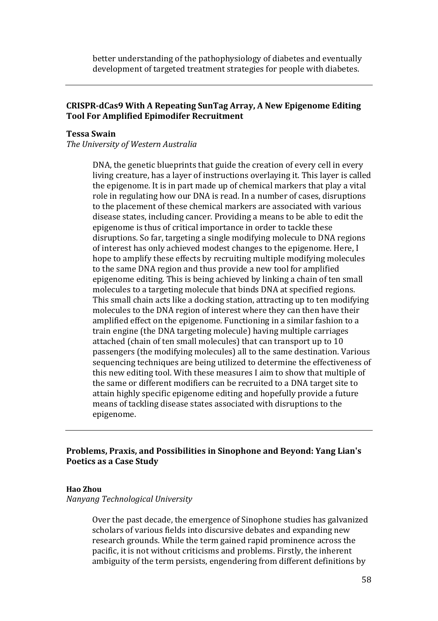better understanding of the pathophysiology of diabetes and eventually development of targeted treatment strategies for people with diabetes.

## **CRISPR-dCas9 With A Repeating SunTag Array, A New Epigenome Editing Tool For Amplified Epimodifer Recruitment**

## **Tessa Swain**

*The University of Western Australia*

DNA, the genetic blueprints that guide the creation of every cell in every living creature, has a layer of instructions overlaying it. This layer is called the epigenome. It is in part made up of chemical markers that play a vital role in regulating how our DNA is read. In a number of cases, disruptions to the placement of these chemical markers are associated with various disease states, including cancer. Providing a means to be able to edit the epigenome is thus of critical importance in order to tackle these disruptions. So far, targeting a single modifying molecule to DNA regions of interest has only achieved modest changes to the epigenome. Here, I hope to amplify these effects by recruiting multiple modifying molecules to the same DNA region and thus provide a new tool for amplified epigenome editing. This is being achieved by linking a chain of ten small molecules to a targeting molecule that binds DNA at specified regions. This small chain acts like a docking station, attracting up to ten modifying molecules to the DNA region of interest where they can then have their amplified effect on the epigenome. Functioning in a similar fashion to a train engine (the DNA targeting molecule) having multiple carriages attached (chain of ten small molecules) that can transport up to 10 passengers (the modifying molecules) all to the same destination. Various sequencing techniques are being utilized to determine the effectiveness of this new editing tool. With these measures I aim to show that multiple of the same or different modifiers can be recruited to a DNA target site to attain highly specific epigenome editing and hopefully provide a future means of tackling disease states associated with disruptions to the epigenome.

# **Problems, Praxis, and Possibilities in Sinophone and Beyond: Yang Lian's Poetics as a Case Study**

#### **Hao Zhou**

*Nanyang Technological University*

Over the past decade, the emergence of Sinophone studies has galvanized scholars of various fields into discursive debates and expanding new research grounds. While the term gained rapid prominence across the pacific, it is not without criticisms and problems. Firstly, the inherent ambiguity of the term persists, engendering from different definitions by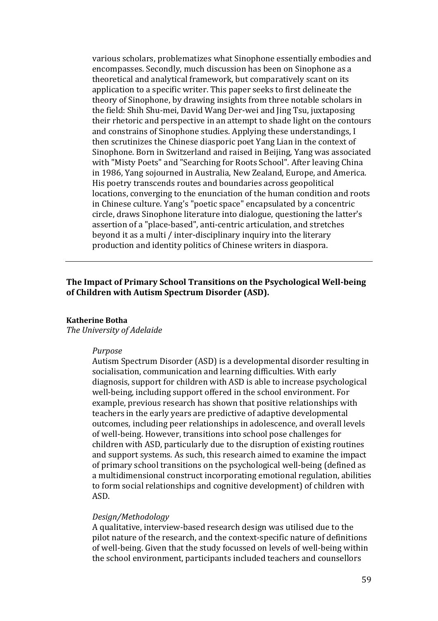various scholars, problematizes what Sinophone essentially embodies and encompasses. Secondly, much discussion has been on Sinophone as a theoretical and analytical framework, but comparatively scant on its application to a specific writer. This paper seeks to first delineate the theory of Sinophone, by drawing insights from three notable scholars in the field: Shih Shu-mei, David Wang Der-wei and Jing Tsu, juxtaposing their rhetoric and perspective in an attempt to shade light on the contours and constrains of Sinophone studies. Applying these understandings, I then scrutinizes the Chinese diasporic poet Yang Lian in the context of Sinophone. Born in Switzerland and raised in Beijing, Yang was associated with "Misty Poets" and "Searching for Roots School". After leaving China in 1986, Yang sojourned in Australia, New Zealand, Europe, and America. His poetry transcends routes and boundaries across geopolitical locations, converging to the enunciation of the human condition and roots in Chinese culture. Yang's "poetic space" encapsulated by a concentric circle, draws Sinophone literature into dialogue, questioning the latter's assertion of a "place-based", anti-centric articulation, and stretches beyond it as a multi / inter-disciplinary inquiry into the literary production and identity politics of Chinese writers in diaspora.

## **The Impact of Primary School Transitions on the Psychological Well-being of Children with Autism Spectrum Disorder (ASD).**

#### **Katherine Botha**

*The University of Adelaide*

#### *Purpose*

Autism Spectrum Disorder (ASD) is a developmental disorder resulting in socialisation, communication and learning difficulties. With early diagnosis, support for children with ASD is able to increase psychological well-being, including support offered in the school environment. For example, previous research has shown that positive relationships with teachers in the early years are predictive of adaptive developmental outcomes, including peer relationships in adolescence, and overall levels of well-being. However, transitions into school pose challenges for children with ASD, particularly due to the disruption of existing routines and support systems. As such, this research aimed to examine the impact of primary school transitions on the psychological well-being (defined as a multidimensional construct incorporating emotional regulation, abilities to form social relationships and cognitive development) of children with ASD.

#### *Design/Methodology*

A qualitative, interview-based research design was utilised due to the pilot nature of the research, and the context-specific nature of definitions of well-being. Given that the study focussed on levels of well-being within the school environment, participants included teachers and counsellors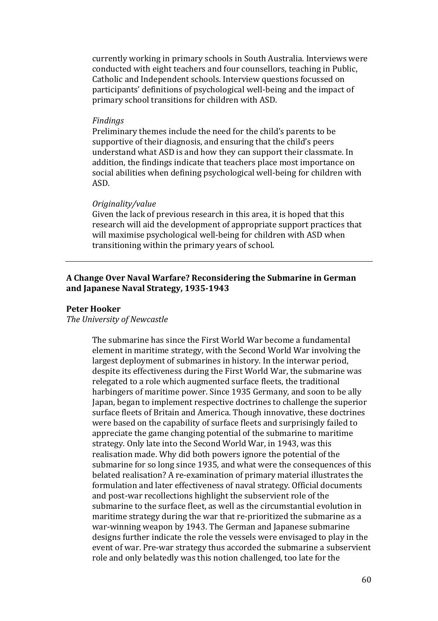currently working in primary schools in South Australia. Interviews were conducted with eight teachers and four counsellors, teaching in Public, Catholic and Independent schools. Interview questions focussed on participants' definitions of psychological well-being and the impact of primary school transitions for children with ASD.

#### *Findings*

Preliminary themes include the need for the child's parents to be supportive of their diagnosis, and ensuring that the child's peers understand what ASD is and how they can support their classmate. In addition, the findings indicate that teachers place most importance on social abilities when defining psychological well-being for children with ASD.

#### *Originality/value*

Given the lack of previous research in this area, it is hoped that this research will aid the development of appropriate support practices that will maximise psychological well-being for children with ASD when transitioning within the primary years of school.

# **A Change Over Naval Warfare? Reconsidering the Submarine in German and Japanese Naval Strategy, 1935-1943**

### **Peter Hooker**

## *The University of Newcastle*

The submarine has since the First World War become a fundamental element in maritime strategy, with the Second World War involving the largest deployment of submarines in history. In the interwar period, despite its effectiveness during the First World War, the submarine was relegated to a role which augmented surface fleets, the traditional harbingers of maritime power. Since 1935 Germany, and soon to be ally Japan, began to implement respective doctrines to challenge the superior surface fleets of Britain and America. Though innovative, these doctrines were based on the capability of surface fleets and surprisingly failed to appreciate the game changing potential of the submarine to maritime strategy. Only late into the Second World War, in 1943, was this realisation made. Why did both powers ignore the potential of the submarine for so long since 1935, and what were the consequences of this belated realisation? A re-examination of primary material illustrates the formulation and later effectiveness of naval strategy. Official documents and post-war recollections highlight the subservient role of the submarine to the surface fleet, as well as the circumstantial evolution in maritime strategy during the war that re-prioritized the submarine as a war-winning weapon by 1943. The German and Japanese submarine designs further indicate the role the vessels were envisaged to play in the event of war. Pre-war strategy thus accorded the submarine a subservient role and only belatedly was this notion challenged, too late for the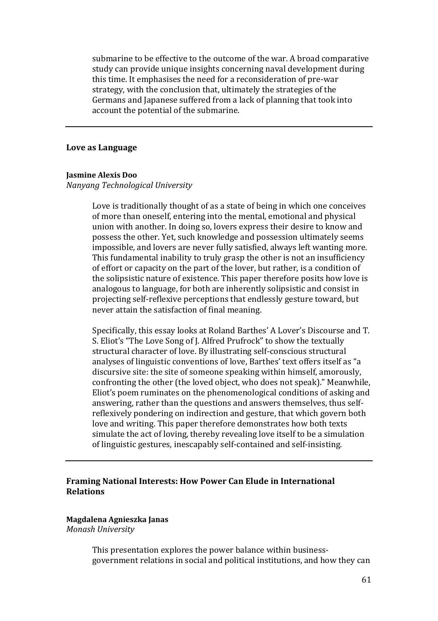submarine to be effective to the outcome of the war. A broad comparative study can provide unique insights concerning naval development during this time. It emphasises the need for a reconsideration of pre-war strategy, with the conclusion that, ultimately the strategies of the Germans and Japanese suffered from a lack of planning that took into account the potential of the submarine.

### **Love as Language**

#### **Jasmine Alexis Doo**

#### *Nanyang Technological University*

Love is traditionally thought of as a state of being in which one conceives of more than oneself, entering into the mental, emotional and physical union with another. In doing so, lovers express their desire to know and possess the other. Yet, such knowledge and possession ultimately seems impossible, and lovers are never fully satisfied, always left wanting more. This fundamental inability to truly grasp the other is not an insufficiency of effort or capacity on the part of the lover, but rather, is a condition of the solipsistic nature of existence. This paper therefore posits how love is analogous to language, for both are inherently solipsistic and consist in projecting self-reflexive perceptions that endlessly gesture toward, but never attain the satisfaction of final meaning.

Specifically, this essay looks at Roland Barthes' A Lover's Discourse and T. S. Eliot's "The Love Song of J. Alfred Prufrock" to show the textually structural character of love. By illustrating self-conscious structural analyses of linguistic conventions of love, Barthes' text offers itself as "a discursive site: the site of someone speaking within himself, amorously, confronting the other (the loved object, who does not speak)." Meanwhile, Eliot's poem ruminates on the phenomenological conditions of asking and answering, rather than the questions and answers themselves, thus selfreflexively pondering on indirection and gesture, that which govern both love and writing. This paper therefore demonstrates how both texts simulate the act of loving, thereby revealing love itself to be a simulation of linguistic gestures, inescapably self-contained and self-insisting.

## **Framing National Interests: How Power Can Elude in International Relations**

#### **Magdalena Agnieszka Janas**

*Monash University* 

This presentation explores the power balance within businessgovernment relations in social and political institutions, and how they can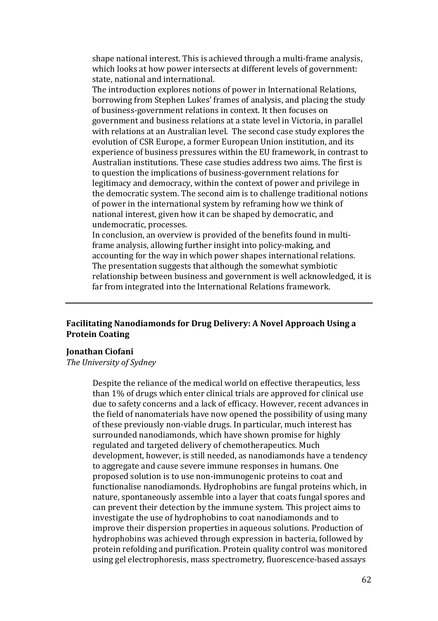shape national interest. This is achieved through a multi-frame analysis, which looks at how power intersects at different levels of government: state, national and international.

The introduction explores notions of power in International Relations, borrowing from Stephen Lukes' frames of analysis, and placing the study of business-government relations in context. It then focuses on government and business relations at a state level in Victoria, in parallel with relations at an Australian level. The second case study explores the evolution of CSR Europe, a former European Union institution, and its experience of business pressures within the EU framework, in contrast to Australian institutions. These case studies address two aims. The first is to question the implications of business-government relations for legitimacy and democracy, within the context of power and privilege in the democratic system. The second aim is to challenge traditional notions of power in the international system by reframing how we think of national interest, given how it can be shaped by democratic, and undemocratic, processes.

In conclusion, an overview is provided of the benefits found in multiframe analysis, allowing further insight into policy-making, and accounting for the way in which power shapes international relations. The presentation suggests that although the somewhat symbiotic relationship between business and government is well acknowledged, it is far from integrated into the International Relations framework.

# **Facilitating Nanodiamonds for Drug Delivery: A Novel Approach Using a Protein Coating**

## **Jonathan Ciofani**

*The University of Sydney*

Despite the reliance of the medical world on effective therapeutics, less than 1% of drugs which enter clinical trials are approved for clinical use due to safety concerns and a lack of efficacy. However, recent advances in the field of nanomaterials have now opened the possibility of using many of these previously non-viable drugs. In particular, much interest has surrounded nanodiamonds, which have shown promise for highly regulated and targeted delivery of chemotherapeutics. Much development, however, is still needed, as nanodiamonds have a tendency to aggregate and cause severe immune responses in humans. One proposed solution is to use non-immunogenic proteins to coat and functionalise nanodiamonds. Hydrophobins are fungal proteins which, in nature, spontaneously assemble into a layer that coats fungal spores and can prevent their detection by the immune system. This project aims to investigate the use of hydrophobins to coat nanodiamonds and to improve their dispersion properties in aqueous solutions. Production of hydrophobins was achieved through expression in bacteria, followed by protein refolding and purification. Protein quality control was monitored using gel electrophoresis, mass spectrometry, fluorescence-based assays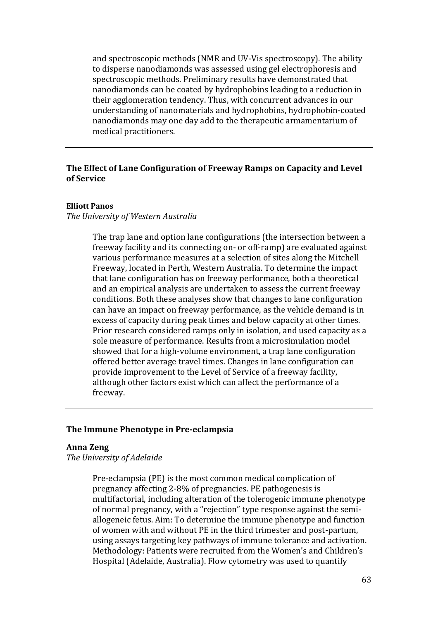and spectroscopic methods (NMR and UV-Vis spectroscopy). The ability to disperse nanodiamonds was assessed using gel electrophoresis and spectroscopic methods. Preliminary results have demonstrated that nanodiamonds can be coated by hydrophobins leading to a reduction in their agglomeration tendency. Thus, with concurrent advances in our understanding of nanomaterials and hydrophobins, hydrophobin-coated nanodiamonds may one day add to the therapeutic armamentarium of medical practitioners.

## **The Effect of Lane Configuration of Freeway Ramps on Capacity and Level of Service**

### **Elliott Panos**

## *The University of Western Australia*

The trap lane and option lane configurations (the intersection between a freeway facility and its connecting on- or off-ramp) are evaluated against various performance measures at a selection of sites along the Mitchell Freeway, located in Perth, Western Australia. To determine the impact that lane configuration has on freeway performance, both a theoretical and an empirical analysis are undertaken to assess the current freeway conditions. Both these analyses show that changes to lane configuration can have an impact on freeway performance, as the vehicle demand is in excess of capacity during peak times and below capacity at other times. Prior research considered ramps only in isolation, and used capacity as a sole measure of performance. Results from a microsimulation model showed that for a high-volume environment, a trap lane configuration offered better average travel times. Changes in lane configuration can provide improvement to the Level of Service of a freeway facility, although other factors exist which can affect the performance of a freeway.

## **The Immune Phenotype in Pre-eclampsia**

## **Anna Zeng**

*The University of Adelaide*

Pre-eclampsia (PE) is the most common medical complication of pregnancy affecting 2-8% of pregnancies. PE pathogenesis is multifactorial, including alteration of the tolerogenic immune phenotype of normal pregnancy, with a "rejection" type response against the semiallogeneic fetus. Aim: To determine the immune phenotype and function of women with and without PE in the third trimester and post-partum, using assays targeting key pathways of immune tolerance and activation. Methodology: Patients were recruited from the Women's and Children's Hospital (Adelaide, Australia). Flow cytometry was used to quantify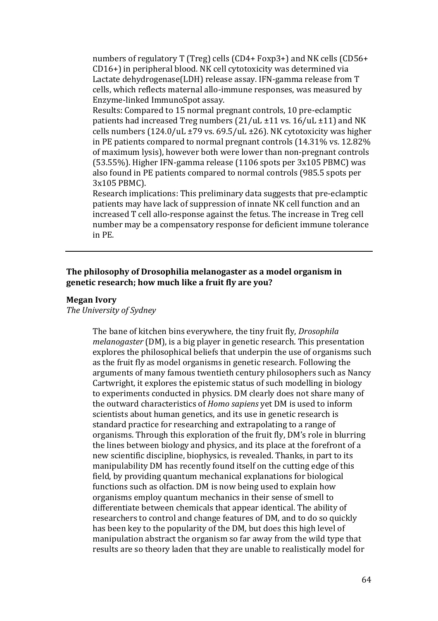numbers of regulatory T (Treg) cells (CD4+ Foxp3+) and NK cells (CD56+ CD16+) in peripheral blood. NK cell cytotoxicity was determined via Lactate dehydrogenase(LDH) release assay. IFN-gamma release from T cells, which reflects maternal allo-immune responses, was measured by Enzyme-linked ImmunoSpot assay.

Results: Compared to 15 normal pregnant controls, 10 pre-eclamptic patients had increased Treg numbers (21/uL ±11 vs. 16/uL ±11) and NK cells numbers  $(124.0/uL \pm 79$  vs.  $69.5/uL \pm 26$ ). NK cytotoxicity was higher in PE patients compared to normal pregnant controls (14.31% vs. 12.82% of maximum lysis), however both were lower than non-pregnant controls (53.55%). Higher IFN-gamma release (1106 spots per 3x105 PBMC) was also found in PE patients compared to normal controls (985.5 spots per 3x105 PBMC).

Research implications: This preliminary data suggests that pre-eclamptic patients may have lack of suppression of innate NK cell function and an increased T cell allo-response against the fetus. The increase in Treg cell number may be a compensatory response for deficient immune tolerance in PE.

# **The philosophy of Drosophilia melanogaster as a model organism in genetic research; how much like a fruit fly are you?**

#### **Megan Ivory**

*The University of Sydney*

The bane of kitchen bins everywhere, the tiny fruit fly, *Drosophila melanogaster* (DM), is a big player in genetic research. This presentation explores the philosophical beliefs that underpin the use of organisms such as the fruit fly as model organisms in genetic research. Following the arguments of many famous twentieth century philosophers such as Nancy Cartwright, it explores the epistemic status of such modelling in biology to experiments conducted in physics. DM clearly does not share many of the outward characteristics of *Homo sapiens* yet DM is used to inform scientists about human genetics, and its use in genetic research is standard practice for researching and extrapolating to a range of organisms. Through this exploration of the fruit fly, DM's role in blurring the lines between biology and physics, and its place at the forefront of a new scientific discipline, biophysics, is revealed. Thanks, in part to its manipulability DM has recently found itself on the cutting edge of this field, by providing quantum mechanical explanations for biological functions such as olfaction. DM is now being used to explain how organisms employ quantum mechanics in their sense of smell to differentiate between chemicals that appear identical. The ability of researchers to control and change features of DM, and to do so quickly has been key to the popularity of the DM*,* but does this high level of manipulation abstract the organism so far away from the wild type that results are so theory laden that they are unable to realistically model for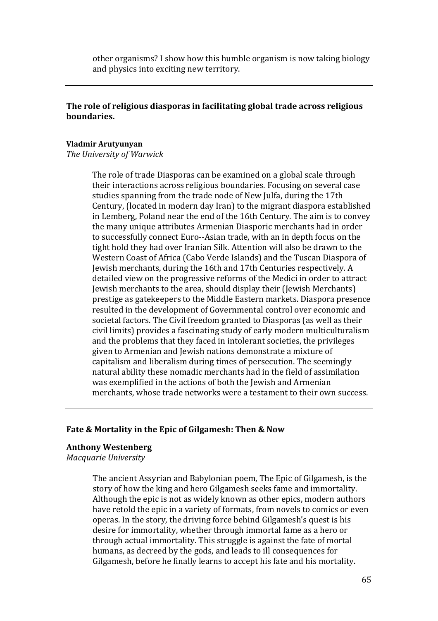other organisms? I show how this humble organism is now taking biology and physics into exciting new territory.

# **The role of religious diasporas in facilitating global trade across religious boundaries.**

#### **Vladmir Arutyunyan**

*The University of Warwick*

The role of trade Diasporas can be examined on a global scale through their interactions across religious boundaries. Focusing on several case studies spanning from the trade node of New Julfa, during the 17th Century, (located in modern day Iran) to the migrant diaspora established in Lemberg, Poland near the end of the 16th Century. The aim is to convey the many unique attributes Armenian Diasporic merchants had in order to successfully connect Euro--Asian trade, with an in depth focus on the tight hold they had over Iranian Silk. Attention will also be drawn to the Western Coast of Africa (Cabo Verde Islands) and the Tuscan Diaspora of Jewish merchants, during the 16th and 17th Centuries respectively. A detailed view on the progressive reforms of the Medici in order to attract Jewish merchants to the area, should display their (Jewish Merchants) prestige as gatekeepers to the Middle Eastern markets. Diaspora presence resulted in the development of Governmental control over economic and societal factors. The Civil freedom granted to Diasporas (as well as their civil limits) provides a fascinating study of early modern multiculturalism and the problems that they faced in intolerant societies, the privileges given to Armenian and Jewish nations demonstrate a mixture of capitalism and liberalism during times of persecution. The seemingly natural ability these nomadic merchants had in the field of assimilation was exemplified in the actions of both the Jewish and Armenian merchants, whose trade networks were a testament to their own success.

## **Fate & Mortality in the Epic of Gilgamesh: Then & Now**

## **Anthony Westenberg**

*Macquarie University*

The ancient Assyrian and Babylonian poem, The Epic of Gilgamesh, is the story of how the king and hero Gilgamesh seeks fame and immortality. Although the epic is not as widely known as other epics, modern authors have retold the epic in a variety of formats, from novels to comics or even operas. In the story, the driving force behind Gilgamesh's quest is his desire for immortality, whether through immortal fame as a hero or through actual immortality. This struggle is against the fate of mortal humans, as decreed by the gods, and leads to ill consequences for Gilgamesh, before he finally learns to accept his fate and his mortality.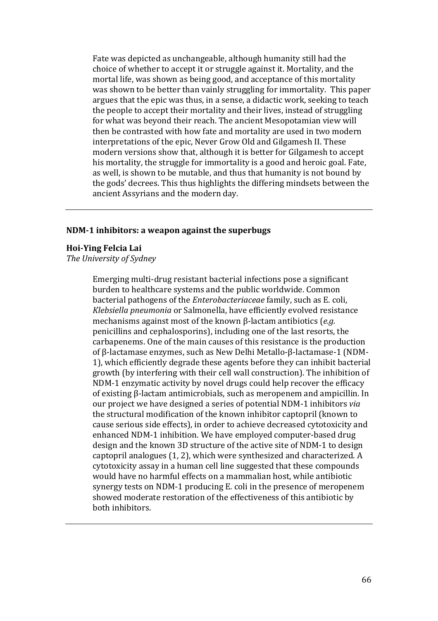Fate was depicted as unchangeable, although humanity still had the choice of whether to accept it or struggle against it. Mortality, and the mortal life, was shown as being good, and acceptance of this mortality was shown to be better than vainly struggling for immortality. This paper argues that the epic was thus, in a sense, a didactic work, seeking to teach the people to accept their mortality and their lives, instead of struggling for what was beyond their reach. The ancient Mesopotamian view will then be contrasted with how fate and mortality are used in two modern interpretations of the epic, Never Grow Old and Gilgamesh II. These modern versions show that, although it is better for Gilgamesh to accept his mortality, the struggle for immortality is a good and heroic goal. Fate, as well, is shown to be mutable, and thus that humanity is not bound by the gods' decrees. This thus highlights the differing mindsets between the ancient Assyrians and the modern day.

### **NDM-1 inhibitors: a weapon against the superbugs**

### **Hoi-Ying Felcia Lai**

*The University of Sydney*

Emerging multi-drug resistant bacterial infections pose a significant burden to healthcare systems and the public worldwide. Common bacterial pathogens of the *Enterobacteriaceae* family, such as E. coli, *Klebsiella pneumonia* or Salmonella, have efficiently evolved resistance mechanisms against most of the known β-lactam antibiotics (*e.g.* penicillins and cephalosporins), including one of the last resorts, the carbapenems. One of the main causes of this resistance is the production of β-lactamase enzymes, such as New Delhi Metallo-β-lactamase-1 (NDM-1), which efficiently degrade these agents before they can inhibit bacterial growth (by interfering with their cell wall construction). The inhibition of NDM-1 enzymatic activity by novel drugs could help recover the efficacy of existing β-lactam antimicrobials, such as meropenem and ampicillin. In our project we have designed a series of potential NDM-1 inhibitors *via* the structural modification of the known inhibitor captopril (known to cause serious side effects), in order to achieve decreased cytotoxicity and enhanced NDM-1 inhibition. We have employed computer-based drug design and the known 3D structure of the active site of NDM-1 to design captopril analogues (1, 2), which were synthesized and characterized. A cytotoxicity assay in a human cell line suggested that these compounds would have no harmful effects on a mammalian host, while antibiotic synergy tests on NDM-1 producing E. coli in the presence of meropenem showed moderate restoration of the effectiveness of this antibiotic by both inhibitors.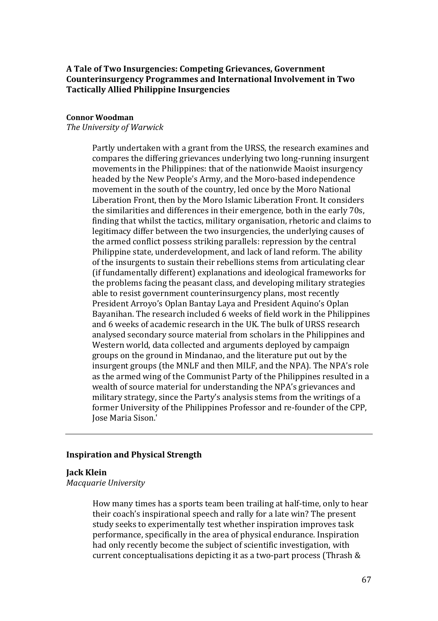# **A Tale of Two Insurgencies: Competing Grievances, Government Counterinsurgency Programmes and International Involvement in Two Tactically Allied Philippine Insurgencies**

### **Connor Woodman**

*The University of Warwick*

Partly undertaken with a grant from the URSS, the research examines and compares the differing grievances underlying two long-running insurgent movements in the Philippines: that of the nationwide Maoist insurgency headed by the New People's Army, and the Moro-based independence movement in the south of the country, led once by the Moro National Liberation Front, then by the Moro Islamic Liberation Front. It considers the similarities and differences in their emergence, both in the early 70s, finding that whilst the tactics, military organisation, rhetoric and claims to legitimacy differ between the two insurgencies, the underlying causes of the armed conflict possess striking parallels: repression by the central Philippine state, underdevelopment, and lack of land reform. The ability of the insurgents to sustain their rebellions stems from articulating clear (if fundamentally different) explanations and ideological frameworks for the problems facing the peasant class, and developing military strategies able to resist government counterinsurgency plans, most recently President Arroyo's Oplan Bantay Laya and President Aquino's Oplan Bayanihan. The research included 6 weeks of field work in the Philippines and 6 weeks of academic research in the UK. The bulk of URSS research analysed secondary source material from scholars in the Philippines and Western world, data collected and arguments deployed by campaign groups on the ground in Mindanao, and the literature put out by the insurgent groups (the MNLF and then MILF, and the NPA). The NPA's role as the armed wing of the Communist Party of the Philippines resulted in a wealth of source material for understanding the NPA's grievances and military strategy, since the Party's analysis stems from the writings of a former University of the Philippines Professor and re-founder of the CPP, Jose Maria Sison.'

## **Inspiration and Physical Strength**

# **Jack Klein**

*Macquarie University*

How many times has a sports team been trailing at half-time, only to hear their coach's inspirational speech and rally for a late win? The present study seeks to experimentally test whether inspiration improves task performance, specifically in the area of physical endurance. Inspiration had only recently become the subject of scientific investigation, with current conceptualisations depicting it as a two-part process (Thrash &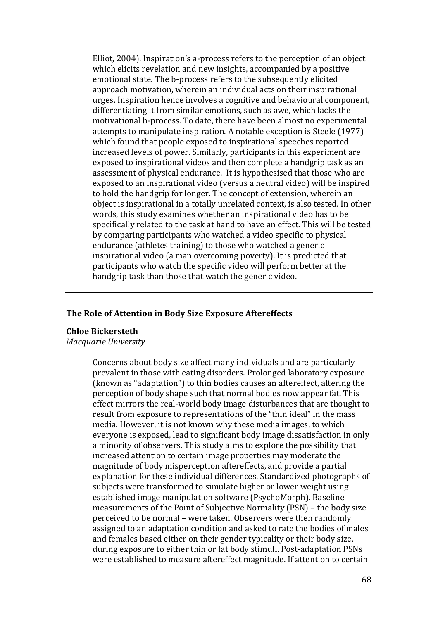Elliot, 2004). Inspiration's a-process refers to the perception of an object which elicits revelation and new insights, accompanied by a positive emotional state. The b-process refers to the subsequently elicited approach motivation, wherein an individual acts on their inspirational urges. Inspiration hence involves a cognitive and behavioural component, differentiating it from similar emotions, such as awe, which lacks the motivational b-process. To date, there have been almost no experimental attempts to manipulate inspiration. A notable exception is Steele (1977) which found that people exposed to inspirational speeches reported increased levels of power. Similarly, participants in this experiment are exposed to inspirational videos and then complete a handgrip task as an assessment of physical endurance. It is hypothesised that those who are exposed to an inspirational video (versus a neutral video) will be inspired to hold the handgrip for longer. The concept of extension, wherein an object is inspirational in a totally unrelated context, is also tested. In other words, this study examines whether an inspirational video has to be specifically related to the task at hand to have an effect. This will be tested by comparing participants who watched a video specific to physical endurance (athletes training) to those who watched a generic inspirational video (a man overcoming poverty). It is predicted that participants who watch the specific video will perform better at the handgrip task than those that watch the generic video.

## **The Role of Attention in Body Size Exposure Aftereffects**

### **Chloe Bickersteth**

#### *Macquarie University*

Concerns about body size affect many individuals and are particularly prevalent in those with eating disorders. Prolonged laboratory exposure (known as "adaptation") to thin bodies causes an aftereffect, altering the perception of body shape such that normal bodies now appear fat. This effect mirrors the real-world body image disturbances that are thought to result from exposure to representations of the "thin ideal" in the mass media. However, it is not known why these media images, to which everyone is exposed, lead to significant body image dissatisfaction in only a minority of observers. This study aims to explore the possibility that increased attention to certain image properties may moderate the magnitude of body misperception aftereffects, and provide a partial explanation for these individual differences. Standardized photographs of subjects were transformed to simulate higher or lower weight using established image manipulation software (PsychoMorph). Baseline measurements of the Point of Subjective Normality (PSN) – the body size perceived to be normal – were taken. Observers were then randomly assigned to an adaptation condition and asked to rate the bodies of males and females based either on their gender typicality or their body size, during exposure to either thin or fat body stimuli. Post-adaptation PSNs were established to measure aftereffect magnitude. If attention to certain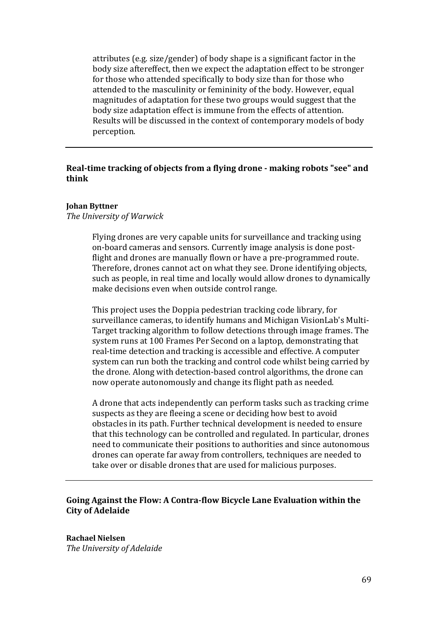attributes (e.g. size/gender) of body shape is a significant factor in the body size aftereffect, then we expect the adaptation effect to be stronger for those who attended specifically to body size than for those who attended to the masculinity or femininity of the body. However, equal magnitudes of adaptation for these two groups would suggest that the body size adaptation effect is immune from the effects of attention. Results will be discussed in the context of contemporary models of body perception.

# **Real-time tracking of objects from a flying drone - making robots "see" and think**

### **Johan Byttner**

#### *The University of Warwick*

Flying drones are very capable units for surveillance and tracking using on-board cameras and sensors. Currently image analysis is done postflight and drones are manually flown or have a pre-programmed route. Therefore, drones cannot act on what they see. Drone identifying objects, such as people, in real time and locally would allow drones to dynamically make decisions even when outside control range.

This project uses the Doppia pedestrian tracking code library, for surveillance cameras, to identify humans and Michigan VisionLab's Multi-Target tracking algorithm to follow detections through image frames. The system runs at 100 Frames Per Second on a laptop, demonstrating that real-time detection and tracking is accessible and effective. A computer system can run both the tracking and control code whilst being carried by the drone. Along with detection-based control algorithms, the drone can now operate autonomously and change its flight path as needed.

A drone that acts independently can perform tasks such as tracking crime suspects as they are fleeing a scene or deciding how best to avoid obstacles in its path. Further technical development is needed to ensure that this technology can be controlled and regulated. In particular, drones need to communicate their positions to authorities and since autonomous drones can operate far away from controllers, techniques are needed to take over or disable drones that are used for malicious purposes.

# **Going Against the Flow: A Contra-flow Bicycle Lane Evaluation within the City of Adelaide**

**Rachael Nielsen**  *The University of Adelaide*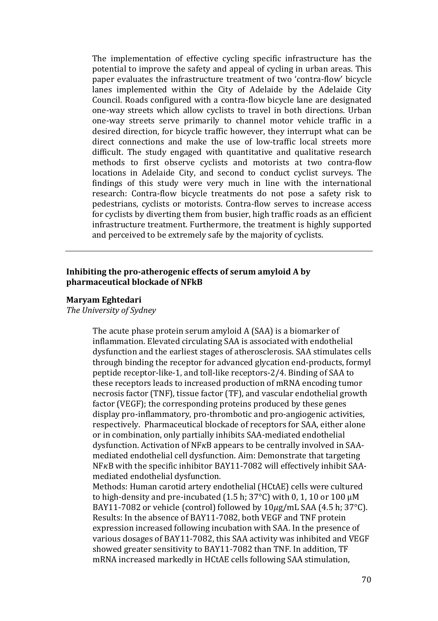The implementation of effective cycling specific infrastructure has the potential to improve the safety and appeal of cycling in urban areas. This paper evaluates the infrastructure treatment of two 'contra-flow' bicycle lanes implemented within the City of Adelaide by the Adelaide City Council. Roads configured with a contra-flow bicycle lane are designated one-way streets which allow cyclists to travel in both directions. Urban one-way streets serve primarily to channel motor vehicle traffic in a desired direction, for bicycle traffic however, they interrupt what can be direct connections and make the use of low-traffic local streets more difficult. The study engaged with quantitative and qualitative research methods to first observe cyclists and motorists at two contra-flow locations in Adelaide City, and second to conduct cyclist surveys. The findings of this study were very much in line with the international research: Contra-flow bicycle treatments do not pose a safety risk to pedestrians, cyclists or motorists. Contra-flow serves to increase access for cyclists by diverting them from busier, high traffic roads as an efficient infrastructure treatment. Furthermore, the treatment is highly supported and perceived to be extremely safe by the majority of cyclists.

## **Inhibiting the pro-atherogenic effects of serum amyloid A by pharmaceutical blockade of NFkB**

### **Maryam Eghtedari**

*The University of Sydney*

The acute phase protein serum amyloid A (SAA) is a biomarker of inflammation. Elevated circulating SAA is associated with endothelial dysfunction and the earliest stages of atherosclerosis. SAA stimulates cells through binding the receptor for advanced glycation end-products, formyl peptide receptor-like-1, and toll-like receptors-2/4. Binding of SAA to these receptors leads to increased production of mRNA encoding tumor necrosis factor (TNF), tissue factor (TF), and vascular endothelial growth factor (VEGF); the corresponding proteins produced by these genes display pro-inflammatory, pro-thrombotic and pro-angiogenic activities, respectively. Pharmaceutical blockade of receptors for SAA, either alone or in combination, only partially inhibits SAA-mediated endothelial dysfunction. Activation of NF<sub>K</sub>B appears to be centrally involved in SAAmediated endothelial cell dysfunction. Aim: Demonstrate that targeting  $NFKB$  with the specific inhibitor BAY11-7082 will effectively inhibit SAAmediated endothelial dysfunction. Methods: Human carotid artery endothelial (HCtAE) cells were cultured to high-density and pre-incubated (1.5 h; 37 $^{\circ}$ C) with 0, 1, 10 or 100  $\mu$ M BAY11-7082 or vehicle (control) followed by  $10\mu$ g/mL SAA (4.5 h; 37°C). Results: In the absence of BAY11-7082, both VEGF and TNF protein

expression increased following incubation with SAA. In the presence of various dosages of BAY11-7082, this SAA activity was inhibited and VEGF showed greater sensitivity to BAY11-7082 than TNF. In addition, TF mRNA increased markedly in HCtAE cells following SAA stimulation,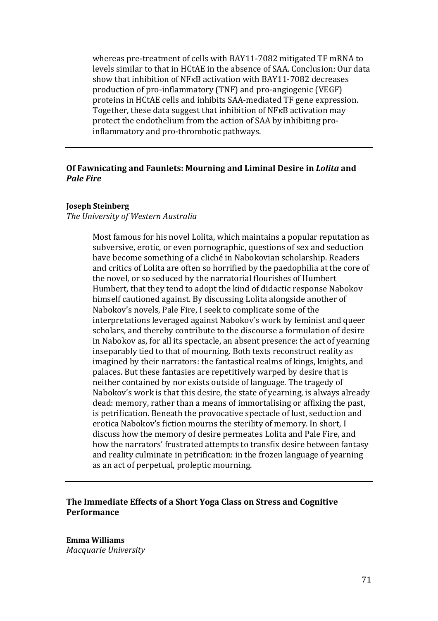whereas pre-treatment of cells with BAY11-7082 mitigated TF mRNA to levels similar to that in HCtAE in the absence of SAA. Conclusion: Our data show that inhibition of NFκB activation with BAY11-7082 decreases production of pro-inflammatory (TNF) and pro-angiogenic (VEGF) proteins in HCtAE cells and inhibits SAA-mediated TF gene expression. Together, these data suggest that inhibition of NFκB activation may protect the endothelium from the action of SAA by inhibiting proinflammatory and pro-thrombotic pathways.

## **Of Fawnicating and Faunlets: Mourning and Liminal Desire in** *Lolita* **and**  *Pale Fire*

### **Joseph Steinberg**

## *The University of Western Australia*

Most famous for his novel Lolita, which maintains a popular reputation as subversive, erotic, or even pornographic, questions of sex and seduction have become something of a cliché in Nabokovian scholarship. Readers and critics of Lolita are often so horrified by the paedophilia at the core of the novel, or so seduced by the narratorial flourishes of Humbert Humbert, that they tend to adopt the kind of didactic response Nabokov himself cautioned against. By discussing Lolita alongside another of Nabokov's novels, Pale Fire, I seek to complicate some of the interpretations leveraged against Nabokov's work by feminist and queer scholars, and thereby contribute to the discourse a formulation of desire in Nabokov as, for all its spectacle, an absent presence: the act of yearning inseparably tied to that of mourning. Both texts reconstruct reality as imagined by their narrators: the fantastical realms of kings, knights, and palaces. But these fantasies are repetitively warped by desire that is neither contained by nor exists outside of language. The tragedy of Nabokov's work is that this desire, the state of yearning, is always already dead: memory, rather than a means of immortalising or affixing the past, is petrification. Beneath the provocative spectacle of lust, seduction and erotica Nabokov's fiction mourns the sterility of memory. In short, I discuss how the memory of desire permeates Lolita and Pale Fire, and how the narrators' frustrated attempts to transfix desire between fantasy and reality culminate in petrification: in the frozen language of yearning as an act of perpetual, proleptic mourning.

# **The Immediate Effects of a Short Yoga Class on Stress and Cognitive Performance**

**Emma Williams** *Macquarie University*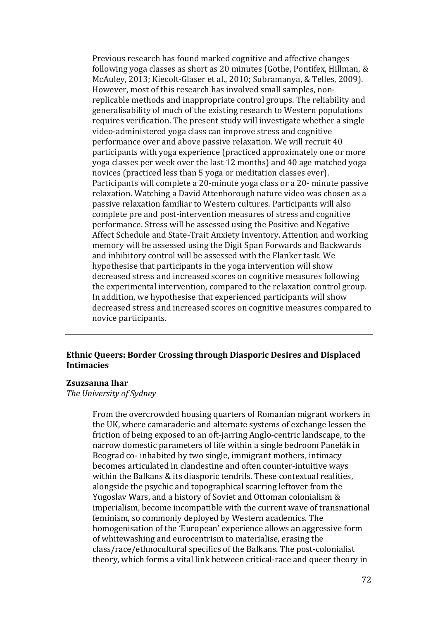Previous research has found marked cognitive and affective changes following yoga classes as short as 20 minutes (Gothe, Pontifex, Hillman, & McAuley, 2013; Kiecolt-Glaser et al., 2010; Subramanya, & Telles, 2009). However, most of this research has involved small samples, nonreplicable methods and inappropriate control groups. The reliability and generalisability of much of the existing research to Western populations requires verification. The present study will investigate whether a single video-administered yoga class can improve stress and cognitive performance over and above passive relaxation. We will recruit 40 participants with yoga experience (practiced approximately one or more yoga classes per week over the last 12 months) and 40 age matched yoga novices (practiced less than 5 yoga or meditation classes ever). Participants will complete a 20-minute yoga class or a 20- minute passive relaxation. Watching a David Attenborough nature video was chosen as a passive relaxation familiar to Western cultures. Participants will also complete pre and post-intervention measures of stress and cognitive performance. Stress will be assessed using the Positive and Negative Affect Schedule and State-Trait Anxiety Inventory. Attention and working memory will be assessed using the Digit Span Forwards and Backwards and inhibitory control will be assessed with the Flanker task. We hypothesise that participants in the yoga intervention will show decreased stress and increased scores on cognitive measures following the experimental intervention, compared to the relaxation control group. In addition, we hypothesise that experienced participants will show decreased stress and increased scores on cognitive measures compared to novice participants.

# **Ethnic Queers: Border Crossing through Diasporic Desires and Displaced Intimacies**

#### **Zsuzsanna Ihar**

*The University of Sydney*

From the overcrowded housing quarters of Romanian migrant workers in the UK, where camaraderie and alternate systems of exchange lessen the friction of being exposed to an oft-jarring Anglo-centric landscape, to the narrow domestic parameters of life within a single bedroom Panelák in Beograd co- inhabited by two single, immigrant mothers, intimacy becomes articulated in clandestine and often counter-intuitive ways within the Balkans & its diasporic tendrils. These contextual realities, alongside the psychic and topographical scarring leftover from the Yugoslav Wars, and a history of Soviet and Ottoman colonialism & imperialism, become incompatible with the current wave of transnational feminism, so commonly deployed by Western academics. The homogenisation of the 'European' experience allows an aggressive form of whitewashing and eurocentrism to materialise, erasing the class/race/ethnocultural specifics of the Balkans. The post-colonialist theory, which forms a vital link between critical-race and queer theory in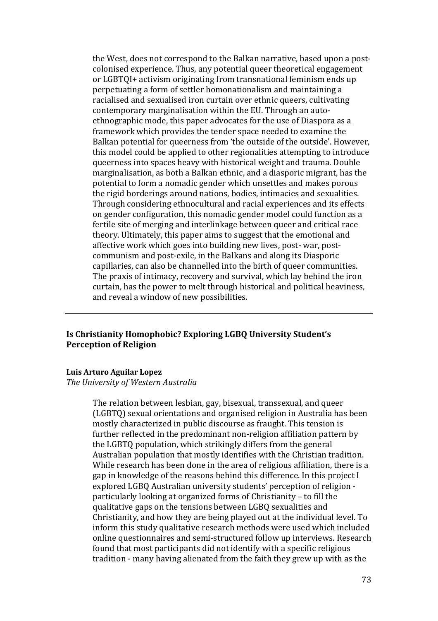the West, does not correspond to the Balkan narrative, based upon a postcolonised experience. Thus, any potential queer theoretical engagement or LGBTQI+ activism originating from transnational feminism ends up perpetuating a form of settler homonationalism and maintaining a racialised and sexualised iron curtain over ethnic queers, cultivating contemporary marginalisation within the EU. Through an autoethnographic mode, this paper advocates for the use of Diaspora as a framework which provides the tender space needed to examine the Balkan potential for queerness from 'the outside of the outside'. However, this model could be applied to other regionalities attempting to introduce queerness into spaces heavy with historical weight and trauma. Double marginalisation, as both a Balkan ethnic, and a diasporic migrant, has the potential to form a nomadic gender which unsettles and makes porous the rigid borderings around nations, bodies, intimacies and sexualities. Through considering ethnocultural and racial experiences and its effects on gender configuration, this nomadic gender model could function as a fertile site of merging and interlinkage between queer and critical race theory. Ultimately, this paper aims to suggest that the emotional and affective work which goes into building new lives, post- war, postcommunism and post-exile, in the Balkans and along its Diasporic capillaries, can also be channelled into the birth of queer communities. The praxis of intimacy, recovery and survival, which lay behind the iron curtain, has the power to melt through historical and political heaviness, and reveal a window of new possibilities.

## **Is Christianity Homophobic? Exploring LGBQ University Student's Perception of Religion**

### **Luis Arturo Aguilar Lopez**

*The University of Western Australia*

The relation between lesbian, gay, bisexual, transsexual, and queer (LGBTQ) sexual orientations and organised religion in Australia has been mostly characterized in public discourse as fraught. This tension is further reflected in the predominant non-religion affiliation pattern by the LGBTQ population, which strikingly differs from the general Australian population that mostly identifies with the Christian tradition. While research has been done in the area of religious affiliation, there is a gap in knowledge of the reasons behind this difference. In this project I explored LGBQ Australian university students' perception of religion particularly looking at organized forms of Christianity – to fill the qualitative gaps on the tensions between LGBQ sexualities and Christianity, and how they are being played out at the individual level. To inform this study qualitative research methods were used which included online questionnaires and semi-structured follow up interviews. Research found that most participants did not identify with a specific religious tradition - many having alienated from the faith they grew up with as the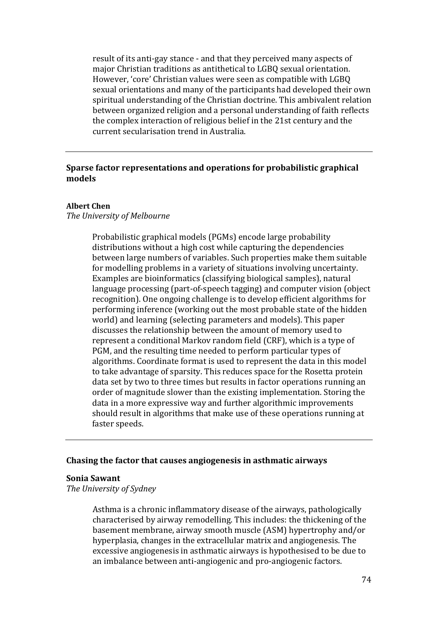result of its anti-gay stance - and that they perceived many aspects of major Christian traditions as antithetical to LGBQ sexual orientation. However, 'core' Christian values were seen as compatible with LGBQ sexual orientations and many of the participants had developed their own spiritual understanding of the Christian doctrine. This ambivalent relation between organized religion and a personal understanding of faith reflects the complex interaction of religious belief in the 21st century and the current secularisation trend in Australia.

## **Sparse factor representations and operations for probabilistic graphical models**

## **Albert Chen**

#### *The University of Melbourne*

Probabilistic graphical models (PGMs) encode large probability distributions without a high cost while capturing the dependencies between large numbers of variables. Such properties make them suitable for modelling problems in a variety of situations involving uncertainty. Examples are bioinformatics (classifying biological samples), natural language processing (part-of-speech tagging) and computer vision (object recognition). One ongoing challenge is to develop efficient algorithms for performing inference (working out the most probable state of the hidden world) and learning (selecting parameters and models). This paper discusses the relationship between the amount of memory used to represent a conditional Markov random field (CRF), which is a type of PGM, and the resulting time needed to perform particular types of algorithms. Coordinate format is used to represent the data in this model to take advantage of sparsity. This reduces space for the Rosetta protein data set by two to three times but results in factor operations running an order of magnitude slower than the existing implementation. Storing the data in a more expressive way and further algorithmic improvements should result in algorithms that make use of these operations running at faster speeds.

#### **Chasing the factor that causes angiogenesis in asthmatic airways**

#### **Sonia Sawant**

*The University of Sydney*

Asthma is a chronic inflammatory disease of the airways, pathologically characterised by airway remodelling. This includes: the thickening of the basement membrane, airway smooth muscle (ASM) hypertrophy and/or hyperplasia, changes in the extracellular matrix and angiogenesis. The excessive angiogenesis in asthmatic airways is hypothesised to be due to an imbalance between anti-angiogenic and pro-angiogenic factors.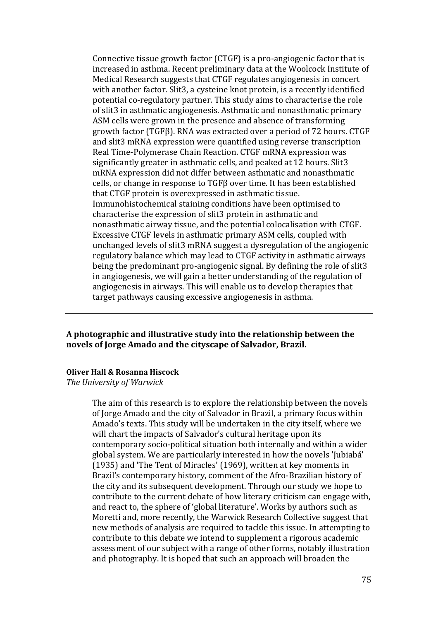Connective tissue growth factor (CTGF) is a pro-angiogenic factor that is increased in asthma. Recent preliminary data at the Woolcock Institute of Medical Research suggests that CTGF regulates angiogenesis in concert with another factor. Slit3, a cysteine knot protein, is a recently identified potential co-regulatory partner. This study aims to characterise the role of slit3 in asthmatic angiogenesis. Asthmatic and nonasthmatic primary ASM cells were grown in the presence and absence of transforming growth factor (TGFβ). RNA was extracted over a period of 72 hours. CTGF and slit3 mRNA expression were quantified using reverse transcription Real Time-Polymerase Chain Reaction. CTGF mRNA expression was significantly greater in asthmatic cells, and peaked at 12 hours. Slit3 mRNA expression did not differ between asthmatic and nonasthmatic cells, or change in response to TGFβ over time. It has been established that CTGF protein is overexpressed in asthmatic tissue. Immunohistochemical staining conditions have been optimised to characterise the expression of slit3 protein in asthmatic and nonasthmatic airway tissue, and the potential colocalisation with CTGF. Excessive CTGF levels in asthmatic primary ASM cells, coupled with unchanged levels of slit3 mRNA suggest a dysregulation of the angiogenic regulatory balance which may lead to CTGF activity in asthmatic airways being the predominant pro-angiogenic signal. By defining the role of slit3 in angiogenesis, we will gain a better understanding of the regulation of angiogenesis in airways. This will enable us to develop therapies that target pathways causing excessive angiogenesis in asthma.

## **A photographic and illustrative study into the relationship between the novels of Jorge Amado and the cityscape of Salvador, Brazil.**

#### **Oliver Hall & Rosanna Hiscock**

*The University of Warwick*

The aim of this research is to explore the relationship between the novels of Jorge Amado and the city of Salvador in Brazil, a primary focus within Amado's texts. This study will be undertaken in the city itself, where we will chart the impacts of Salvador's cultural heritage upon its contemporary socio-political situation both internally and within a wider global system. We are particularly interested in how the novels 'Jubiabá' (1935) and 'The Tent of Miracles' (1969), written at key moments in Brazil's contemporary history, comment of the Afro-Brazilian history of the city and its subsequent development. Through our study we hope to contribute to the current debate of how literary criticism can engage with, and react to, the sphere of 'global literature'. Works by authors such as Moretti and, more recently, the Warwick Research Collective suggest that new methods of analysis are required to tackle this issue. In attempting to contribute to this debate we intend to supplement a rigorous academic assessment of our subject with a range of other forms, notably illustration and photography. It is hoped that such an approach will broaden the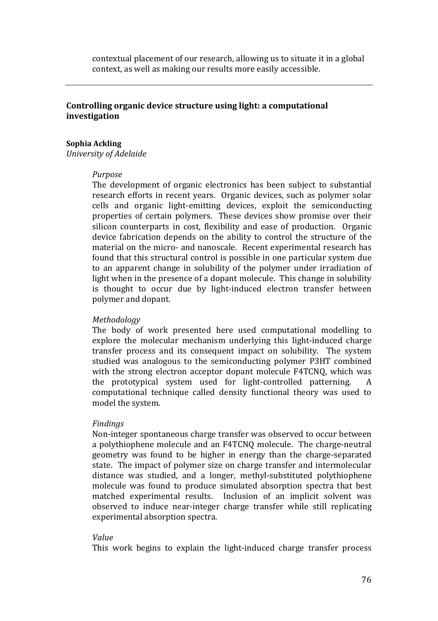contextual placement of our research, allowing us to situate it in a global context, as well as making our results more easily accessible.

## **Controlling organic device structure using light: a computational investigation**

#### **Sophia Ackling**

*University of Adelaide*

#### *Purpose*

The development of organic electronics has been subject to substantial research efforts in recent years. Organic devices, such as polymer solar cells and organic light-emitting devices, exploit the semiconducting properties of certain polymers. These devices show promise over their silicon counterparts in cost, flexibility and ease of production. Organic device fabrication depends on the ability to control the structure of the material on the micro- and nanoscale. Recent experimental research has found that this structural control is possible in one particular system due to an apparent change in solubility of the polymer under irradiation of light when in the presence of a dopant molecule. This change in solubility is thought to occur due by light-induced electron transfer between polymer and dopant.

### *Methodology*

The body of work presented here used computational modelling to explore the molecular mechanism underlying this light-induced charge transfer process and its consequent impact on solubility. The system studied was analogous to the semiconducting polymer P3HT combined with the strong electron acceptor dopant molecule F4TCNQ, which was<br>the prototypical system used for light-controlled patterning. A the prototypical system used for light-controlled patterning. computational technique called density functional theory was used to model the system.

#### *Findings*

Non-integer spontaneous charge transfer was observed to occur between a polythiophene molecule and an F4TCNQ molecule. The charge-neutral geometry was found to be higher in energy than the charge-separated state. The impact of polymer size on charge transfer and intermolecular distance was studied, and a longer, methyl-substituted polythiophene molecule was found to produce simulated absorption spectra that best matched experimental results. Inclusion of an implicit solvent was observed to induce near-integer charge transfer while still replicating experimental absorption spectra.

#### *Value*

This work begins to explain the light-induced charge transfer process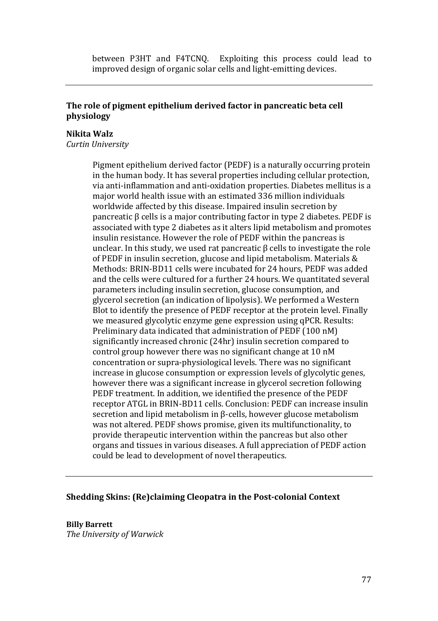between P3HT and F4TCNQ. Exploiting this process could lead to improved design of organic solar cells and light-emitting devices.

## **The role of pigment epithelium derived factor in pancreatic beta cell physiology**

## **Nikita Walz**

*Curtin University*

Pigment epithelium derived factor (PEDF) is a naturally occurring protein in the human body. It has several properties including cellular protection, via anti-inflammation and anti-oxidation properties. Diabetes mellitus is a major world health issue with an estimated 336 million individuals worldwide affected by this disease. Impaired insulin secretion by pancreatic β cells is a major contributing factor in type 2 diabetes. PEDF is associated with type 2 diabetes as it alters lipid metabolism and promotes insulin resistance. However the role of PEDF within the pancreas is unclear. In this study, we used rat pancreatic  $\beta$  cells to investigate the role of PEDF in insulin secretion, glucose and lipid metabolism. Materials & Methods: BRIN-BD11 cells were incubated for 24 hours, PEDF was added and the cells were cultured for a further 24 hours. We quantitated several parameters including insulin secretion, glucose consumption, and glycerol secretion (an indication of lipolysis). We performed a Western Blot to identify the presence of PEDF receptor at the protein level. Finally we measured glycolytic enzyme gene expression using qPCR. Results: Preliminary data indicated that administration of PEDF (100 nM) significantly increased chronic (24hr) insulin secretion compared to control group however there was no significant change at 10 nM concentration or supra-physiological levels. There was no significant increase in glucose consumption or expression levels of glycolytic genes, however there was a significant increase in glycerol secretion following PEDF treatment. In addition, we identified the presence of the PEDF receptor ATGL in BRIN-BD11 cells. Conclusion: PEDF can increase insulin secretion and lipid metabolism in β-cells, however glucose metabolism was not altered. PEDF shows promise, given its multifunctionality, to provide therapeutic intervention within the pancreas but also other organs and tissues in various diseases. A full appreciation of PEDF action could be lead to development of novel therapeutics.

## **Shedding Skins: (Re)claiming Cleopatra in the Post-colonial Context**

**Billy Barrett**  *The University of Warwick*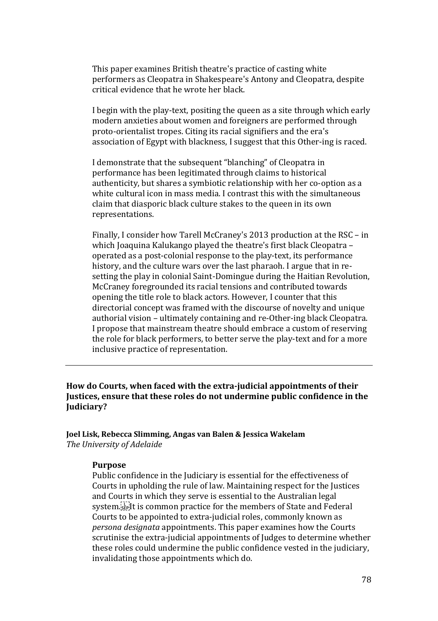This paper examines British theatre's practice of casting white performers as Cleopatra in Shakespeare's Antony and Cleopatra, despite critical evidence that he wrote her black.

I begin with the play-text, positing the queen as a site through which early modern anxieties about women and foreigners are performed through proto-orientalist tropes. Citing its racial signifiers and the era's association of Egypt with blackness, I suggest that this Other-ing is raced.

I demonstrate that the subsequent "blanching" of Cleopatra in performance has been legitimated through claims to historical authenticity, but shares a symbiotic relationship with her co-option as a white cultural icon in mass media. I contrast this with the simultaneous claim that diasporic black culture stakes to the queen in its own representations.

Finally, I consider how Tarell McCraney's 2013 production at the RSC – in which Joaquina Kalukango played the theatre's first black Cleopatra – operated as a post-colonial response to the play-text, its performance history, and the culture wars over the last pharaoh. I argue that in resetting the play in colonial Saint-Domingue during the Haitian Revolution, McCraney foregrounded its racial tensions and contributed towards opening the title role to black actors. However, I counter that this directorial concept was framed with the discourse of novelty and unique authorial vision – ultimately containing and re-Other-ing black Cleopatra. I propose that mainstream theatre should embrace a custom of reserving the role for black performers, to better serve the play-text and for a more inclusive practice of representation.

**How do Courts, when faced with the extra-judicial appointments of their Justices, ensure that these roles do not undermine public confidence in the Judiciary?** 

**Joel Lisk, Rebecca Slimming, Angas van Balen & Jessica Wakelam** *The University of Adelaide*

## **Purpose**

Public confidence in the Judiciary is essential for the effectiveness of Courts in upholding the rule of law. Maintaining respect for the Justices and Courts in which they serve is essential to the Australian legal system.<sup>[17]</sup> It is common practice for the members of State and Federal Courts to be appointed to extra-judicial roles, commonly known as *persona designata* appointments. This paper examines how the Courts scrutinise the extra-judicial appointments of Judges to determine whether these roles could undermine the public confidence vested in the judiciary, invalidating those appointments which do.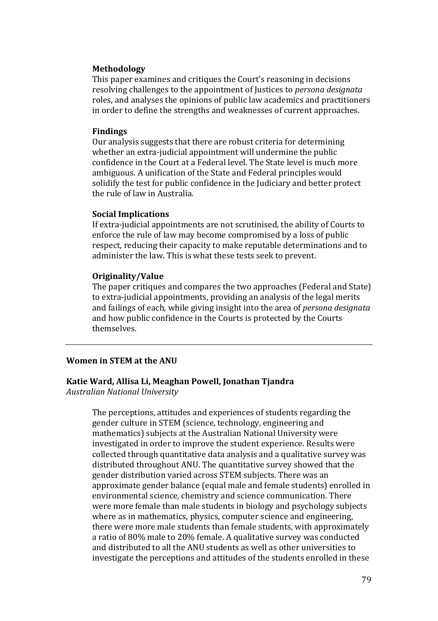### **Methodology**

This paper examines and critiques the Court's reasoning in decisions resolving challenges to the appointment of Justices to *persona designata*  roles, and analyses the opinions of public law academics and practitioners in order to define the strengths and weaknesses of current approaches.

#### **Findings**

Our analysis suggests that there are robust criteria for determining whether an extra-judicial appointment will undermine the public confidence in the Court at a Federal level. The State level is much more ambiguous. A unification of the State and Federal principles would solidify the test for public confidence in the Judiciary and better protect the rule of law in Australia.

### **Social Implications**

If extra-judicial appointments are not scrutinised, the ability of Courts to enforce the rule of law may become compromised by a loss of public respect, reducing their capacity to make reputable determinations and to administer the law. This is what these tests seek to prevent.

### **Originality/Value**

The paper critiques and compares the two approaches (Federal and State) to extra-judicial appointments, providing an analysis of the legal merits and failings of each, while giving insight into the area of *persona designata*  and how public confidence in the Courts is protected by the Courts themselves.

## **Women in STEM at the ANU**

# **Katie Ward, Allisa Li, Meaghan Powell, Jonathan Tjandra**

*Australian National University*

The perceptions, attitudes and experiences of students regarding the gender culture in STEM (science, technology, engineering and mathematics) subjects at the Australian National University were investigated in order to improve the student experience. Results were collected through quantitative data analysis and a qualitative survey was distributed throughout ANU. The quantitative survey showed that the gender distribution varied across STEM subjects. There was an approximate gender balance (equal male and female students) enrolled in environmental science, chemistry and science communication. There were more female than male students in biology and psychology subjects where as in mathematics, physics, computer science and engineering, there were more male students than female students, with approximately a ratio of 80% male to 20% female. A qualitative survey was conducted and distributed to all the ANU students as well as other universities to investigate the perceptions and attitudes of the students enrolled in these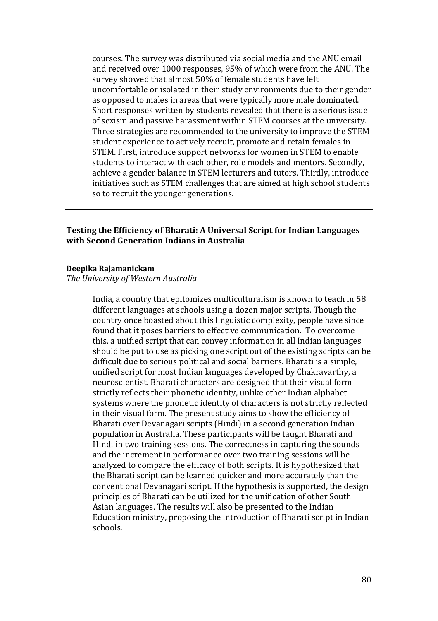courses. The survey was distributed via social media and the ANU email and received over 1000 responses, 95% of which were from the ANU. The survey showed that almost 50% of female students have felt uncomfortable or isolated in their study environments due to their gender as opposed to males in areas that were typically more male dominated. Short responses written by students revealed that there is a serious issue of sexism and passive harassment within STEM courses at the university. Three strategies are recommended to the university to improve the STEM student experience to actively recruit, promote and retain females in STEM. First, introduce support networks for women in STEM to enable students to interact with each other, role models and mentors. Secondly, achieve a gender balance in STEM lecturers and tutors. Thirdly, introduce initiatives such as STEM challenges that are aimed at high school students so to recruit the younger generations.

## **Testing the Efficiency of Bharati: A Universal Script for Indian Languages with Second Generation Indians in Australia**

#### **Deepika Rajamanickam**

*The University of Western Australia*

India, a country that epitomizes multiculturalism is known to teach in 58 different languages at schools using a dozen major scripts. Though the country once boasted about this linguistic complexity, people have since found that it poses barriers to effective communication. To overcome this, a unified script that can convey information in all Indian languages should be put to use as picking one script out of the existing scripts can be difficult due to serious political and social barriers. Bharati is a simple, unified script for most Indian languages developed by Chakravarthy, a neuroscientist. Bharati characters are designed that their visual form strictly reflects their phonetic identity, unlike other Indian alphabet systems where the phonetic identity of characters is not strictly reflected in their visual form. The present study aims to show the efficiency of Bharati over Devanagari scripts (Hindi) in a second generation Indian population in Australia. These participants will be taught Bharati and Hindi in two training sessions. The correctness in capturing the sounds and the increment in performance over two training sessions will be analyzed to compare the efficacy of both scripts. It is hypothesized that the Bharati script can be learned quicker and more accurately than the conventional Devanagari script. If the hypothesis is supported, the design principles of Bharati can be utilized for the unification of other South Asian languages. The results will also be presented to the Indian Education ministry, proposing the introduction of Bharati script in Indian schools.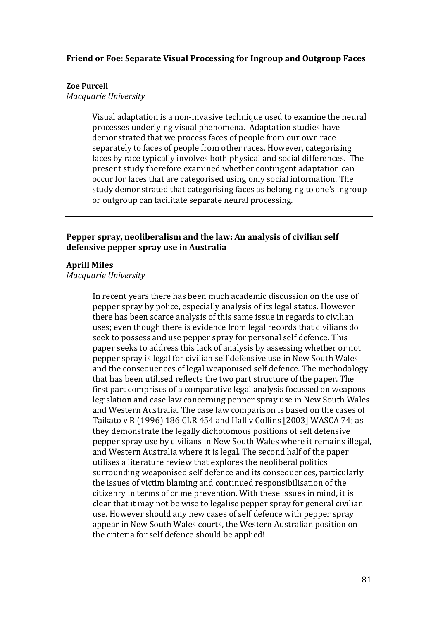## **Friend or Foe: Separate Visual Processing for Ingroup and Outgroup Faces**

## **Zoe Purcell**

*Macquarie University* 

Visual adaptation is a non-invasive technique used to examine the neural processes underlying visual phenomena. Adaptation studies have demonstrated that we process faces of people from our own race separately to faces of people from other races. However, categorising faces by race typically involves both physical and social differences. The present study therefore examined whether contingent adaptation can occur for faces that are categorised using only social information. The study demonstrated that categorising faces as belonging to one's ingroup or outgroup can facilitate separate neural processing.

## **Pepper spray, neoliberalism and the law: An analysis of civilian self defensive pepper spray use in Australia**

## **Aprill Miles**

*Macquarie University*

In recent years there has been much academic discussion on the use of pepper spray by police, especially analysis of its legal status. However there has been scarce analysis of this same issue in regards to civilian uses; even though there is evidence from legal records that civilians do seek to possess and use pepper spray for personal self defence. This paper seeks to address this lack of analysis by assessing whether or not pepper spray is legal for civilian self defensive use in New South Wales and the consequences of legal weaponised self defence. The methodology that has been utilised reflects the two part structure of the paper. The first part comprises of a comparative legal analysis focussed on weapons legislation and case law concerning pepper spray use in New South Wales and Western Australia. The case law comparison is based on the cases of Taikato v R (1996) 186 CLR 454 and Hall v Collins [2003] WASCA 74; as they demonstrate the legally dichotomous positions of self defensive pepper spray use by civilians in New South Wales where it remains illegal, and Western Australia where it is legal. The second half of the paper utilises a literature review that explores the neoliberal politics surrounding weaponised self defence and its consequences, particularly the issues of victim blaming and continued responsibilisation of the citizenry in terms of crime prevention. With these issues in mind, it is clear that it may not be wise to legalise pepper spray for general civilian use. However should any new cases of self defence with pepper spray appear in New South Wales courts, the Western Australian position on the criteria for self defence should be applied!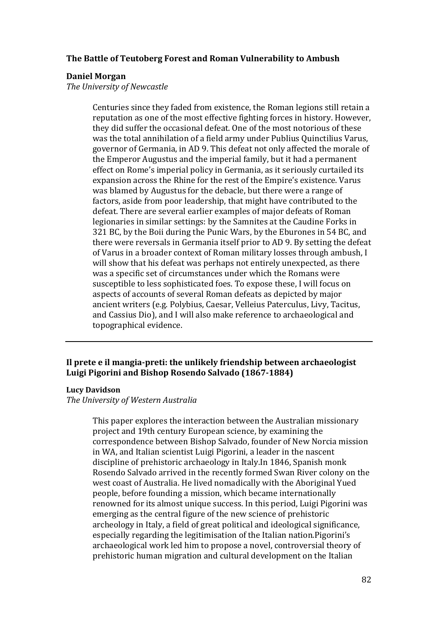## **The Battle of Teutoberg Forest and Roman Vulnerability to Ambush**

### **Daniel Morgan**

*The University of Newcastle*

Centuries since they faded from existence, the Roman legions still retain a reputation as one of the most effective fighting forces in history. However, they did suffer the occasional defeat. One of the most notorious of these was the total annihilation of a field army under Publius Quinctilius Varus, governor of Germania, in AD 9. This defeat not only affected the morale of the Emperor Augustus and the imperial family, but it had a permanent effect on Rome's imperial policy in Germania, as it seriously curtailed its expansion across the Rhine for the rest of the Empire's existence. Varus was blamed by Augustus for the debacle, but there were a range of factors, aside from poor leadership, that might have contributed to the defeat. There are several earlier examples of major defeats of Roman legionaries in similar settings: by the Samnites at the Caudine Forks in 321 BC, by the Boii during the Punic Wars, by the Eburones in 54 BC, and there were reversals in Germania itself prior to AD 9. By setting the defeat of Varus in a broader context of Roman military losses through ambush, I will show that his defeat was perhaps not entirely unexpected, as there was a specific set of circumstances under which the Romans were susceptible to less sophisticated foes. To expose these, I will focus on aspects of accounts of several Roman defeats as depicted by major ancient writers (e.g. Polybius, Caesar, Velleius Paterculus, Livy, Tacitus, and Cassius Dio), and I will also make reference to archaeological and topographical evidence.

# **Il prete e il mangia-preti: the unlikely friendship between archaeologist Luigi Pigorini and Bishop Rosendo Salvado (1867-1884)**

### **Lucy Davidson**

*The University of Western Australia*

This paper explores the interaction between the Australian missionary project and 19th century European science, by examining the correspondence between Bishop Salvado, founder of New Norcia mission in WA, and Italian scientist Luigi Pigorini, a leader in the nascent discipline of prehistoric archaeology in Italy.In 1846, Spanish monk Rosendo Salvado arrived in the recently formed Swan River colony on the west coast of Australia. He lived nomadically with the Aboriginal Yued people, before founding a mission, which became internationally renowned for its almost unique success. In this period, Luigi Pigorini was emerging as the central figure of the new science of prehistoric archeology in Italy, a field of great political and ideological significance, especially regarding the legitimisation of the Italian nation.Pigorini's archaeological work led him to propose a novel, controversial theory of prehistoric human migration and cultural development on the Italian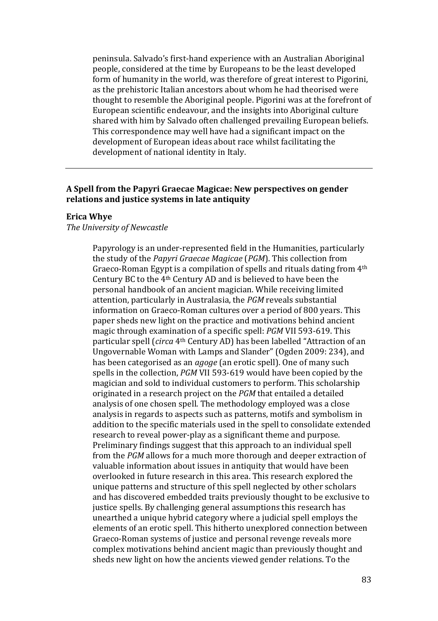peninsula. Salvado's first-hand experience with an Australian Aboriginal people, considered at the time by Europeans to be the least developed form of humanity in the world, was therefore of great interest to Pigorini, as the prehistoric Italian ancestors about whom he had theorised were thought to resemble the Aboriginal people. Pigorini was at the forefront of European scientific endeavour, and the insights into Aboriginal culture shared with him by Salvado often challenged prevailing European beliefs. This correspondence may well have had a significant impact on the development of European ideas about race whilst facilitating the development of national identity in Italy.

## **A Spell from the Papyri Graecae Magicae: New perspectives on gender relations and justice systems in late antiquity**

#### **Erica Whye**

### *The University of Newcastle*

Papyrology is an under-represented field in the Humanities, particularly the study of the *Papyri Graecae Magicae* (*PGM*). This collection from Graeco-Roman Egypt is a compilation of spells and rituals dating from 4th Century BC to the 4th Century AD and is believed to have been the personal handbook of an ancient magician. While receiving limited attention, particularly in Australasia, the *PGM* reveals substantial information on Graeco-Roman cultures over a period of 800 years. This paper sheds new light on the practice and motivations behind ancient magic through examination of a specific spell: *PGM* VII 593-619. This particular spell (*circa* 4th Century AD) has been labelled "Attraction of an Ungovernable Woman with Lamps and Slander" (Ogden 2009: 234), and has been categorised as an *agoge* (an erotic spell). One of many such spells in the collection, *PGM* VII 593-619 would have been copied by the magician and sold to individual customers to perform. This scholarship originated in a research project on the *PGM* that entailed a detailed analysis of one chosen spell. The methodology employed was a close analysis in regards to aspects such as patterns, motifs and symbolism in addition to the specific materials used in the spell to consolidate extended research to reveal power-play as a significant theme and purpose. Preliminary findings suggest that this approach to an individual spell from the *PGM* allows for a much more thorough and deeper extraction of valuable information about issues in antiquity that would have been overlooked in future research in this area. This research explored the unique patterns and structure of this spell neglected by other scholars and has discovered embedded traits previously thought to be exclusive to justice spells. By challenging general assumptions this research has unearthed a unique hybrid category where a judicial spell employs the elements of an erotic spell. This hitherto unexplored connection between Graeco-Roman systems of justice and personal revenge reveals more complex motivations behind ancient magic than previously thought and sheds new light on how the ancients viewed gender relations. To the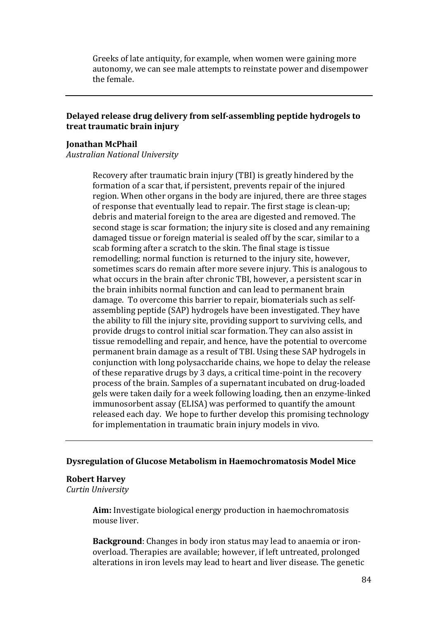Greeks of late antiquity, for example, when women were gaining more autonomy, we can see male attempts to reinstate power and disempower the female.

## **Delayed release drug delivery from self-assembling peptide hydrogels to treat traumatic brain injury**

### **Jonathan McPhail**

*Australian National University*

Recovery after traumatic brain injury (TBI) is greatly hindered by the formation of a scar that, if persistent, prevents repair of the injured region. When other organs in the body are injured, there are three stages of response that eventually lead to repair. The first stage is clean-up; debris and material foreign to the area are digested and removed. The second stage is scar formation; the injury site is closed and any remaining damaged tissue or foreign material is sealed off by the scar, similar to a scab forming after a scratch to the skin. The final stage is tissue remodelling; normal function is returned to the injury site, however, sometimes scars do remain after more severe injury. This is analogous to what occurs in the brain after chronic TBI, however, a persistent scar in the brain inhibits normal function and can lead to permanent brain damage. To overcome this barrier to repair, biomaterials such as selfassembling peptide (SAP) hydrogels have been investigated. They have the ability to fill the injury site, providing support to surviving cells, and provide drugs to control initial scar formation. They can also assist in tissue remodelling and repair, and hence, have the potential to overcome permanent brain damage as a result of TBI. Using these SAP hydrogels in conjunction with long polysaccharide chains, we hope to delay the release of these reparative drugs by 3 days, a critical time-point in the recovery process of the brain. Samples of a supernatant incubated on drug-loaded gels were taken daily for a week following loading, then an enzyme-linked immunosorbent assay (ELISA) was performed to quantify the amount released each day. We hope to further develop this promising technology for implementation in traumatic brain injury models in vivo.

### **Dysregulation of Glucose Metabolism in Haemochromatosis Model Mice**

#### **Robert Harvey**

*Curtin University*

**Aim:** Investigate biological energy production in haemochromatosis mouse liver.

**Background**: Changes in body iron status may lead to anaemia or ironoverload. Therapies are available; however, if left untreated, prolonged alterations in iron levels may lead to heart and liver disease. The genetic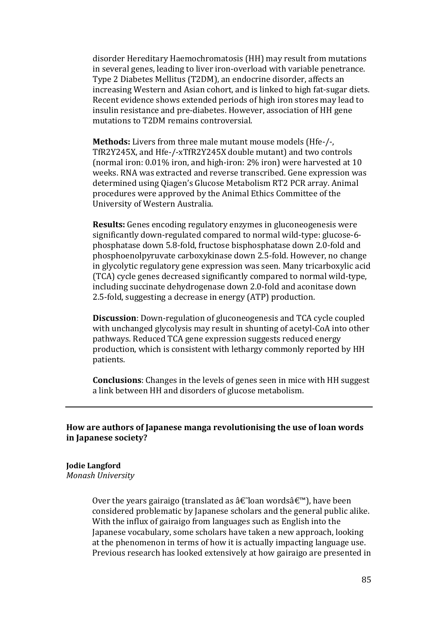disorder Hereditary Haemochromatosis (HH) may result from mutations in several genes, leading to liver iron-overload with variable penetrance. Type 2 Diabetes Mellitus (T2DM), an endocrine disorder, affects an increasing Western and Asian cohort, and is linked to high fat-sugar diets. Recent evidence shows extended periods of high iron stores may lead to insulin resistance and pre-diabetes. However, association of HH gene mutations to T2DM remains controversial.

**Methods:** Livers from three male mutant mouse models (Hfe-/-, TfR2Y245X, and Hfe-/-xTfR2Y245X double mutant) and two controls (normal iron: 0.01% iron, and high-iron: 2% iron) were harvested at 10 weeks. RNA was extracted and reverse transcribed. Gene expression was determined using Qiagen's Glucose Metabolism RT2 PCR array. Animal procedures were approved by the Animal Ethics Committee of the University of Western Australia.

**Results:** Genes encoding regulatory enzymes in gluconeogenesis were significantly down-regulated compared to normal wild-type: glucose-6 phosphatase down 5.8-fold, fructose bisphosphatase down 2.0-fold and phosphoenolpyruvate carboxykinase down 2.5-fold. However, no change in glycolytic regulatory gene expression was seen. Many tricarboxylic acid (TCA) cycle genes decreased significantly compared to normal wild-type, including succinate dehydrogenase down 2.0-fold and aconitase down 2.5-fold, suggesting a decrease in energy (ATP) production.

**Discussion**: Down-regulation of gluconeogenesis and TCA cycle coupled with unchanged glycolysis may result in shunting of acetyl-CoA into other pathways. Reduced TCA gene expression suggests reduced energy production, which is consistent with lethargy commonly reported by HH patients.

**Conclusions**: Changes in the levels of genes seen in mice with HH suggest a link between HH and disorders of glucose metabolism.

## **How are authors of Japanese manga revolutionising the use of loan words in Japanese society?**

## **Jodie Langford**

*Monash University*

Over the years gairaigo (translated as  $\hat{a}\in\hat{a}$  loan words $\hat{a}\in\hat{a}$ ), have been considered problematic by Japanese scholars and the general public alike. With the influx of gairaigo from languages such as English into the Japanese vocabulary, some scholars have taken a new approach, looking at the phenomenon in terms of how it is actually impacting language use. Previous research has looked extensively at how gairaigo are presented in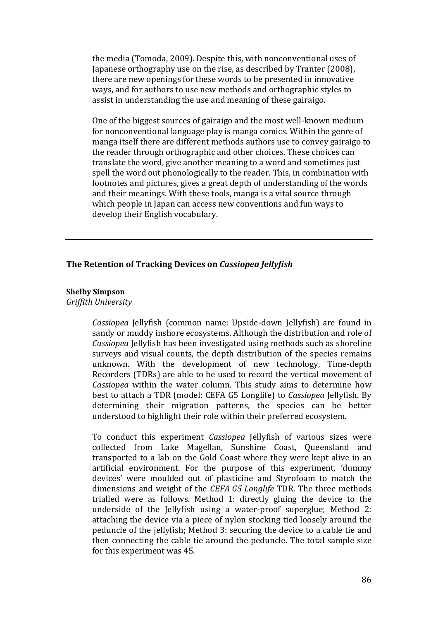the media (Tomoda, 2009). Despite this, with nonconventional uses of Japanese orthography use on the rise, as described by Tranter (2008), there are new openings for these words to be presented in innovative ways, and for authors to use new methods and orthographic styles to assist in understanding the use and meaning of these gairaigo.

One of the biggest sources of gairaigo and the most well-known medium for nonconventional language play is manga comics. Within the genre of manga itself there are different methods authors use to convey gairaigo to the reader through orthographic and other choices. These choices can translate the word, give another meaning to a word and sometimes just spell the word out phonologically to the reader. This, in combination with footnotes and pictures, gives a great depth of understanding of the words and their meanings. With these tools, manga is a vital source through which people in Japan can access new conventions and fun ways to develop their English vocabulary.

#### **The Retention of Tracking Devices on** *Cassiopea Jellyfish*

### **Shelby Simpson**

*Griffith University*

*Cassiopea* Jellyfish (common name: Upside-down Jellyfish) are found in sandy or muddy inshore ecosystems. Although the distribution and role of *Cassiopea* Jellyfish has been investigated using methods such as shoreline surveys and visual counts, the depth distribution of the species remains unknown. With the development of new technology, Time-depth Recorders (TDRs) are able to be used to record the vertical movement of *Cassiopea* within the water column. This study aims to determine how best to attach a TDR (model: CEFA G5 Longlife) to *Cassiopea* Jellyfish. By determining their migration patterns, the species can be better understood to highlight their role within their preferred ecosystem.

To conduct this experiment *Cassiopea* Jellyfish of various sizes were collected from Lake Magellan, Sunshine Coast, Queensland and transported to a lab on the Gold Coast where they were kept alive in an artificial environment. For the purpose of this experiment, 'dummy devices' were moulded out of plasticine and Styrofoam to match the dimensions and weight of the *CEFA G5 Longlife* TDR. The three methods trialled were as follows. Method 1: directly gluing the device to the underside of the Jellyfish using a water-proof superglue; Method 2: attaching the device via a piece of nylon stocking tied loosely around the peduncle of the jellyfish; Method 3: securing the device to a cable tie and then connecting the cable tie around the peduncle. The total sample size for this experiment was 45.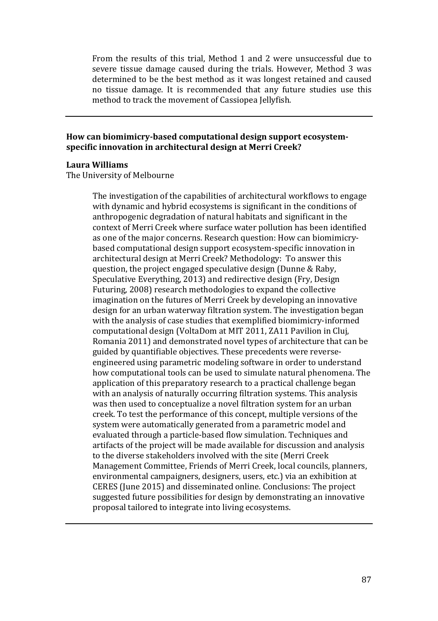From the results of this trial, Method 1 and 2 were unsuccessful due to severe tissue damage caused during the trials. However, Method 3 was determined to be the best method as it was longest retained and caused no tissue damage. It is recommended that any future studies use this method to track the movement of Cassiopea Jellyfish.

## **How can biomimicry-based computational design support ecosystemspecific innovation in architectural design at Merri Creek?**

### **Laura Williams**

The University of Melbourne

The investigation of the capabilities of architectural workflows to engage with dynamic and hybrid ecosystems is significant in the conditions of anthropogenic degradation of natural habitats and significant in the context of Merri Creek where surface water pollution has been identified as one of the major concerns. Research question: How can biomimicrybased computational design support ecosystem-specific innovation in architectural design at Merri Creek? Methodology: To answer this question, the project engaged speculative design (Dunne & Raby, Speculative Everything, 2013) and redirective design (Fry, Design Futuring, 2008) research methodologies to expand the collective imagination on the futures of Merri Creek by developing an innovative design for an urban waterway filtration system. The investigation began with the analysis of case studies that exemplified biomimicry-informed computational design (VoltaDom at MIT 2011, ZA11 Pavilion in Cluj, Romania 2011) and demonstrated novel types of architecture that can be guided by quantifiable objectives. These precedents were reverseengineered using parametric modeling software in order to understand how computational tools can be used to simulate natural phenomena. The application of this preparatory research to a practical challenge began with an analysis of naturally occurring filtration systems. This analysis was then used to conceptualize a novel filtration system for an urban creek. To test the performance of this concept, multiple versions of the system were automatically generated from a parametric model and evaluated through a particle-based flow simulation. Techniques and artifacts of the project will be made available for discussion and analysis to the diverse stakeholders involved with the site (Merri Creek Management Committee, Friends of Merri Creek, local councils, planners, environmental campaigners, designers, users, etc.) via an exhibition at CERES (June 2015) and disseminated online. Conclusions: The project suggested future possibilities for design by demonstrating an innovative proposal tailored to integrate into living ecosystems.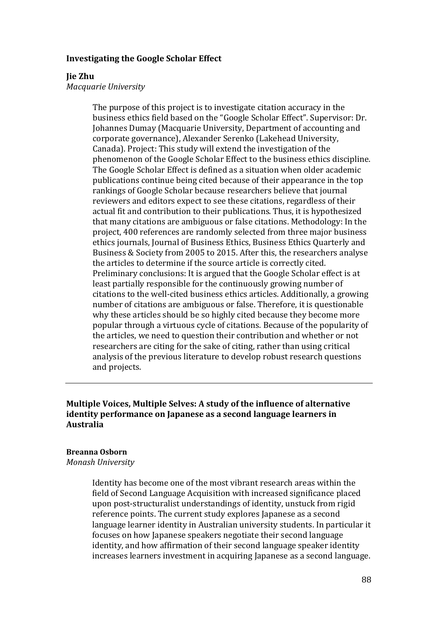### **Investigating the Google Scholar Effect**

### **Jie Zhu**

*Macquarie University*

The purpose of this project is to investigate citation accuracy in the business ethics field based on the "Google Scholar Effect". Supervisor: Dr. Johannes Dumay (Macquarie University, Department of accounting and corporate governance), Alexander Serenko (Lakehead University, Canada). Project: This study will extend the investigation of the phenomenon of the Google Scholar Effect to the business ethics discipline. The Google Scholar Effect is defined as a situation when older academic publications continue being cited because of their appearance in the top rankings of Google Scholar because researchers believe that journal reviewers and editors expect to see these citations, regardless of their actual fit and contribution to their publications. Thus, it is hypothesized that many citations are ambiguous or false citations. Methodology: In the project, 400 references are randomly selected from three major business ethics journals, Journal of Business Ethics, Business Ethics Quarterly and Business & Society from 2005 to 2015. After this, the researchers analyse the articles to determine if the source article is correctly cited. Preliminary conclusions: It is argued that the Google Scholar effect is at least partially responsible for the continuously growing number of citations to the well-cited business ethics articles. Additionally, a growing number of citations are ambiguous or false. Therefore, it is questionable why these articles should be so highly cited because they become more popular through a virtuous cycle of citations. Because of the popularity of the articles, we need to question their contribution and whether or not researchers are citing for the sake of citing, rather than using critical analysis of the previous literature to develop robust research questions and projects.

## **Multiple Voices, Multiple Selves: A study of the influence of alternative identity performance on Japanese as a second language learners in Australia**

#### **Breanna Osborn**

*Monash University*

Identity has become one of the most vibrant research areas within the field of Second Language Acquisition with increased significance placed upon post-structuralist understandings of identity, unstuck from rigid reference points. The current study explores Japanese as a second language learner identity in Australian university students. In particular it focuses on how Japanese speakers negotiate their second language identity, and how affirmation of their second language speaker identity increases learners investment in acquiring Japanese as a second language.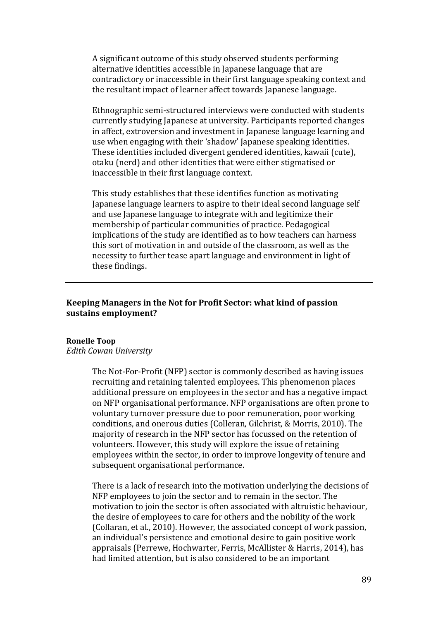A significant outcome of this study observed students performing alternative identities accessible in Japanese language that are contradictory or inaccessible in their first language speaking context and the resultant impact of learner affect towards Japanese language.

Ethnographic semi-structured interviews were conducted with students currently studying Japanese at university. Participants reported changes in affect, extroversion and investment in Japanese language learning and use when engaging with their 'shadow' Japanese speaking identities. These identities included divergent gendered identities, kawaii (cute), otaku (nerd) and other identities that were either stigmatised or inaccessible in their first language context.

This study establishes that these identifies function as motivating Japanese language learners to aspire to their ideal second language self and use Japanese language to integrate with and legitimize their membership of particular communities of practice. Pedagogical implications of the study are identified as to how teachers can harness this sort of motivation in and outside of the classroom, as well as the necessity to further tease apart language and environment in light of these findings.

## **Keeping Managers in the Not for Profit Sector: what kind of passion sustains employment?**

## **Ronelle Toop**

## *Edith Cowan University*

The Not-For-Profit (NFP) sector is commonly described as having issues recruiting and retaining talented employees. This phenomenon places additional pressure on employees in the sector and has a negative impact on NFP organisational performance. NFP organisations are often prone to voluntary turnover pressure due to poor remuneration, poor working conditions, and onerous duties (Colleran, Gilchrist, & Morris, 2010). The majority of research in the NFP sector has focussed on the retention of volunteers. However, this study will explore the issue of retaining employees within the sector, in order to improve longevity of tenure and subsequent organisational performance.

There is a lack of research into the motivation underlying the decisions of NFP employees to join the sector and to remain in the sector. The motivation to join the sector is often associated with altruistic behaviour, the desire of employees to care for others and the nobility of the work (Collaran, et al., 2010). However, the associated concept of work passion, an individual's persistence and emotional desire to gain positive work appraisals (Perrewe, Hochwarter, Ferris, McAllister & Harris, 2014), has had limited attention, but is also considered to be an important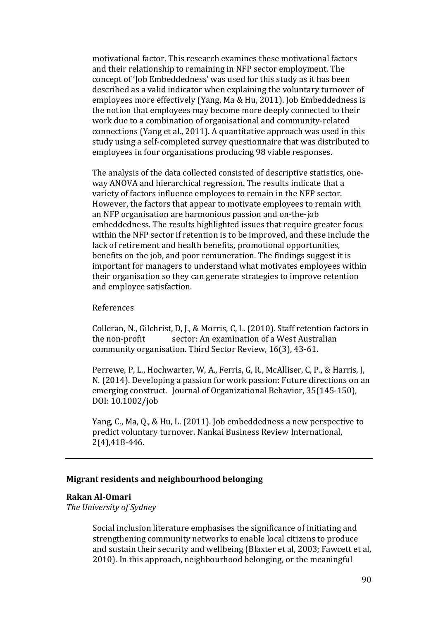motivational factor. This research examines these motivational factors and their relationship to remaining in NFP sector employment. The concept of 'Job Embeddedness' was used for this study as it has been described as a valid indicator when explaining the voluntary turnover of employees more effectively (Yang, Ma & Hu, 2011). Job Embeddedness is the notion that employees may become more deeply connected to their work due to a combination of organisational and community-related connections (Yang et al., 2011). A quantitative approach was used in this study using a self-completed survey questionnaire that was distributed to employees in four organisations producing 98 viable responses.

The analysis of the data collected consisted of descriptive statistics, oneway ANOVA and hierarchical regression. The results indicate that a variety of factors influence employees to remain in the NFP sector. However, the factors that appear to motivate employees to remain with an NFP organisation are harmonious passion and on-the-job embeddedness. The results highlighted issues that require greater focus within the NFP sector if retention is to be improved, and these include the lack of retirement and health benefits, promotional opportunities, benefits on the job, and poor remuneration. The findings suggest it is important for managers to understand what motivates employees within their organisation so they can generate strategies to improve retention and employee satisfaction.

### References

Colleran, N., Gilchrist, D. J., & Morris, C. L. (2010). Staff retention factors in the non-profit sector: An examination of a West Australian sector: An examination of a West Australian community organisation. Third Sector Review, 16(3), 43-61.

Perrewe, P, L., Hochwarter, W, A., Ferris, G, R., McAlliser, C, P., & Harris, J, N. (2014). Developing a passion for work passion: Future directions on an emerging construct. Journal of Organizational Behavior, 35(145-150), DOI: 10.1002/job

Yang, C., Ma, Q., & Hu, L. (2011). Job embeddedness a new perspective to predict voluntary turnover. Nankai Business Review International, 2(4),418-446.

#### **Migrant residents and neighbourhood belonging**

#### **Rakan Al-Omari**

*The University of Sydney*

Social inclusion literature emphasises the significance of initiating and strengthening community networks to enable local citizens to produce and sustain their security and wellbeing (Blaxter et al, 2003; Fawcett et al, 2010). In this approach, neighbourhood belonging, or the meaningful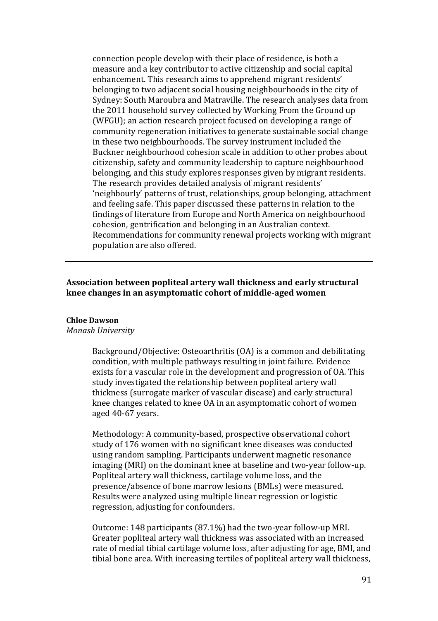connection people develop with their place of residence, is both a measure and a key contributor to active citizenship and social capital enhancement. This research aims to apprehend migrant residents' belonging to two adjacent social housing neighbourhoods in the city of Sydney: South Maroubra and Matraville. The research analyses data from the 2011 household survey collected by Working From the Ground up (WFGU); an action research project focused on developing a range of community regeneration initiatives to generate sustainable social change in these two neighbourhoods. The survey instrument included the Buckner neighbourhood cohesion scale in addition to other probes about citizenship, safety and community leadership to capture neighbourhood belonging, and this study explores responses given by migrant residents. The research provides detailed analysis of migrant residents' 'neighbourly' patterns of trust, relationships, group belonging, attachment and feeling safe. This paper discussed these patterns in relation to the findings of literature from Europe and North America on neighbourhood cohesion, gentrification and belonging in an Australian context. Recommendations for community renewal projects working with migrant population are also offered.

## **Association between popliteal artery wall thickness and early structural knee changes in an asymptomatic cohort of middle-aged women**

### **Chloe Dawson**

#### *Monash University*

Background/Objective: Osteoarthritis (OA) is a common and debilitating condition, with multiple pathways resulting in joint failure. Evidence exists for a vascular role in the development and progression of OA. This study investigated the relationship between popliteal artery wall thickness (surrogate marker of vascular disease) and early structural knee changes related to knee OA in an asymptomatic cohort of women aged 40-67 years.

Methodology: A community-based, prospective observational cohort study of 176 women with no significant knee diseases was conducted using random sampling. Participants underwent magnetic resonance imaging (MRI) on the dominant knee at baseline and two-year follow-up. Popliteal artery wall thickness, cartilage volume loss, and the presence/absence of bone marrow lesions (BMLs) were measured. Results were analyzed using multiple linear regression or logistic regression, adjusting for confounders.

Outcome: 148 participants (87.1%) had the two-year follow-up MRI. Greater popliteal artery wall thickness was associated with an increased rate of medial tibial cartilage volume loss, after adjusting for age, BMI, and tibial bone area. With increasing tertiles of popliteal artery wall thickness,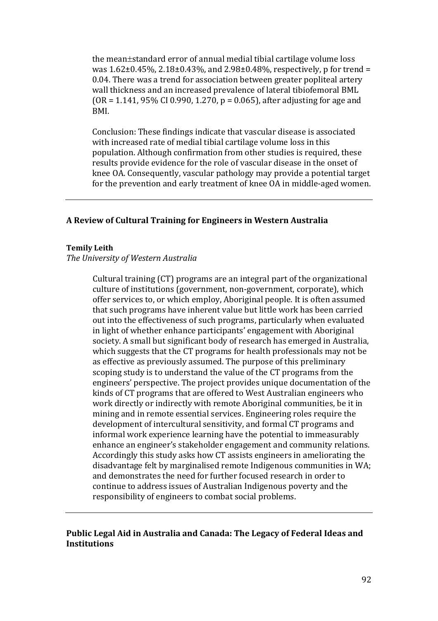the mean±standard error of annual medial tibial cartilage volume loss was  $1.62\pm0.45\%$ ,  $2.18\pm0.43\%$ , and  $2.98\pm0.48\%$ , respectively, p for trend = 0.04. There was a trend for association between greater popliteal artery wall thickness and an increased prevalence of lateral tibiofemoral BML  $(OR = 1.141, 95\% CI 0.990, 1.270, p = 0.065)$ , after adjusting for age and BMI.

Conclusion: These findings indicate that vascular disease is associated with increased rate of medial tibial cartilage volume loss in this population. Although confirmation from other studies is required, these results provide evidence for the role of vascular disease in the onset of knee OA. Consequently, vascular pathology may provide a potential target for the prevention and early treatment of knee OA in middle-aged women.

### **A Review of Cultural Training for Engineers in Western Australia**

#### **Temily Leith**

#### *The University of Western Australia*

Cultural training (CT) programs are an integral part of the organizational culture of institutions (government, non-government, corporate), which offer services to, or which employ, Aboriginal people. It is often assumed that such programs have inherent value but little work has been carried out into the effectiveness of such programs, particularly when evaluated in light of whether enhance participants' engagement with Aboriginal society. A small but significant body of research has emerged in Australia, which suggests that the CT programs for health professionals may not be as effective as previously assumed. The purpose of this preliminary scoping study is to understand the value of the CT programs from the engineers' perspective. The project provides unique documentation of the kinds of CT programs that are offered to West Australian engineers who work directly or indirectly with remote Aboriginal communities, be it in mining and in remote essential services. Engineering roles require the development of intercultural sensitivity, and formal CT programs and informal work experience learning have the potential to immeasurably enhance an engineer's stakeholder engagement and community relations. Accordingly this study asks how CT assists engineers in ameliorating the disadvantage felt by marginalised remote Indigenous communities in WA; and demonstrates the need for further focused research in order to continue to address issues of Australian Indigenous poverty and the responsibility of engineers to combat social problems.

## **Public Legal Aid in Australia and Canada: The Legacy of Federal Ideas and Institutions**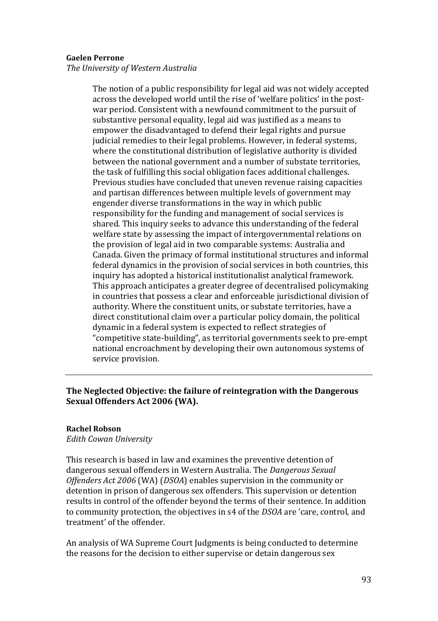### **Gaelen Perrone**

*The University of Western Australia*

The notion of a public responsibility for legal aid was not widely accepted across the developed world until the rise of 'welfare politics' in the postwar period. Consistent with a newfound commitment to the pursuit of substantive personal equality, legal aid was justified as a means to empower the disadvantaged to defend their legal rights and pursue judicial remedies to their legal problems. However, in federal systems, where the constitutional distribution of legislative authority is divided between the national government and a number of substate territories, the task of fulfilling this social obligation faces additional challenges. Previous studies have concluded that uneven revenue raising capacities and partisan differences between multiple levels of government may engender diverse transformations in the way in which public responsibility for the funding and management of social services is shared. This inquiry seeks to advance this understanding of the federal welfare state by assessing the impact of intergovernmental relations on the provision of legal aid in two comparable systems: Australia and Canada. Given the primacy of formal institutional structures and informal federal dynamics in the provision of social services in both countries, this inquiry has adopted a historical institutionalist analytical framework. This approach anticipates a greater degree of decentralised policymaking in countries that possess a clear and enforceable jurisdictional division of authority. Where the constituent units, or substate territories, have a direct constitutional claim over a particular policy domain, the political dynamic in a federal system is expected to reflect strategies of "competitive state-building", as territorial governments seek to pre-empt national encroachment by developing their own autonomous systems of service provision.

# **The Neglected Objective: the failure of reintegration with the Dangerous Sexual Offenders Act 2006 (WA).**

#### **Rachel Robson**

*Edith Cowan University*

This research is based in law and examines the preventive detention of dangerous sexual offenders in Western Australia. The *Dangerous Sexual Offenders Act 2006* (WA) (*DSOA*) enables supervision in the community or detention in prison of dangerous sex offenders. This supervision or detention results in control of the offender beyond the terms of their sentence. In addition to community protection, the objectives in s4 of the *DSOA* are 'care, control, and treatment' of the offender.

An analysis of WA Supreme Court Judgments is being conducted to determine the reasons for the decision to either supervise or detain dangerous sex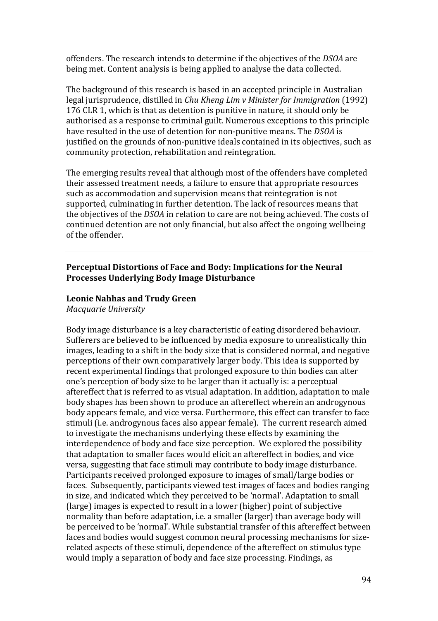offenders. The research intends to determine if the objectives of the *DSOA* are being met. Content analysis is being applied to analyse the data collected.

The background of this research is based in an accepted principle in Australian legal jurisprudence, distilled in *Chu Kheng Lim v Minister for Immigration* (1992) 176 CLR 1, which is that as detention is punitive in nature, it should only be authorised as a response to criminal guilt. Numerous exceptions to this principle have resulted in the use of detention for non-punitive means. The *DSOA* is justified on the grounds of non-punitive ideals contained in its objectives, such as community protection, rehabilitation and reintegration.

The emerging results reveal that although most of the offenders have completed their assessed treatment needs, a failure to ensure that appropriate resources such as accommodation and supervision means that reintegration is not supported, culminating in further detention. The lack of resources means that the objectives of the *DSOA* in relation to care are not being achieved. The costs of continued detention are not only financial, but also affect the ongoing wellbeing of the offender.

## **Perceptual Distortions of Face and Body: Implications for the Neural Processes Underlying Body Image Disturbance**

### **Leonie Nahhas and Trudy Green**

*Macquarie University*

Body image disturbance is a key characteristic of eating disordered behaviour. Sufferers are believed to be influenced by media exposure to unrealistically thin images, leading to a shift in the body size that is considered normal, and negative perceptions of their own comparatively larger body. This idea is supported by recent experimental findings that prolonged exposure to thin bodies can alter one's perception of body size to be larger than it actually is: a perceptual aftereffect that is referred to as visual adaptation. In addition, adaptation to male body shapes has been shown to produce an aftereffect wherein an androgynous body appears female, and vice versa. Furthermore, this effect can transfer to face stimuli (i.e. androgynous faces also appear female). The current research aimed to investigate the mechanisms underlying these effects by examining the interdependence of body and face size perception. We explored the possibility that adaptation to smaller faces would elicit an aftereffect in bodies, and vice versa, suggesting that face stimuli may contribute to body image disturbance. Participants received prolonged exposure to images of small/large bodies or faces. Subsequently, participants viewed test images of faces and bodies ranging in size, and indicated which they perceived to be 'normal'. Adaptation to small (large) images is expected to result in a lower (higher) point of subjective normality than before adaptation, i.e. a smaller (larger) than average body will be perceived to be 'normal'. While substantial transfer of this aftereffect between faces and bodies would suggest common neural processing mechanisms for sizerelated aspects of these stimuli, dependence of the aftereffect on stimulus type would imply a separation of body and face size processing. Findings, as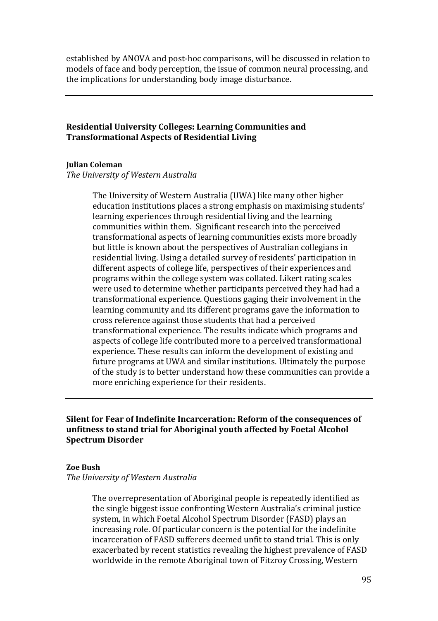established by ANOVA and post-hoc comparisons, will be discussed in relation to models of face and body perception, the issue of common neural processing, and the implications for understanding body image disturbance.

# **Residential University Colleges: Learning Communities and Transformational Aspects of Residential Living**

### **Julian Coleman**

*The University of Western Australia*

The University of Western Australia (UWA) like many other higher education institutions places a strong emphasis on maximising students' learning experiences through residential living and the learning communities within them. Significant research into the perceived transformational aspects of learning communities exists more broadly but little is known about the perspectives of Australian collegians in residential living. Using a detailed survey of residents' participation in different aspects of college life, perspectives of their experiences and programs within the college system was collated. Likert rating scales were used to determine whether participants perceived they had had a transformational experience. Questions gaging their involvement in the learning community and its different programs gave the information to cross reference against those students that had a perceived transformational experience. The results indicate which programs and aspects of college life contributed more to a perceived transformational experience. These results can inform the development of existing and future programs at UWA and similar institutions. Ultimately the purpose of the study is to better understand how these communities can provide a more enriching experience for their residents.

**Silent for Fear of Indefinite Incarceration: Reform of the consequences of unfitness to stand trial for Aboriginal youth affected by Foetal Alcohol Spectrum Disorder** 

#### **Zoe Bush**

*The University of Western Australia*

The overrepresentation of Aboriginal people is repeatedly identified as the single biggest issue confronting Western Australia's criminal justice system, in which Foetal Alcohol Spectrum Disorder (FASD) plays an increasing role. Of particular concern is the potential for the indefinite incarceration of FASD sufferers deemed unfit to stand trial. This is only exacerbated by recent statistics revealing the highest prevalence of FASD worldwide in the remote Aboriginal town of Fitzroy Crossing, Western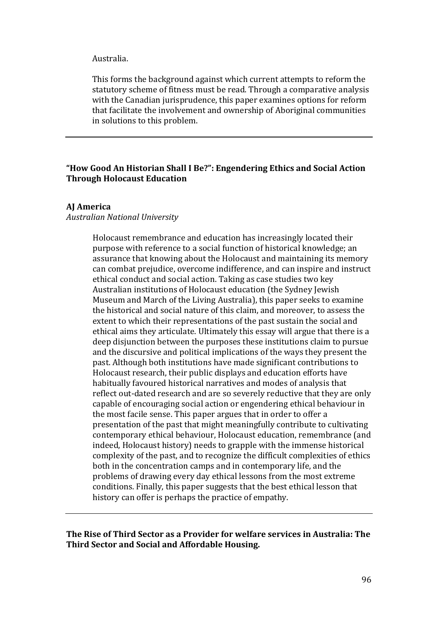#### Australia.

This forms the background against which current attempts to reform the statutory scheme of fitness must be read. Through a comparative analysis with the Canadian jurisprudence, this paper examines options for reform that facilitate the involvement and ownership of Aboriginal communities in solutions to this problem.

## **"How Good An Historian Shall I Be?": Engendering Ethics and Social Action Through Holocaust Education**

#### **AJ America**

#### *Australian National University*

Holocaust remembrance and education has increasingly located their purpose with reference to a social function of historical knowledge; an assurance that knowing about the Holocaust and maintaining its memory can combat prejudice, overcome indifference, and can inspire and instruct ethical conduct and social action. Taking as case studies two key Australian institutions of Holocaust education (the Sydney Jewish Museum and March of the Living Australia), this paper seeks to examine the historical and social nature of this claim, and moreover, to assess the extent to which their representations of the past sustain the social and ethical aims they articulate. Ultimately this essay will argue that there is a deep disjunction between the purposes these institutions claim to pursue and the discursive and political implications of the ways they present the past. Although both institutions have made significant contributions to Holocaust research, their public displays and education efforts have habitually favoured historical narratives and modes of analysis that reflect out-dated research and are so severely reductive that they are only capable of encouraging social action or engendering ethical behaviour in the most facile sense. This paper argues that in order to offer a presentation of the past that might meaningfully contribute to cultivating contemporary ethical behaviour, Holocaust education, remembrance (and indeed, Holocaust history) needs to grapple with the immense historical complexity of the past, and to recognize the difficult complexities of ethics both in the concentration camps and in contemporary life, and the problems of drawing every day ethical lessons from the most extreme conditions. Finally, this paper suggests that the best ethical lesson that history can offer is perhaps the practice of empathy.

**The Rise of Third Sector as a Provider for welfare services in Australia: The Third Sector and Social and Affordable Housing.**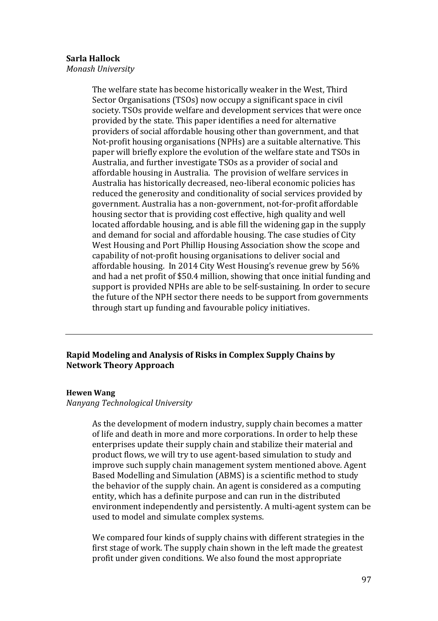### **Sarla Hallock**

*Monash University*

The welfare state has become historically weaker in the West, Third Sector Organisations (TSOs) now occupy a significant space in civil society. TSOs provide welfare and development services that were once provided by the state. This paper identifies a need for alternative providers of social affordable housing other than government, and that Not-profit housing organisations (NPHs) are a suitable alternative. This paper will briefly explore the evolution of the welfare state and TSOs in Australia, and further investigate TSOs as a provider of social and affordable housing in Australia. The provision of welfare services in Australia has historically decreased, neo-liberal economic policies has reduced the generosity and conditionality of social services provided by government. Australia has a non-government, not-for-profit affordable housing sector that is providing cost effective, high quality and well located affordable housing, and is able fill the widening gap in the supply and demand for social and affordable housing. The case studies of City West Housing and Port Phillip Housing Association show the scope and capability of not-profit housing organisations to deliver social and affordable housing. In 2014 City West Housing's revenue grew by 56% and had a net profit of \$50.4 million, showing that once initial funding and support is provided NPHs are able to be self-sustaining. In order to secure the future of the NPH sector there needs to be support from governments through start up funding and favourable policy initiatives.

## **Rapid Modeling and Analysis of Risks in Complex Supply Chains by Network Theory Approach**

#### **Hewen Wang**

*Nanyang Technological University* 

As the development of modern industry, supply chain becomes a matter of life and death in more and more corporations. In order to help these enterprises update their supply chain and stabilize their material and product flows, we will try to use agent-based simulation to study and improve such supply chain management system mentioned above. Agent Based Modelling and Simulation (ABMS) is a scientific method to study the behavior of the supply chain. An agent is considered as a computing entity, which has a definite purpose and can run in the distributed environment independently and persistently. A multi-agent system can be used to model and simulate complex systems.

We compared four kinds of supply chains with different strategies in the first stage of work. The supply chain shown in the left made the greatest profit under given conditions. We also found the most appropriate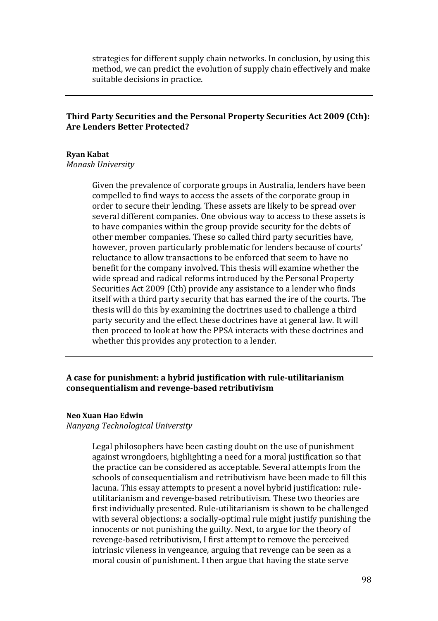strategies for different supply chain networks. In conclusion, by using this method, we can predict the evolution of supply chain effectively and make suitable decisions in practice.

## **Third Party Securities and the Personal Property Securities Act 2009 (Cth): Are Lenders Better Protected?**

### **Ryan Kabat**

### *Monash University*

Given the prevalence of corporate groups in Australia, lenders have been compelled to find ways to access the assets of the corporate group in order to secure their lending. These assets are likely to be spread over several different companies. One obvious way to access to these assets is to have companies within the group provide security for the debts of other member companies. These so called third party securities have, however, proven particularly problematic for lenders because of courts' reluctance to allow transactions to be enforced that seem to have no benefit for the company involved. This thesis will examine whether the wide spread and radical reforms introduced by the Personal Property Securities Act 2009 (Cth) provide any assistance to a lender who finds itself with a third party security that has earned the ire of the courts. The thesis will do this by examining the doctrines used to challenge a third party security and the effect these doctrines have at general law. It will then proceed to look at how the PPSA interacts with these doctrines and whether this provides any protection to a lender.

## **A case for punishment: a hybrid justification with rule-utilitarianism consequentialism and revenge-based retributivism**

#### **Neo Xuan Hao Edwin**

*Nanyang Technological University*

Legal philosophers have been casting doubt on the use of punishment against wrongdoers, highlighting a need for a moral justification so that the practice can be considered as acceptable. Several attempts from the schools of consequentialism and retributivism have been made to fill this lacuna. This essay attempts to present a novel hybrid justification: ruleutilitarianism and revenge-based retributivism. These two theories are first individually presented. Rule-utilitarianism is shown to be challenged with several objections: a socially-optimal rule might justify punishing the innocents or not punishing the guilty. Next, to argue for the theory of revenge-based retributivism, I first attempt to remove the perceived intrinsic vileness in vengeance, arguing that revenge can be seen as a moral cousin of punishment. I then argue that having the state serve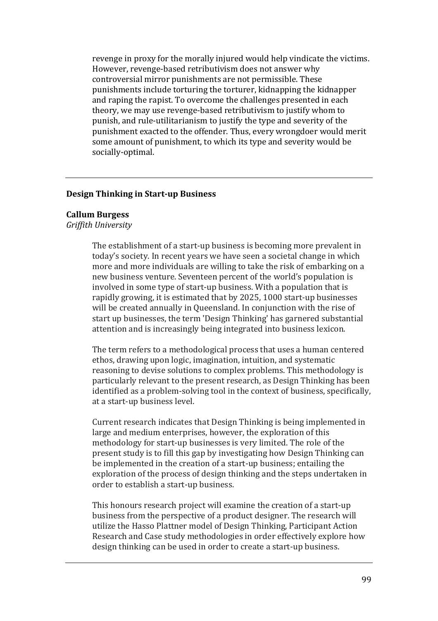revenge in proxy for the morally injured would help vindicate the victims. However, revenge-based retributivism does not answer why controversial mirror punishments are not permissible. These punishments include torturing the torturer, kidnapping the kidnapper and raping the rapist. To overcome the challenges presented in each theory, we may use revenge-based retributivism to justify whom to punish, and rule-utilitarianism to justify the type and severity of the punishment exacted to the offender. Thus, every wrongdoer would merit some amount of punishment, to which its type and severity would be socially-optimal.

### **Design Thinking in Start-up Business**

#### **Callum Burgess**

*Griffith University*

The establishment of a start-up business is becoming more prevalent in today's society. In recent years we have seen a societal change in which more and more individuals are willing to take the risk of embarking on a new business venture. Seventeen percent of the world's population is involved in some type of start-up business. With a population that is rapidly growing, it is estimated that by 2025, 1000 start-up businesses will be created annually in Queensland. In conjunction with the rise of start up businesses, the term 'Design Thinking' has garnered substantial attention and is increasingly being integrated into business lexicon.

The term refers to a methodological process that uses a human centered ethos, drawing upon logic, imagination, intuition, and systematic reasoning to devise solutions to complex problems. This methodology is particularly relevant to the present research, as Design Thinking has been identified as a problem-solving tool in the context of business, specifically, at a start-up business level.

Current research indicates that Design Thinking is being implemented in large and medium enterprises, however, the exploration of this methodology for start-up businesses is very limited. The role of the present study is to fill this gap by investigating how Design Thinking can be implemented in the creation of a start-up business; entailing the exploration of the process of design thinking and the steps undertaken in order to establish a start-up business.

This honours research project will examine the creation of a start-up business from the perspective of a product designer. The research will utilize the Hasso Plattner model of Design Thinking, Participant Action Research and Case study methodologies in order effectively explore how design thinking can be used in order to create a start-up business.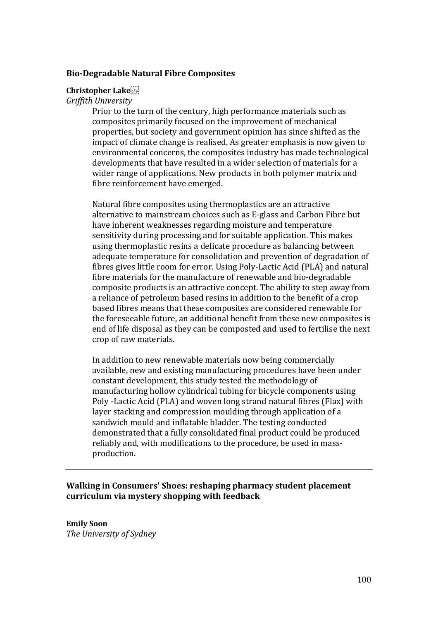## **Bio-Degradable Natural Fibre Composites**

#### **Christopher Lake**

*Griffith University*

Prior to the turn of the century, high performance materials such as composites primarily focused on the improvement of mechanical properties, but society and government opinion has since shifted as the impact of climate change is realised. As greater emphasis is now given to environmental concerns, the composites industry has made technological developments that have resulted in a wider selection of materials for a wider range of applications. New products in both polymer matrix and fibre reinforcement have emerged.

Natural fibre composites using thermoplastics are an attractive alternative to mainstream choices such as E-glass and Carbon Fibre but have inherent weaknesses regarding moisture and temperature sensitivity during processing and for suitable application. This makes using thermoplastic resins a delicate procedure as balancing between adequate temperature for consolidation and prevention of degradation of fibres gives little room for error. Using Poly-Lactic Acid (PLA) and natural fibre materials for the manufacture of renewable and bio-degradable composite products is an attractive concept. The ability to step away from a reliance of petroleum based resins in addition to the benefit of a crop based fibres means that these composites are considered renewable for the foreseeable future, an additional benefit from these new composites is end of life disposal as they can be composted and used to fertilise the next crop of raw materials.

In addition to new renewable materials now being commercially available, new and existing manufacturing procedures have been under constant development, this study tested the methodology of manufacturing hollow cylindrical tubing for bicycle components using Poly -Lactic Acid (PLA) and woven long strand natural fibres (Flax) with layer stacking and compression moulding through application of a sandwich mould and inflatable bladder. The testing conducted demonstrated that a fully consolidated final product could be produced reliably and, with modifications to the procedure, be used in massproduction.

**Walking in Consumers' Shoes: reshaping pharmacy student placement curriculum via mystery shopping with feedback**

**Emily Soon** *The University of Sydney*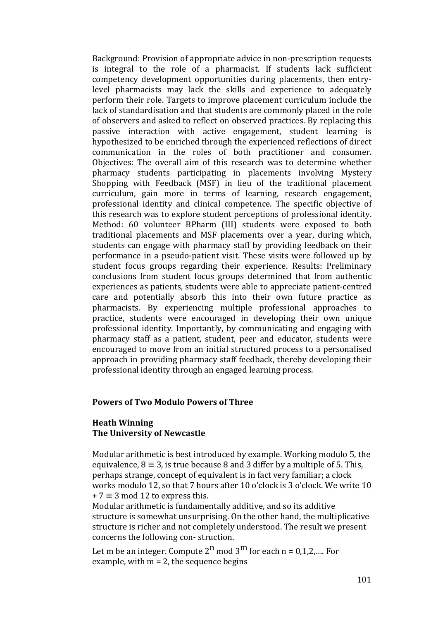Background: Provision of appropriate advice in non-prescription requests is integral to the role of a pharmacist. If students lack sufficient competency development opportunities during placements, then entrylevel pharmacists may lack the skills and experience to adequately perform their role. Targets to improve placement curriculum include the lack of standardisation and that students are commonly placed in the role of observers and asked to reflect on observed practices. By replacing this passive interaction with active engagement, student learning is hypothesized to be enriched through the experienced reflections of direct communication in the roles of both practitioner and consumer. Objectives: The overall aim of this research was to determine whether pharmacy students participating in placements involving Mystery Shopping with Feedback (MSF) in lieu of the traditional placement curriculum, gain more in terms of learning, research engagement, professional identity and clinical competence. The specific objective of this research was to explore student perceptions of professional identity. Method: 60 volunteer BPharm (III) students were exposed to both traditional placements and MSF placements over a year, during which, students can engage with pharmacy staff by providing feedback on their performance in a pseudo-patient visit. These visits were followed up by student focus groups regarding their experience. Results: Preliminary conclusions from student focus groups determined that from authentic experiences as patients, students were able to appreciate patient-centred care and potentially absorb this into their own future practice as pharmacists. By experiencing multiple professional approaches to practice, students were encouraged in developing their own unique professional identity. Importantly, by communicating and engaging with pharmacy staff as a patient, student, peer and educator, students were encouraged to move from an initial structured process to a personalised approach in providing pharmacy staff feedback, thereby developing their professional identity through an engaged learning process.

### **Powers of Two Modulo Powers of Three**

## **Heath Winning The University of Newcastle**

Modular arithmetic is best introduced by example. Working modulo 5, the equivalence,  $8 \equiv 3$ , is true because 8 and 3 differ by a multiple of 5. This, perhaps strange, concept of equivalent is in fact very familiar; a clock works modulo 12, so that 7 hours after 10 o'clock is 3 o'clock. We write 10  $+ 7 \equiv 3 \mod 12$  to express this.

Modular arithmetic is fundamentally additive, and so its additive structure is somewhat unsurprising. On the other hand, the multiplicative structure is richer and not completely understood. The result we present concerns the following con- struction.

Let m be an integer. Compute  $2^{n}$  mod  $3^{m}$  for each n = 0,1,2,.... For example, with  $m = 2$ , the sequence begins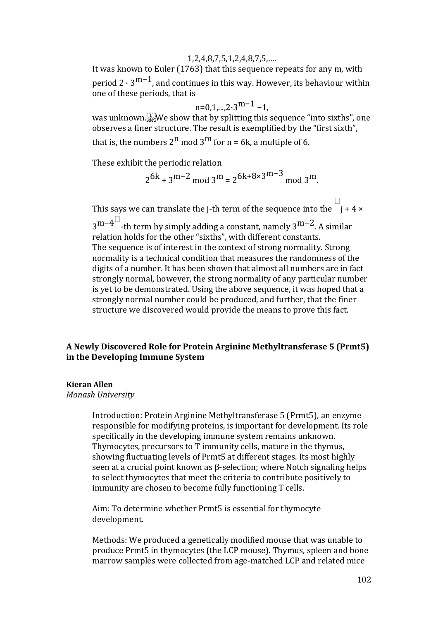### 1,2,4,8,7,5,1,2,4,8,7,5,….

It was known to Euler (1763) that this sequence repeats for any m, with period  $2 \cdot 3^{m-1}$ , and continues in this way. However, its behaviour within one of these periods, that is

$$
n=0,1,\dots,2\cdot 3^{m-1}-1,
$$

was unknown. We show that by splitting this sequence "into sixths", one observes a finer structure. The result is exemplified by the "first sixth",

that is, the numbers  $2^n$  mod  $3^m$  for  $n = 6k$ , a multiple of 6.

These exhibit the periodic relation

$$
2^{6k} + 3^{m-2} \mod 3^m = 2^{6k+8 \times 3^{m-3} \mod 3^m}
$$
.

This says we can translate the j-th term of the sequence into the  $\Box$ j + 4 ×  $3^{\text{m}-4}$ <sup> $\Box$ </sup>-th term by simply adding a constant, namely  $3^{\text{m}-2}$ . A similar relation holds for the other "sixths", with different constants. The sequence is of interest in the context of strong normality. Strong normality is a technical condition that measures the randomness of the digits of a number. It has been shown that almost all numbers are in fact strongly normal, however, the strong normality of any particular number is yet to be demonstrated. Using the above sequence, it was hoped that a strongly normal number could be produced, and further, that the finer structure we discovered would provide the means to prove this fact.

# **A Newly Discovered Role for Protein Arginine Methyltransferase 5 (Prmt5) in the Developing Immune System**

## **Kieran Allen**

*Monash University* 

Introduction: Protein Arginine Methyltransferase 5 (Prmt5), an enzyme responsible for modifying proteins, is important for development. Its role specifically in the developing immune system remains unknown. Thymocytes, precursors to T immunity cells, mature in the thymus, showing fluctuating levels of Prmt5 at different stages. Its most highly seen at a crucial point known as β-selection; where Notch signaling helps to select thymocytes that meet the criteria to contribute positively to immunity are chosen to become fully functioning T cells.

Aim: To determine whether Prmt5 is essential for thymocyte development.

Methods: We produced a genetically modified mouse that was unable to produce Prmt5 in thymocytes (the LCP mouse). Thymus, spleen and bone marrow samples were collected from age-matched LCP and related mice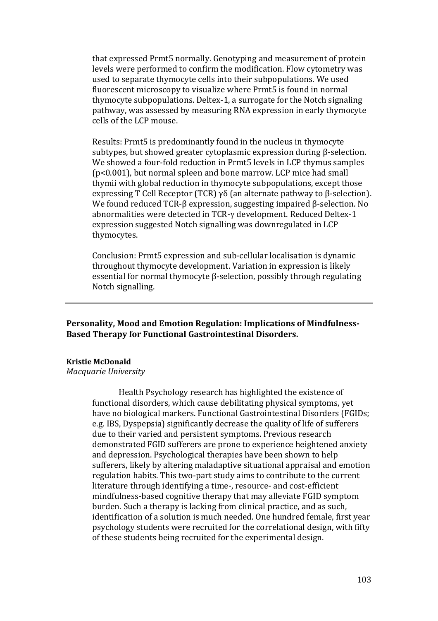that expressed Prmt5 normally. Genotyping and measurement of protein levels were performed to confirm the modification. Flow cytometry was used to separate thymocyte cells into their subpopulations. We used fluorescent microscopy to visualize where Prmt5 is found in normal thymocyte subpopulations. Deltex-1, a surrogate for the Notch signaling pathway, was assessed by measuring RNA expression in early thymocyte cells of the LCP mouse.

Results: Prmt5 is predominantly found in the nucleus in thymocyte subtypes, but showed greater cytoplasmic expression during β-selection. We showed a four-fold reduction in Prmt5 levels in LCP thymus samples (p<0.001), but normal spleen and bone marrow. LCP mice had small thymii with global reduction in thymocyte subpopulations, except those expressing T Cell Receptor (TCR) γδ (an alternate pathway to β-selection). We found reduced TCR-β expression, suggesting impaired β-selection. No abnormalities were detected in TCR-γ development. Reduced Deltex-1 expression suggested Notch signalling was downregulated in LCP thymocytes.

Conclusion: Prmt5 expression and sub-cellular localisation is dynamic throughout thymocyte development. Variation in expression is likely essential for normal thymocyte β-selection, possibly through regulating Notch signalling.

**Personality, Mood and Emotion Regulation: Implications of Mindfulness-Based Therapy for Functional Gastrointestinal Disorders.**

### **Kristie McDonald**

*Macquarie University* 

Health Psychology research has highlighted the existence of functional disorders, which cause debilitating physical symptoms, yet have no biological markers. Functional Gastrointestinal Disorders (FGIDs; e.g. IBS, Dyspepsia) significantly decrease the quality of life of sufferers due to their varied and persistent symptoms. Previous research demonstrated FGID sufferers are prone to experience heightened anxiety and depression. Psychological therapies have been shown to help sufferers, likely by altering maladaptive situational appraisal and emotion regulation habits. This two-part study aims to contribute to the current literature through identifying a time-, resource- and cost-efficient mindfulness-based cognitive therapy that may alleviate FGID symptom burden. Such a therapy is lacking from clinical practice, and as such, identification of a solution is much needed. One hundred female, first year psychology students were recruited for the correlational design, with fifty of these students being recruited for the experimental design.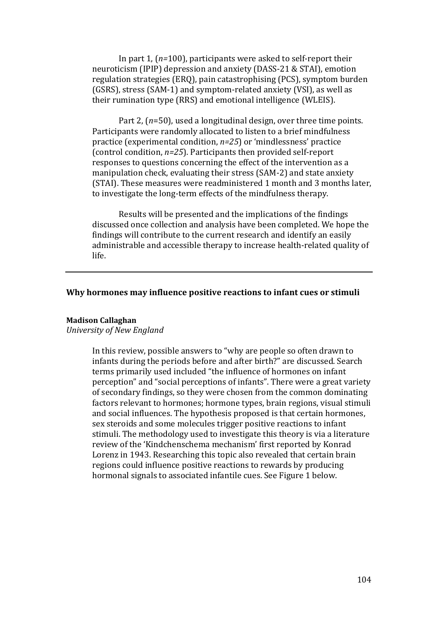In part 1, (*n=*100), participants were asked to self-report their neuroticism (IPIP) depression and anxiety (DASS-21 & STAI), emotion regulation strategies (ERQ), pain catastrophising (PCS), symptom burden (GSRS), stress (SAM-1) and symptom-related anxiety (VSI), as well as their rumination type (RRS) and emotional intelligence (WLEIS).

Part 2, (*n*=50), used a longitudinal design, over three time points. Participants were randomly allocated to listen to a brief mindfulness practice (experimental condition, *n=25*) or 'mindlessness' practice (control condition, *n=25*). Participants then provided self-report responses to questions concerning the effect of the intervention as a manipulation check, evaluating their stress (SAM-2) and state anxiety (STAI). These measures were readministered 1 month and 3 months later, to investigate the long-term effects of the mindfulness therapy.

Results will be presented and the implications of the findings discussed once collection and analysis have been completed. We hope the findings will contribute to the current research and identify an easily administrable and accessible therapy to increase health-related quality of life.

#### **Why hormones may influence positive reactions to infant cues or stimuli**

# **Madison Callaghan**

*University of New England*

In this review, possible answers to "why are people so often drawn to infants during the periods before and after birth?" are discussed. Search terms primarily used included "the influence of hormones on infant perception" and "social perceptions of infants". There were a great variety of secondary findings, so they were chosen from the common dominating factors relevant to hormones; hormone types, brain regions, visual stimuli and social influences. The hypothesis proposed is that certain hormones, sex steroids and some molecules trigger positive reactions to infant stimuli. The methodology used to investigate this theory is via a literature review of the 'Kindchenschema mechanism' first reported by Konrad Lorenz in 1943. Researching this topic also revealed that certain brain regions could influence positive reactions to rewards by producing hormonal signals to associated infantile cues. See Figure 1 below.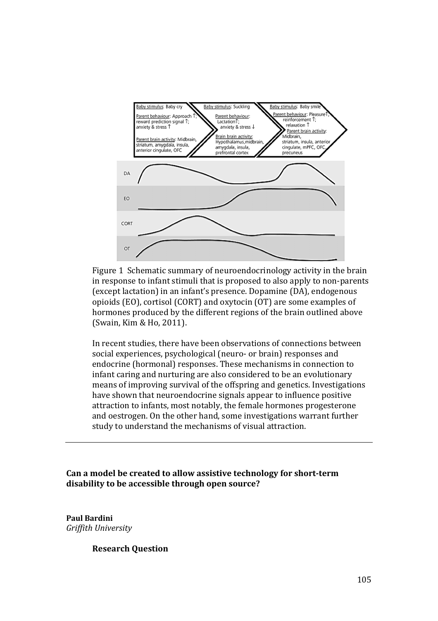

Figure 1 Schematic summary of neuroendocrinology activity in the brain in response to infant stimuli that is proposed to also apply to non-parents (except lactation) in an infant's presence. Dopamine (DA), endogenous opioids (EO), cortisol (CORT) and oxytocin (OT) are some examples of hormones produced by the different regions of the brain outlined above (Swain, Kim & Ho, 2011).

In recent studies, there have been observations of connections between social experiences, psychological (neuro- or brain) responses and endocrine (hormonal) responses. These mechanisms in connection to infant caring and nurturing are also considered to be an evolutionary means of improving survival of the offspring and genetics. Investigations have shown that neuroendocrine signals appear to influence positive attraction to infants, most notably, the female hormones progesterone and oestrogen. On the other hand, some investigations warrant further study to understand the mechanisms of visual attraction.

**Can a model be created to allow assistive technology for short-term disability to be accessible through open source?**

**Paul Bardini** *Griffith University* 

**Research Question**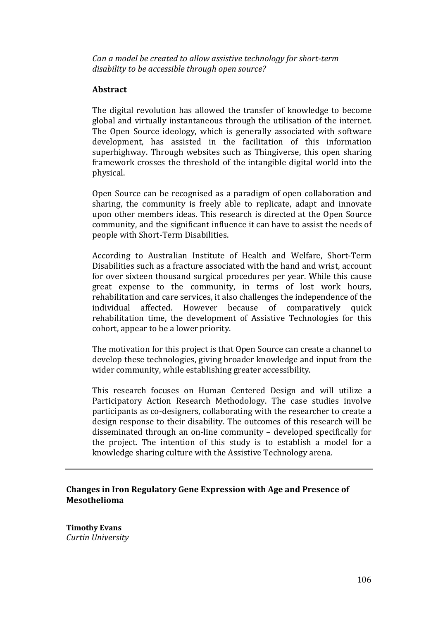*Can a model be created to allow assistive technology for short-term disability to be accessible through open source?*

# **Abstract**

The digital revolution has allowed the transfer of knowledge to become global and virtually instantaneous through the utilisation of the internet. The Open Source ideology, which is generally associated with software development, has assisted in the facilitation of this information superhighway. Through websites such as Thingiverse, this open sharing framework crosses the threshold of the intangible digital world into the physical.

Open Source can be recognised as a paradigm of open collaboration and sharing, the community is freely able to replicate, adapt and innovate upon other members ideas. This research is directed at the Open Source community, and the significant influence it can have to assist the needs of people with Short-Term Disabilities.

According to Australian Institute of Health and Welfare, Short-Term Disabilities such as a fracture associated with the hand and wrist, account for over sixteen thousand surgical procedures per year. While this cause great expense to the community, in terms of lost work hours, rehabilitation and care services, it also challenges the independence of the individual affected. However because of comparatively quick affected. However because of comparatively quick rehabilitation time, the development of Assistive Technologies for this cohort, appear to be a lower priority.

The motivation for this project is that Open Source can create a channel to develop these technologies, giving broader knowledge and input from the wider community, while establishing greater accessibility.

This research focuses on Human Centered Design and will utilize a Participatory Action Research Methodology. The case studies involve participants as co-designers, collaborating with the researcher to create a design response to their disability. The outcomes of this research will be disseminated through an on-line community – developed specifically for the project. The intention of this study is to establish a model for a knowledge sharing culture with the Assistive Technology arena.

**Changes in Iron Regulatory Gene Expression with Age and Presence of Mesothelioma**

**Timothy Evans** *Curtin University*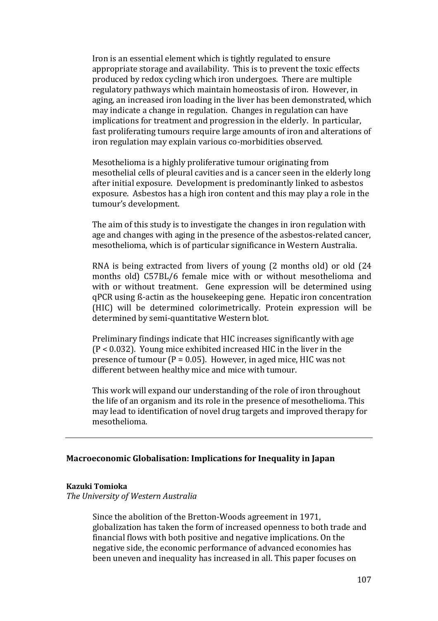Iron is an essential element which is tightly regulated to ensure appropriate storage and availability. This is to prevent the toxic effects produced by redox cycling which iron undergoes. There are multiple regulatory pathways which maintain homeostasis of iron. However, in aging, an increased iron loading in the liver has been demonstrated, which may indicate a change in regulation. Changes in regulation can have implications for treatment and progression in the elderly. In particular, fast proliferating tumours require large amounts of iron and alterations of iron regulation may explain various co-morbidities observed.

Mesothelioma is a highly proliferative tumour originating from mesothelial cells of pleural cavities and is a cancer seen in the elderly long after initial exposure. Development is predominantly linked to asbestos exposure. Asbestos has a high iron content and this may play a role in the tumour's development.

The aim of this study is to investigate the changes in iron regulation with age and changes with aging in the presence of the asbestos-related cancer, mesothelioma, which is of particular significance in Western Australia.

RNA is being extracted from livers of young (2 months old) or old (24 months old) C57BL/6 female mice with or without mesothelioma and with or without treatment. Gene expression will be determined using qPCR using ß-actin as the housekeeping gene. Hepatic iron concentration (HIC) will be determined colorimetrically. Protein expression will be determined by semi-quantitative Western blot.

Preliminary findings indicate that HIC increases significantly with age (P < 0.032). Young mice exhibited increased HIC in the liver in the presence of tumour  $(P = 0.05)$ . However, in aged mice, HIC was not different between healthy mice and mice with tumour.

This work will expand our understanding of the role of iron throughout the life of an organism and its role in the presence of mesothelioma. This may lead to identification of novel drug targets and improved therapy for mesothelioma.

## **Macroeconomic Globalisation: Implications for Inequality in Japan**

#### **Kazuki Tomioka**

*The University of Western Australia*

Since the abolition of the Bretton-Woods agreement in 1971, globalization has taken the form of increased openness to both trade and financial flows with both positive and negative implications. On the negative side, the economic performance of advanced economies has been uneven and inequality has increased in all. This paper focuses on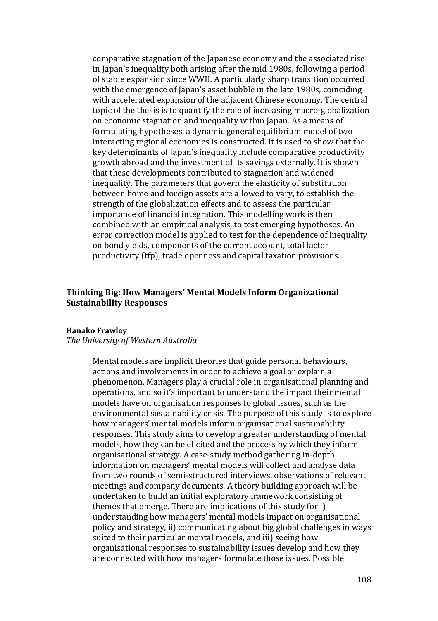comparative stagnation of the Japanese economy and the associated rise in Japan's inequality both arising after the mid 1980s, following a period of stable expansion since WWII. A particularly sharp transition occurred with the emergence of Japan's asset bubble in the late 1980s, coinciding with accelerated expansion of the adjacent Chinese economy. The central topic of the thesis is to quantify the role of increasing macro-globalization on economic stagnation and inequality within Japan. As a means of formulating hypotheses, a dynamic general equilibrium model of two interacting regional economies is constructed. It is used to show that the key determinants of Japan's inequality include comparative productivity growth abroad and the investment of its savings externally. It is shown that these developments contributed to stagnation and widened inequality. The parameters that govern the elasticity of substitution between home and foreign assets are allowed to vary, to establish the strength of the globalization effects and to assess the particular importance of financial integration. This modelling work is then combined with an empirical analysis, to test emerging hypotheses. An error correction model is applied to test for the dependence of inequality on bond yields, components of the current account, total factor productivity (tfp), trade openness and capital taxation provisions.

## **Thinking Big: How Managers' Mental Models Inform Organizational Sustainability Responses**

#### **Hanako Frawley**

#### *The University of Western Australia*

Mental models are implicit theories that guide personal behaviours, actions and involvements in order to achieve a goal or explain a phenomenon. Managers play a crucial role in organisational planning and operations, and so it's important to understand the impact their mental models have on organisation responses to global issues, such as the environmental sustainability crisis. The purpose of this study is to explore how managers' mental models inform organisational sustainability responses. This study aims to develop a greater understanding of mental models, how they can be elicited and the process by which they inform organisational strategy. A case-study method gathering in-depth information on managers' mental models will collect and analyse data from two rounds of semi-structured interviews, observations of relevant meetings and company documents. A theory building approach will be undertaken to build an initial exploratory framework consisting of themes that emerge. There are implications of this study for i) understanding how managers' mental models impact on organisational policy and strategy, ii) communicating about big global challenges in ways suited to their particular mental models, and iii) seeing how organisational responses to sustainability issues develop and how they are connected with how managers formulate those issues. Possible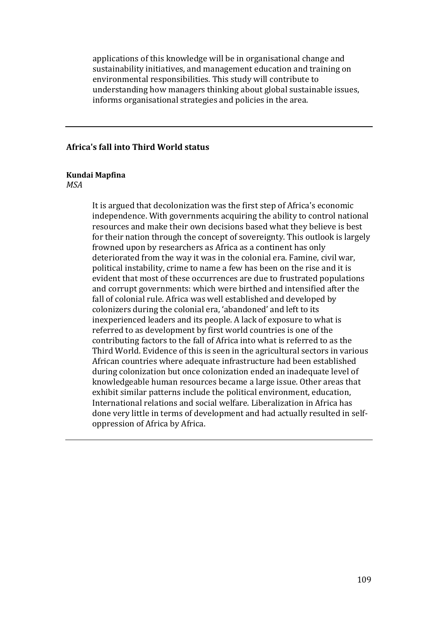applications of this knowledge will be in organisational change and sustainability initiatives, and management education and training on environmental responsibilities. This study will contribute to understanding how managers thinking about global sustainable issues, informs organisational strategies and policies in the area.

### **Africa's fall into Third World status**

### **Kundai Mapfina**

*MSA*

It is argued that decolonization was the first step of Africa's economic independence. With governments acquiring the ability to control national resources and make their own decisions based what they believe is best for their nation through the concept of sovereignty. This outlook is largely frowned upon by researchers as Africa as a continent has only deteriorated from the way it was in the colonial era. Famine, civil war, political instability, crime to name a few has been on the rise and it is evident that most of these occurrences are due to frustrated populations and corrupt governments: which were birthed and intensified after the fall of colonial rule. Africa was well established and developed by colonizers during the colonial era, 'abandoned' and left to its inexperienced leaders and its people. A lack of exposure to what is referred to as development by first world countries is one of the contributing factors to the fall of Africa into what is referred to as the Third World. Evidence of this is seen in the agricultural sectors in various African countries where adequate infrastructure had been established during colonization but once colonization ended an inadequate level of knowledgeable human resources became a large issue. Other areas that exhibit similar patterns include the political environment, education, International relations and social welfare. Liberalization in Africa has done very little in terms of development and had actually resulted in selfoppression of Africa by Africa.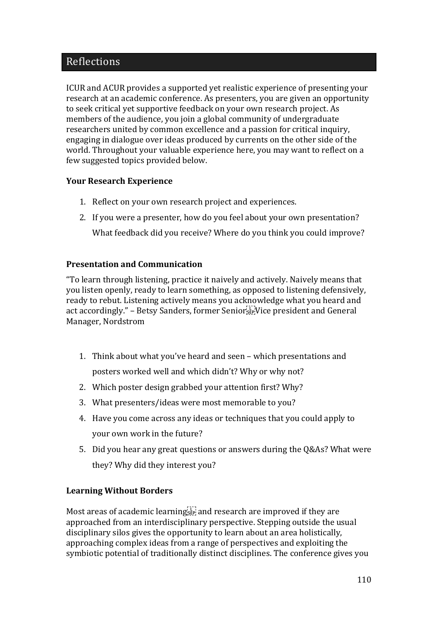### Reflections

ICUR and ACUR provides a supported yet realistic experience of presenting your research at an academic conference. As presenters, you are given an opportunity to seek critical yet supportive feedback on your own research project. As members of the audience, you join a global community of undergraduate researchers united by common excellence and a passion for critical inquiry, engaging in dialogue over ideas produced by currents on the other side of the world. Throughout your valuable experience here, you may want to reflect on a few suggested topics provided below.

#### **Your Research Experience**

- 1. Reflect on your own research project and experiences.
- 2. If you were a presenter, how do you feel about your own presentation?

What feedback did you receive? Where do you think you could improve?

#### **Presentation and Communication**

"To learn through listening, practice it naively and actively. Naively means that you listen openly, ready to learn something, as opposed to listening defensively, ready to rebut. Listening actively means you acknowledge what you heard and act accordingly." – Betsy Sanders, former Senior  $\mathbb{F}_{\text{SE}}^{\mathbb{F}_{\text{CE}}}$ Vice president and General Manager, Nordstrom

- 1. Think about what you've heard and seen which presentations and posters worked well and which didn't? Why or why not?
- 2. Which poster design grabbed your attention first? Why?
- 3. What presenters/ideas were most memorable to you?
- 4. Have you come across any ideas or techniques that you could apply to your own work in the future?
- 5. Did you hear any great questions or answers during the Q&As? What were they? Why did they interest you?

#### **Learning Without Borders**

Most areas of academic learning  $\mathbb{F}^{\mathbb{F}^{\mathbb{F}}}_{\mathbb{F}^{\mathbb{F}}}$  and research are improved if they are approached from an interdisciplinary perspective. Stepping outside the usual disciplinary silos gives the opportunity to learn about an area holistically, approaching complex ideas from a range of perspectives and exploiting the symbiotic potential of traditionally distinct disciplines. The conference gives you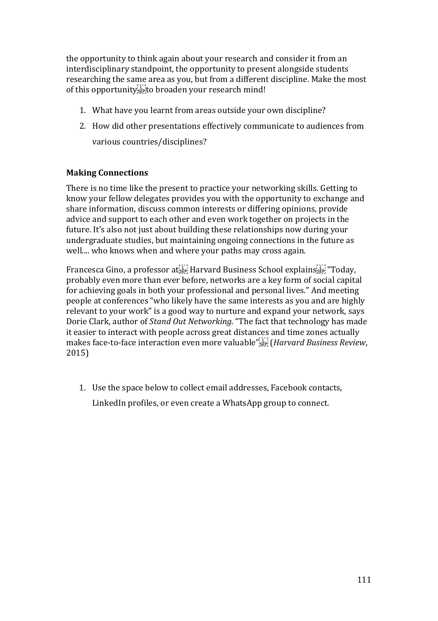the opportunity to think again about your research and consider it from an interdisciplinary standpoint, the opportunity to present alongside students researching the same area as you, but from a different discipline. Make the most of this opportunity<sup>1</sup><sub>sep</sub> to broaden your research mind!

- 1. What have you learnt from areas outside your own discipline?
- 2. How did other presentations effectively communicate to audiences from various countries/disciplines?

#### **Making Connections**

There is no time like the present to practice your networking skills. Getting to know your fellow delegates provides you with the opportunity to exchange and share information, discuss common interests or differing opinions, provide advice and support to each other and even work together on projects in the future. It's also not just about building these relationships now during your undergraduate studies, but maintaining ongoing connections in the future as well.... who knows when and where your paths may cross again.

Francesca Gino, a professor at  $E_{\text{sep}}^{\text{TT}}$  Harvard Business School explains  $E_{\text{sep}}^{\text{TT}}$  "Today, probably even more than ever before, networks are a key form of social capital for achieving goals in both your professional and personal lives." And meeting people at conferences "who likely have the same interests as you and are highly relevant to your work" is a good way to nurture and expand your network, says Dorie Clark, author of *Stand Out Networking*. "The fact that technology has made it easier to interact with people across great distances and time zones actually makes face-to-face interaction even more valuable" (*Harvard Business Review*, 2015)

1. Use the space below to collect email addresses, Facebook contacts,

LinkedIn profiles, or even create a WhatsApp group to connect.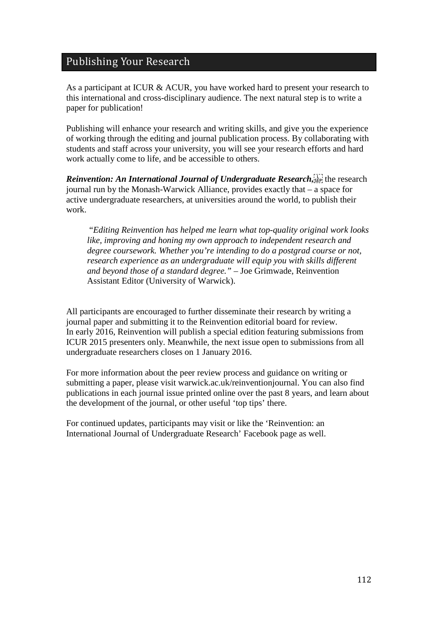## Publishing Your Research

As a participant at ICUR & ACUR, you have worked hard to present your research to this international and cross-disciplinary audience. The next natural step is to write a paper for publication!

Publishing will enhance your research and writing skills, and give you the experience of working through the editing and journal publication process. By collaborating with students and staff across your university, you will see your research efforts and hard work actually come to life, and be accessible to others.

*Reinvention: An International Journal of Undergraduate Research*, *k*<sup>17</sup>/<sub>*s*</sub> the research journal run by the Monash-Warwick Alliance, provides exactly that – a space for active undergraduate researchers, at universities around the world, to publish their work.

"*Editing Reinvention has helped me learn what top-quality original work looks like, improving and honing my own approach to independent research and degree coursework. Whether you're intending to do a postgrad course or not, research experience as an undergraduate will equip you with skills different and beyond those of a standard degree." –* Joe Grimwade, Reinvention Assistant Editor (University of Warwick).

All participants are encouraged to further disseminate their research by writing a journal paper and submitting it to the Reinvention editorial board for review. In early 2016, Reinvention will publish a special edition featuring submissions from ICUR 2015 presenters only. Meanwhile, the next issue open to submissions from all undergraduate researchers closes on 1 January 2016.

For more information about the peer review process and guidance on writing or submitting a paper, please visit warwick.ac.uk/reinventionjournal. You can also find publications in each journal issue printed online over the past 8 years, and learn about the development of the journal, or other useful 'top tips' there.

For continued updates, participants may visit or like the 'Reinvention: an International Journal of Undergraduate Research' Facebook page as well.